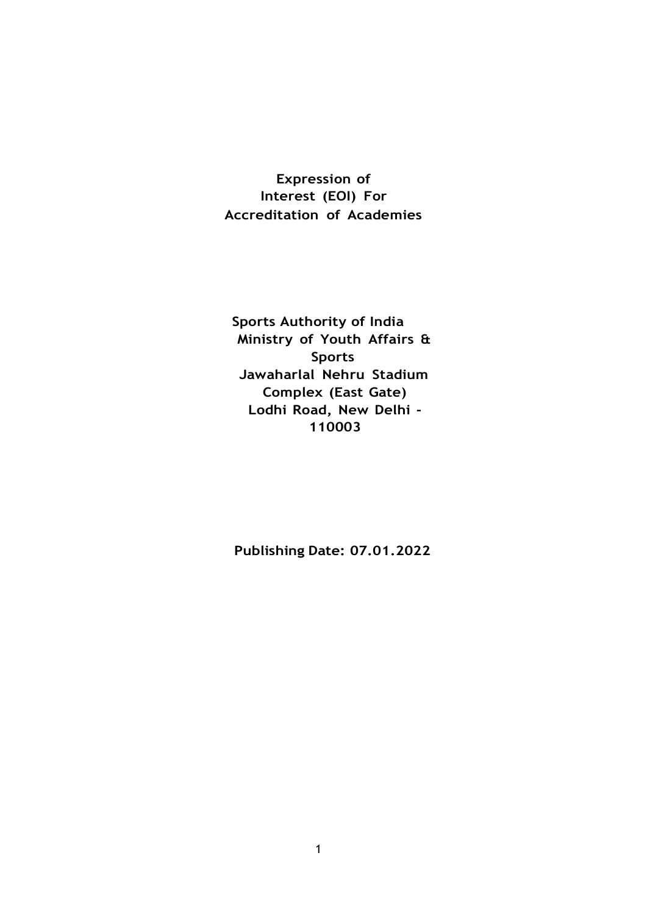**Expression of Interest (EOI) For Accreditation of Academies**

**Sports Authority of India Ministry of Youth Affairs & Sports Jawaharlal Nehru Stadium Complex (East Gate) Lodhi Road, New Delhi - 110003**

**Publishing Date: 07.01.2022**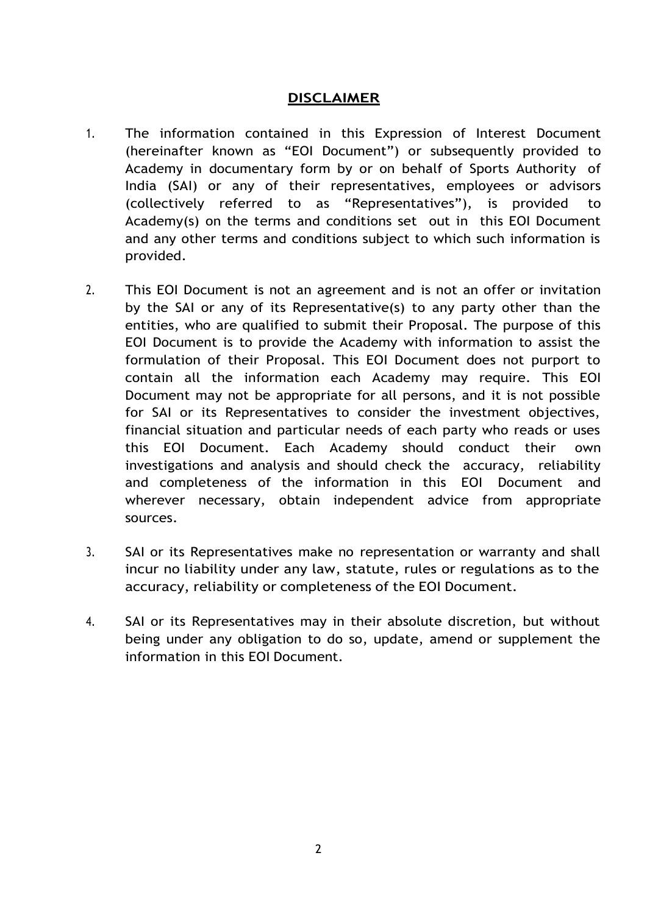#### **DISCLAIMER**

- 1. The information contained in this Expression of Interest Document (hereinafter known as "EOI Document") or subsequently provided to Academy in documentary form by or on behalf of Sports Authority of India (SAI) or any of their representatives, employees or advisors (collectively referred to as "Representatives"), is provided to Academy(s) on the terms and conditions set out in this EOI Document and any other terms and conditions subject to which such information is provided.
- 2. This EOI Document is not an agreement and is not an offer or invitation by the SAI or any of its Representative(s) to any party other than the entities, who are qualified to submit their Proposal. The purpose of this EOI Document is to provide the Academy with information to assist the formulation of their Proposal. This EOI Document does not purport to contain all the information each Academy may require. This EOI Document may not be appropriate for all persons, and it is not possible for SAI or its Representatives to consider the investment objectives, financial situation and particular needs of each party who reads or uses this EOI Document. Each Academy should conduct their own investigations and analysis and should check the accuracy, reliability and completeness of the information in this EOI Document and wherever necessary, obtain independent advice from appropriate sources.
- 3. SAI or its Representatives make no representation or warranty and shall incur no liability under any law, statute, rules or regulations as to the accuracy, reliability or completeness of the EOI Document.
- 4. SAI or its Representatives may in their absolute discretion, but without being under any obligation to do so, update, amend or supplement the information in this EOI Document.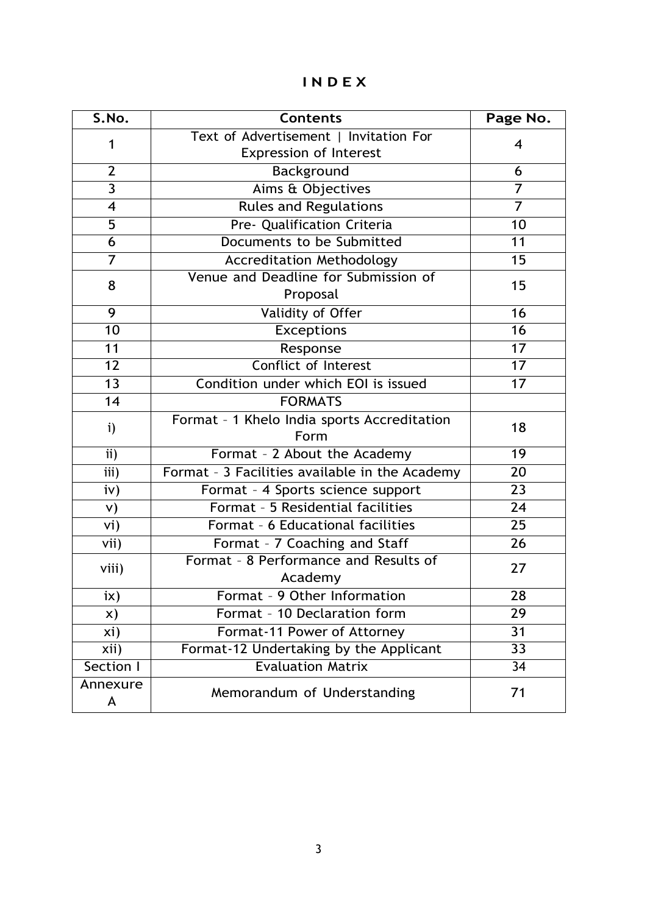# **I N D E X**

| S.No.           | <b>Contents</b>                                                         | Page No.        |
|-----------------|-------------------------------------------------------------------------|-----------------|
| 1               | Text of Advertisement   Invitation For<br><b>Expression of Interest</b> | 4               |
| $\overline{2}$  | Background                                                              | 6               |
| $\overline{3}$  | Aims & Objectives                                                       | $\overline{7}$  |
| $\overline{4}$  | <b>Rules and Regulations</b>                                            | $\overline{7}$  |
| $\overline{5}$  | Pre- Qualification Criteria                                             | 10              |
| 6               | Documents to be Submitted                                               | 11              |
| 7               | <b>Accreditation Methodology</b>                                        | 15              |
| 8               | Venue and Deadline for Submission of<br>Proposal                        | 15              |
| $\overline{9}$  | Validity of Offer                                                       | 16              |
| $\overline{10}$ | <b>Exceptions</b>                                                       | $\overline{16}$ |
| 11              | Response                                                                | $\overline{17}$ |
| $\overline{12}$ | <b>Conflict of Interest</b>                                             | $\overline{17}$ |
| 13              | Condition under which EOI is issued                                     | 17              |
| 14              | <b>FORMATS</b>                                                          |                 |
| $\mathbf{i}$    | Format - 1 Khelo India sports Accreditation<br>Form                     | 18              |
| ii)             | Format - 2 About the Academy                                            | 19              |
| iii)            | Format - 3 Facilities available in the Academy                          | 20              |
| iv)             | Format - 4 Sports science support                                       | 23              |
| V)              | Format - 5 Residential facilities                                       | 24              |
| vi)             | Format - 6 Educational facilities                                       | $\overline{25}$ |
| vii)            | Format - 7 Coaching and Staff                                           | 26              |
| viii)           | Format - 8 Performance and Results of<br>Academy                        | 27              |
| ix)             | Format - 9 Other Information                                            | 28              |
| X)              | Format - 10 Declaration form                                            | 29              |
| xi)             | Format-11 Power of Attorney                                             | 31              |
| xii)            | Format-12 Undertaking by the Applicant                                  | $\overline{33}$ |
| Section I       | <b>Evaluation Matrix</b>                                                | 34              |
| Annexure<br>A   | Memorandum of Understanding                                             | 71              |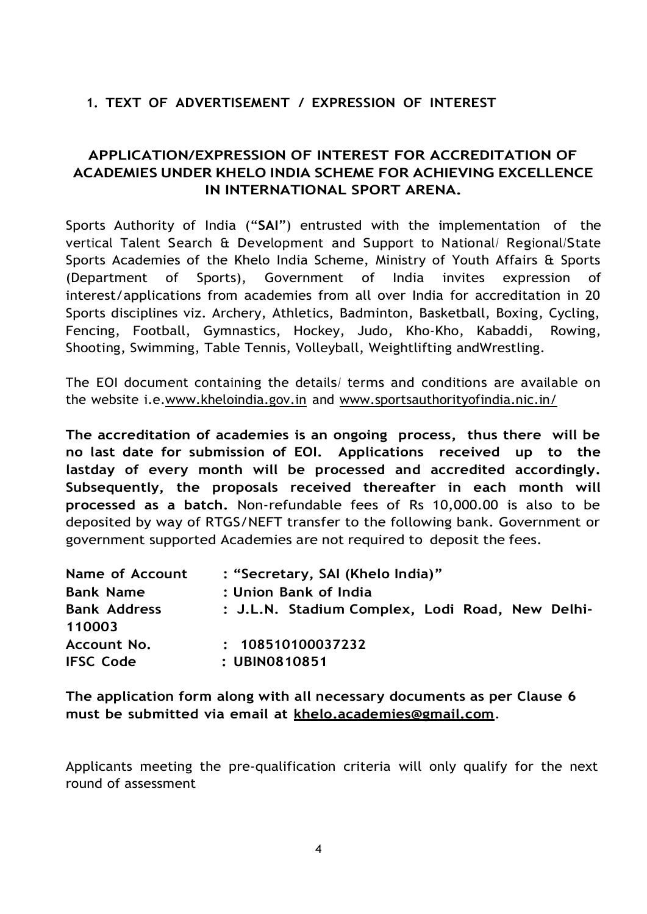# **1. TEXT OF ADVERTISEMENT / EXPRESSION OF INTEREST**

# **APPLICATION/EXPRESSION OF INTEREST FOR ACCREDITATION OF ACADEMIES UNDER KHELO INDIA SCHEME FOR ACHIEVING EXCELLENCE IN INTERNATIONAL SPORT ARENA.**

Sports Authority of India ("**SAI**") entrusted with the implementation of the vertical Talent Search & Development and Support to National/ Regional/State Sports Academies of the Khelo India Scheme, Ministry of Youth Affairs & Sports (Department of Sports), Government of India invites expression of interest/applications from academies from all over India for accreditation in 20 Sports disciplines viz. Archery, Athletics, Badminton, Basketball, Boxing, Cycling, Fencing, Football, Gymnastics, Hockey, Judo, Kho-Kho, Kabaddi, Rowing, Shooting, Swimming, Table Tennis, Volleyball, Weightlifting andWrestling.

The EOI document containing the details/ terms and conditions are available on the website i.e[.www.kheloindia.gov.in](http://www.kheloindia.gov.in/) and [www.sportsauthorityofindia.nic.in/](http://www.sportsauthorityofindia.nic.in/)

**The accreditation of academies is an ongoing process, thus there will be no last date for submission of EOI. Applications received up to the lastday of every month will be processed and accredited accordingly. Subsequently, the proposals received thereafter in each month will processed as a batch.** Non-refundable fees of Rs 10,000.00 is also to be deposited by way of RTGS/NEFT transfer to the following bank. Government or government supported Academies are not required to deposit the fees.

| <b>Name of Account</b>          | : "Secretary, SAI (Khelo India)"                |  |  |  |
|---------------------------------|-------------------------------------------------|--|--|--|
| <b>Bank Name</b>                | : Union Bank of India                           |  |  |  |
| <b>Bank Address</b><br>110003   | : J.L.N. Stadium Complex, Lodi Road, New Delhi- |  |  |  |
| Account No.<br><b>IFSC Code</b> | : 108510100037232<br>: UBIN0810851              |  |  |  |

**The application form along with all necessary documents as per Clause 6 must be submitted via email at [khelo.academies@gmail.com](mailto:khelo.academies@gmail.com)**.

Applicants meeting the pre-qualification criteria will only qualify for the next round of assessment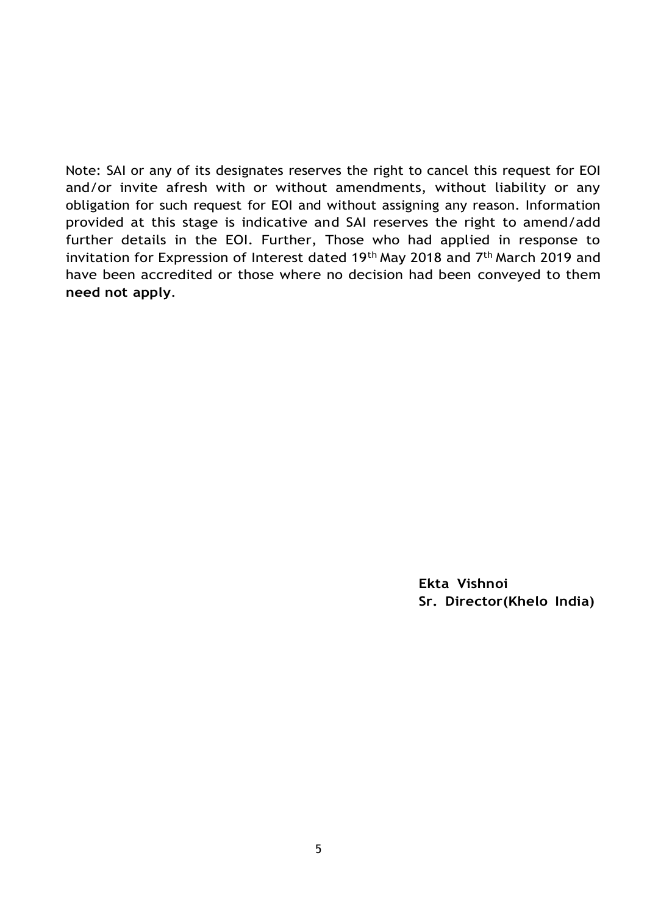Note: SAI or any of its designates reserves the right to cancel this request for EOI and/or invite afresh with or without amendments, without liability or any obligation for such request for EOI and without assigning any reason. Information provided at this stage is indicative and SAI reserves the right to amend/add further details in the EOI. Further, Those who had applied in response to invitation for Expression of Interest dated 19<sup>th</sup> May 2018 and 7<sup>th</sup> March 2019 and have been accredited or those where no decision had been conveyed to them **need not apply**.

> **Ekta Vishnoi Sr. Director(Khelo India)**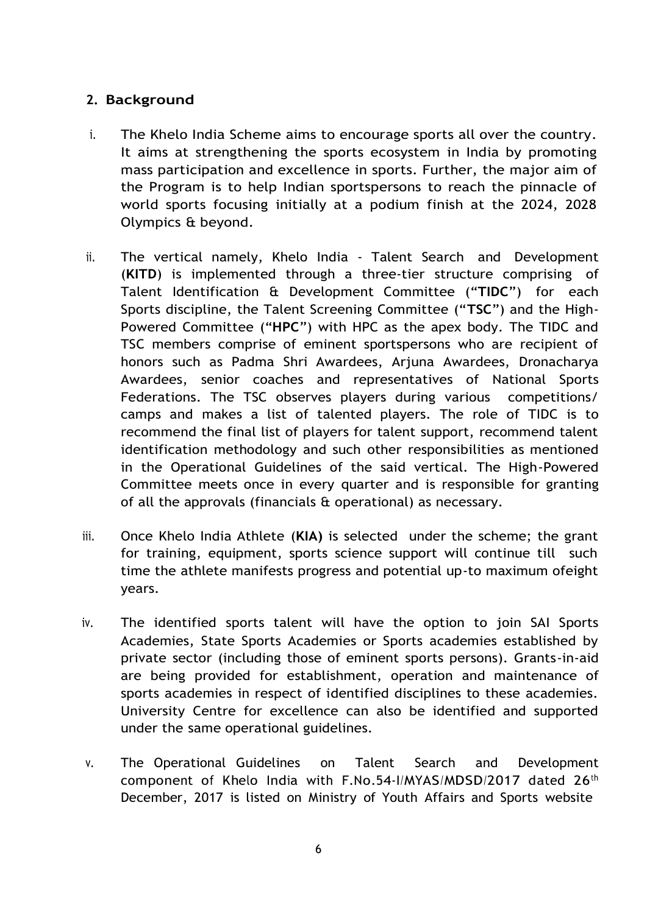## **2. Background**

- i. The Khelo India Scheme aims to encourage sports all over the country. It aims at strengthening the sports ecosystem in India by promoting mass participation and excellence in sports. Further, the major aim of the Program is to help Indian sportspersons to reach the pinnacle of world sports focusing initially at a podium finish at the 2024, 2028 Olympics & beyond.
- ii. The vertical namely, Khelo India Talent Search and Development (**KITD**) is implemented through a three-tier structure comprising of Talent Identification & Development Committee ("**TIDC**") for each Sports discipline, the Talent Screening Committee ("**TSC**") and the High-Powered Committee ("**HPC**") with HPC as the apex body. The TIDC and TSC members comprise of eminent sportspersons who are recipient of honors such as Padma Shri Awardees, Arjuna Awardees, Dronacharya Awardees, senior coaches and representatives of National Sports Federations. The TSC observes players during various competitions/ camps and makes a list of talented players. The role of TIDC is to recommend the final list of players for talent support, recommend talent identification methodology and such other responsibilities as mentioned in the Operational Guidelines of the said vertical. The High-Powered Committee meets once in every quarter and is responsible for granting of all the approvals (financials & operational) as necessary.
- iii. Once Khelo India Athlete (**KIA)** is selected under the scheme; the grant for training, equipment, sports science support will continue till such time the athlete manifests progress and potential up-to maximum ofeight years.
- iv. The identified sports talent will have the option to join SAI Sports Academies, State Sports Academies or Sports academies established by private sector (including those of eminent sports persons). Grants-in-aid are being provided for establishment, operation and maintenance of sports academies in respect of identified disciplines to these academies. University Centre for excellence can also be identified and supported under the same operational guidelines.
- v. The Operational Guidelines on Talent Search and Development component of Khelo India with F.No.54-I/MYAS/MDSD/2017 dated 26<sup>th</sup> December, 2017 is listed on Ministry of Youth Affairs and Sports website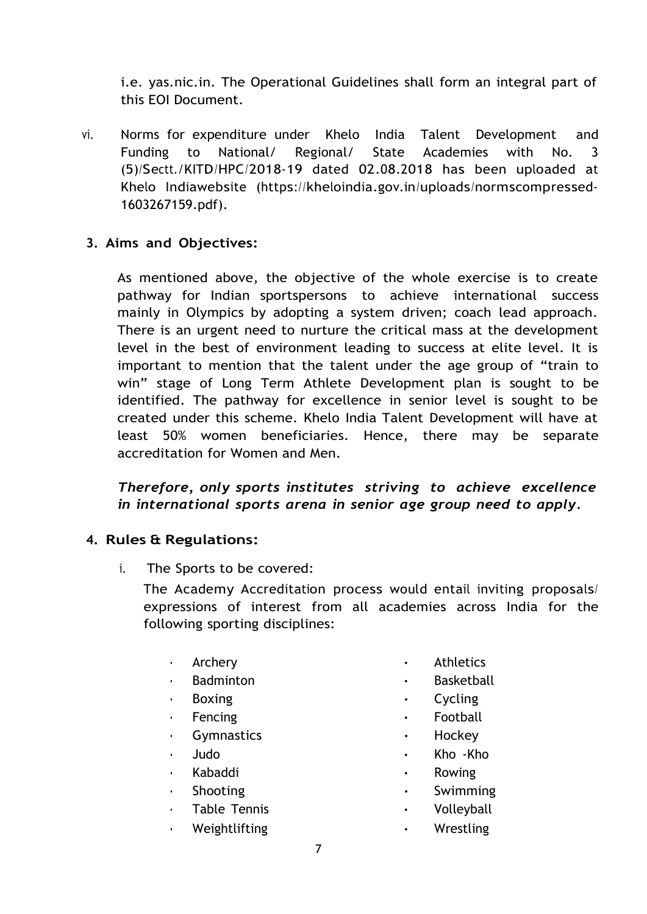i.e. yas.nic.in. The Operational Guidelines shall form an integral part of this EOI Document.

vi. Norms for expenditure under Khelo India Talent Development and Funding to National/ Regional/ State Academies with No. 3 (5)/Sectt./KITD/HPC/2018-19 dated 02.08.2018 has been uploaded at Khelo Indiawebsite (https://kheloindia.gov.in/uploads/normscompressed-1603267159.pdf).

## **3. Aims and Objectives:**

As mentioned above, the objective of the whole exercise is to create pathway for Indian sportspersons to achieve international success mainly in Olympics by adopting a system driven; coach lead approach. There is an urgent need to nurture the critical mass at the development level in the best of environment leading to success at elite level. It is important to mention that the talent under the age group of "train to win" stage of Long Term Athlete Development plan is sought to be identified. The pathway for excellence in senior level is sought to be created under this scheme. Khelo India Talent Development will have at least 50% women beneficiaries. Hence, there may be separate accreditation for Women and Men.

# *Therefore, only sports institutes striving to achieve excellence in international sports arena in senior age group need to apply.*

#### **4. Rules & Regulations:**

i. The Sports to be covered:

The Academy Accreditation process would entail inviting proposals/ expressions of interest from all academies across India for the following sporting disciplines:

- 
- 
- 
- 
- 
- 
- Kabaddi Rowing
- 
- 
- 
- Archery Athletics
- Badminton  **Basketball**
- Boxing Cycling
	- Fencing **•** Football
	- Gymnastics  **Hockey**
	- Judo Kho -Kho
		-
	- Shooting Swimming
	- Table Tennis Volleyball
	- Weightlifting Wrestling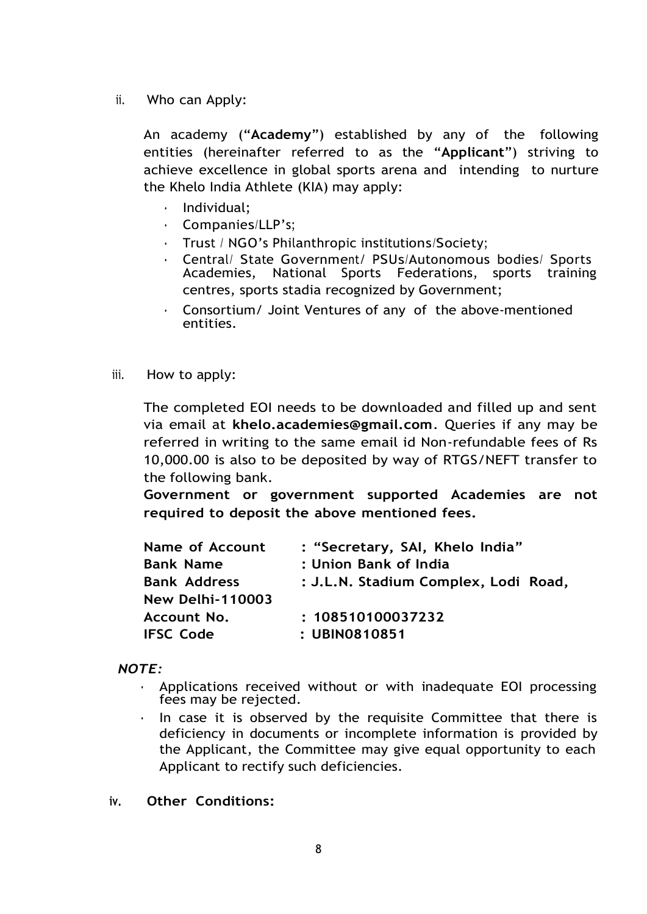ii. Who can Apply:

An academy ("**Academy**") established by any of the following entities (hereinafter referred to as the "**Applicant**") striving to achieve excellence in global sports arena and intending to nurture the Khelo India Athlete (KIA) may apply:

- Individual;
- Companies/LLP's;
- Trust / NGO's Philanthropic institutions/Society;
- Central/ State Government/ PSUs/Autonomous bodies/ Sports Academies, National Sports Federations, sports training centres, sports stadia recognized by Government;
- Consortium/ Joint Ventures of any of the above-mentioned entities.
- iii. How to apply:

The completed EOI needs to be downloaded and filled up and sent via email at **[khelo.academies@gmail.com](mailto:khelo.academies@gmail.com)**. Queries if any may be referred in writing to the same email id Non-refundable fees of Rs 10,000.00 is also to be deposited by way of RTGS/NEFT transfer to the following bank.

**Government or government supported Academies are not required to deposit the above mentioned fees.**

| <b>Name of Account</b>  | : "Secretary, SAI, Khelo India"      |
|-------------------------|--------------------------------------|
| <b>Bank Name</b>        | : Union Bank of India                |
| <b>Bank Address</b>     | : J.L.N. Stadium Complex, Lodi Road, |
| <b>New Delhi-110003</b> |                                      |
| Account No.             | : 108510100037232                    |
| <b>IFSC Code</b>        | : UBIN0810851                        |

#### *NOTE:*

- Applications received without or with inadequate EOI processing fees may be rejected.
- In case it is observed by the requisite Committee that there is deficiency in documents or incomplete information is provided by the Applicant, the Committee may give equal opportunity to each Applicant to rectify such deficiencies.
- **iv. Other Conditions:**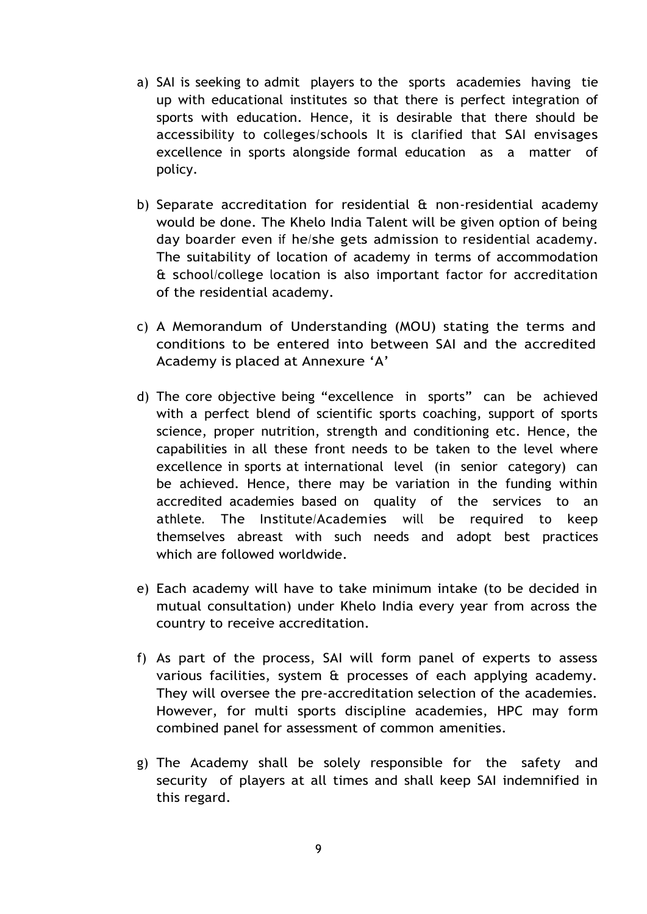- a) SAI is seeking to admit players to the sports academies having tie up with educational institutes so that there is perfect integration of sports with education. Hence, it is desirable that there should be accessibility to colleges/schools It is clarified that SAI envisages excellence in sports alongside formal education as a matter of policy.
- b) Separate accreditation for residential & non-residential academy would be done. The Khelo India Talent will be given option of being day boarder even if he/she gets admission to residential academy. The suitability of location of academy in terms of accommodation & school/college location is also important factor for accreditation of the residential academy.
- c) A Memorandum of Understanding (MOU) stating the terms and conditions to be entered into between SAI and the accredited Academy is placed at Annexure 'A'
- d) The core objective being "excellence in sports" can be achieved with a perfect blend of scientific sports coaching, support of sports science, proper nutrition, strength and conditioning etc. Hence, the capabilities in all these front needs to be taken to the level where excellence in sports at international level (in senior category) can be achieved. Hence, there may be variation in the funding within accredited academies based on quality of the services to an athlete. The Institute/Academies will be required to keep themselves abreast with such needs and adopt best practices which are followed worldwide.
- e) Each academy will have to take minimum intake (to be decided in mutual consultation) under Khelo India every year from across the country to receive accreditation.
- f) As part of the process, SAI will form panel of experts to assess various facilities, system & processes of each applying academy. They will oversee the pre-accreditation selection of the academies. However, for multi sports discipline academies, HPC may form combined panel for assessment of common amenities.
- g) The Academy shall be solely responsible for the safety and security of players at all times and shall keep SAI indemnified in this regard.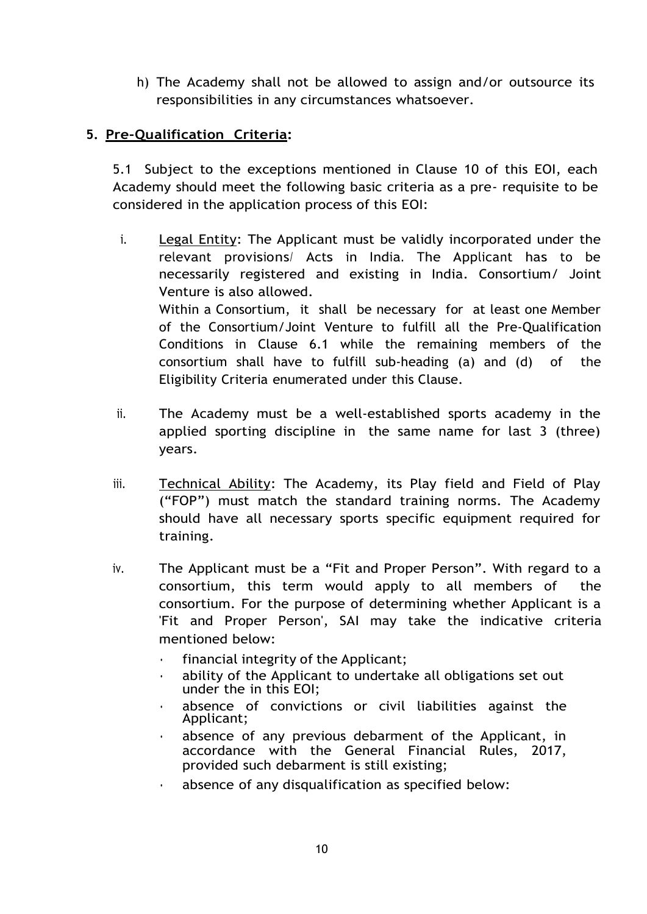h) The Academy shall not be allowed to assign and/or outsource its responsibilities in any circumstances whatsoever.

# **5. Pre-Qualification Criteria:**

5.1 Subject to the exceptions mentioned in Clause 10 of this EOI, each Academy should meet the following basic criteria as a pre- requisite to be considered in the application process of this EOI:

- i. Legal Entity: The Applicant must be validly incorporated under the relevant provisions/ Acts in India. The Applicant has to be necessarily registered and existing in India. Consortium/ Joint Venture is also allowed. Within a Consortium, it shall be necessary for at least one Member of the Consortium/Joint Venture to fulfill all the Pre-Qualification Conditions in Clause 6.1 while the remaining members of the consortium shall have to fulfill sub-heading (a) and (d) of the Eligibility Criteria enumerated under this Clause.
- ii. The Academy must be a well-established sports academy in the applied sporting discipline in the same name for last 3 (three) years.
- iii. Technical Ability: The Academy, its Play field and Field of Play ("FOP") must match the standard training norms. The Academy should have all necessary sports specific equipment required for training.
- iv. The Applicant must be a "Fit and Proper Person". With regard to a consortium, this term would apply to all members of the consortium. For the purpose of determining whether Applicant is a 'Fit and Proper Person', SAI may take the indicative criteria mentioned below:
	- financial integrity of the Applicant;
	- ability of the Applicant to undertake all obligations set out under the in this EOI;
	- absence of convictions or civil liabilities against the Applicant;
	- absence of any previous debarment of the Applicant, in accordance with the General Financial Rules, 2017, provided such debarment is still existing;
	- absence of any disqualification as specified below: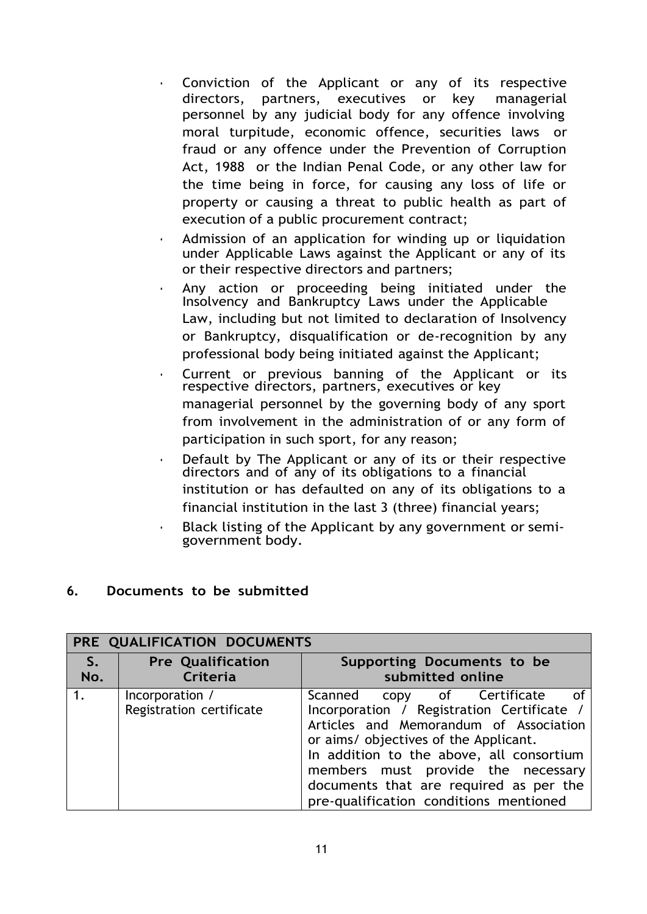- Conviction of the Applicant or any of its respective directors, partners, executives or key managerial personnel by any judicial body for any offence involving moral turpitude, economic offence, securities laws or fraud or any offence under the Prevention of Corruption Act, 1988 or the Indian Penal Code, or any other law for the time being in force, for causing any loss of life or property or causing a threat to public health as part of execution of a public procurement contract;
- Admission of an application for winding up or liquidation under Applicable Laws against the Applicant or any of its or their respective directors and partners;
- Any action or proceeding being initiated under the Insolvency and Bankruptcy Laws under the Applicable Law, including but not limited to declaration of Insolvency or Bankruptcy, disqualification or de-recognition by any professional body being initiated against the Applicant;
- Current or previous banning of the Applicant or its respective directors, partners, executives or key managerial personnel by the governing body of any sport from involvement in the administration of or any form of participation in such sport, for any reason;
- Default by The Applicant or any of its or their respective directors and of any of its obligations to a financial institution or has defaulted on any of its obligations to a financial institution in the last 3 (three) financial years;
- Black listing of the Applicant by any government or semigovernment body.

#### **6. Documents to be submitted**

| PRE QUALIFICATION DOCUMENTS |                                             |                                                                                                                                                                                                                                                                                                                                                               |  |  |  |
|-----------------------------|---------------------------------------------|---------------------------------------------------------------------------------------------------------------------------------------------------------------------------------------------------------------------------------------------------------------------------------------------------------------------------------------------------------------|--|--|--|
| $S_{\bullet}$<br>No.        | <b>Pre Qualification</b><br>Criteria        | Supporting Documents to be<br>submitted online                                                                                                                                                                                                                                                                                                                |  |  |  |
|                             | Incorporation /<br>Registration certificate | Scanned copy of Certificate<br>$\overline{\mathsf{C}}$<br>Incorporation / Registration Certificate /<br>Articles and Memorandum of Association<br>or aims/ objectives of the Applicant.<br>In addition to the above, all consortium<br>members must provide the necessary<br>documents that are required as per the<br>pre-qualification conditions mentioned |  |  |  |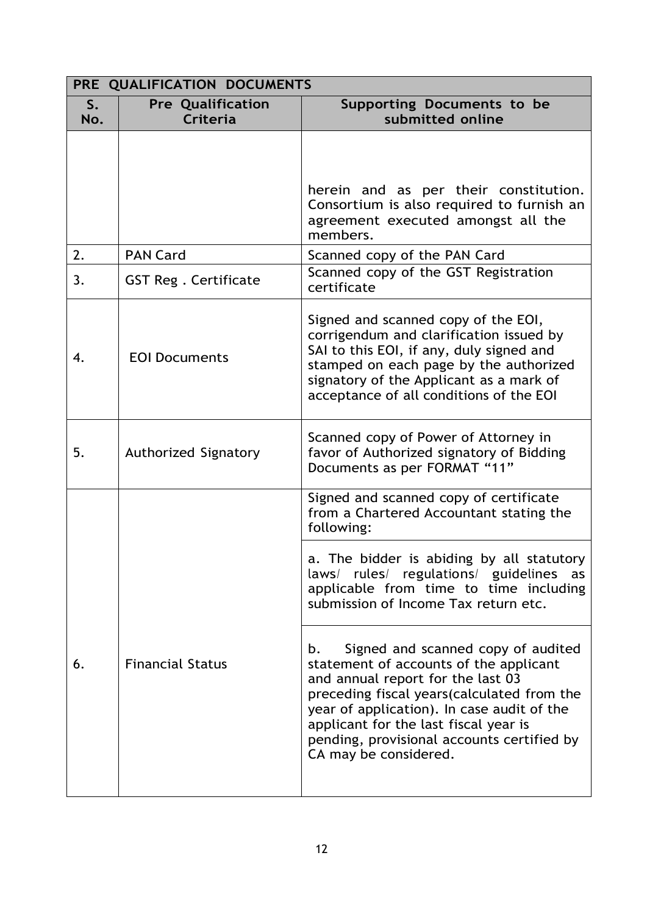|           | PRE QUALIFICATION DOCUMENTS          |                                                                                                                                                                                                                                                                                                      |  |  |
|-----------|--------------------------------------|------------------------------------------------------------------------------------------------------------------------------------------------------------------------------------------------------------------------------------------------------------------------------------------------------|--|--|
| S.<br>No. | <b>Pre Qualification</b><br>Criteria | Supporting Documents to be<br>submitted online                                                                                                                                                                                                                                                       |  |  |
|           |                                      | herein and as per their constitution.<br>Consortium is also required to furnish an<br>agreement executed amongst all the<br>members.                                                                                                                                                                 |  |  |
| 2.        | <b>PAN Card</b>                      | Scanned copy of the PAN Card                                                                                                                                                                                                                                                                         |  |  |
| 3.        | <b>GST Reg. Certificate</b>          | Scanned copy of the GST Registration<br>certificate                                                                                                                                                                                                                                                  |  |  |
| 4.        | <b>EOI Documents</b>                 | Signed and scanned copy of the EOI,<br>corrigendum and clarification issued by<br>SAI to this EOI, if any, duly signed and<br>stamped on each page by the authorized<br>signatory of the Applicant as a mark of<br>acceptance of all conditions of the EOI                                           |  |  |
| 5.        | Authorized Signatory                 | Scanned copy of Power of Attorney in<br>favor of Authorized signatory of Bidding<br>Documents as per FORMAT "11"                                                                                                                                                                                     |  |  |
|           |                                      | Signed and scanned copy of certificate<br>from a Chartered Accountant stating the<br>following:                                                                                                                                                                                                      |  |  |
| 6.        | <b>Financial Status</b>              | a. The bidder is abiding by all statutory<br>laws/ rules/ regulations/ guidelines<br>as<br>applicable from time to time including<br>submission of Income Tax return etc.<br>Signed and scanned copy of audited<br>b.<br>statement of accounts of the applicant<br>and annual report for the last 03 |  |  |
|           |                                      | preceding fiscal years(calculated from the<br>year of application). In case audit of the<br>applicant for the last fiscal year is<br>pending, provisional accounts certified by<br>CA may be considered.                                                                                             |  |  |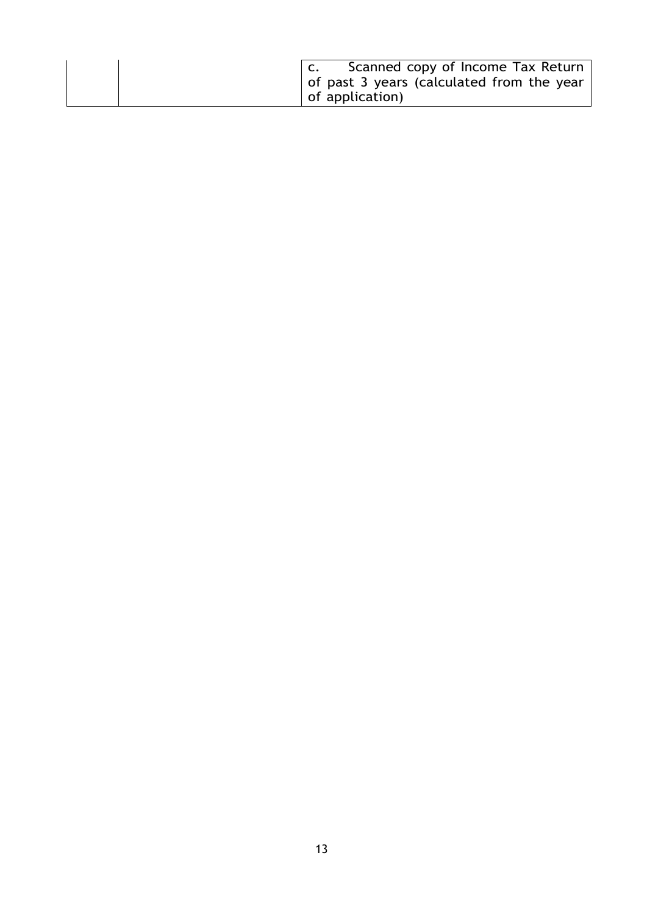|  | Scanned copy of Income Tax Return<br>  of past 3 years (calculated from the year )<br>of application) |
|--|-------------------------------------------------------------------------------------------------------|
|--|-------------------------------------------------------------------------------------------------------|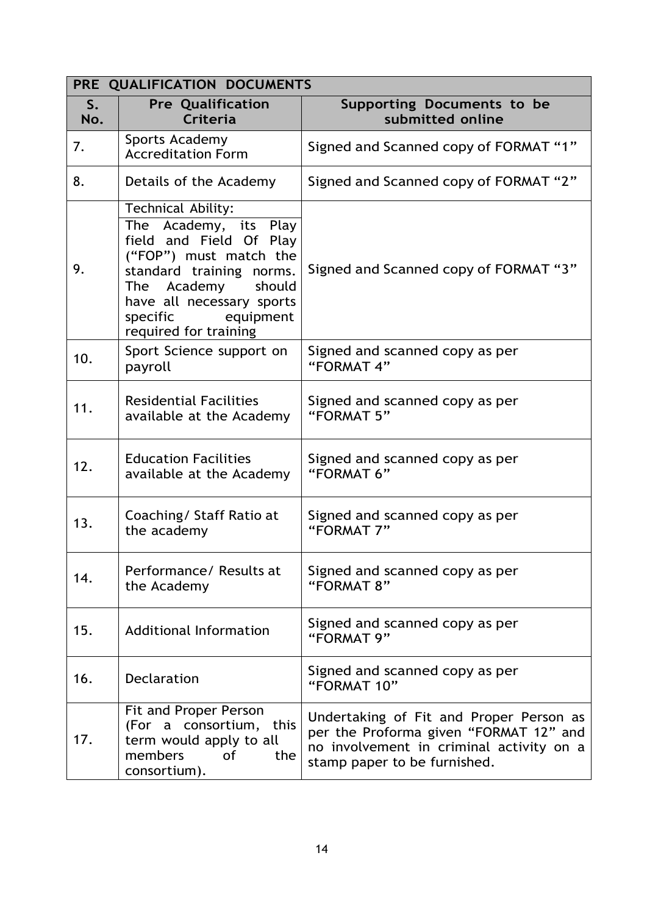| <b>PRE</b> | QUALIFICATION DOCUMENTS                                                                                                                                                                                                                 |                                                                                                                                                               |  |  |  |
|------------|-----------------------------------------------------------------------------------------------------------------------------------------------------------------------------------------------------------------------------------------|---------------------------------------------------------------------------------------------------------------------------------------------------------------|--|--|--|
| S.<br>No.  | <b>Pre Qualification</b><br>Criteria                                                                                                                                                                                                    | Supporting Documents to be<br>submitted online                                                                                                                |  |  |  |
| 7.         | Sports Academy<br><b>Accreditation Form</b>                                                                                                                                                                                             | Signed and Scanned copy of FORMAT "1"                                                                                                                         |  |  |  |
| 8.         | Details of the Academy                                                                                                                                                                                                                  | Signed and Scanned copy of FORMAT "2"                                                                                                                         |  |  |  |
| 9.         | Technical Ability:<br>The Academy, its Play<br>field and Field Of Play<br>("FOP") must match the<br>standard training norms.<br>Academy<br>should<br>The<br>have all necessary sports<br>specific<br>equipment<br>required for training | Signed and Scanned copy of FORMAT "3"                                                                                                                         |  |  |  |
| 10.        | Sport Science support on<br>payroll                                                                                                                                                                                                     | Signed and scanned copy as per<br>"FORMAT 4"                                                                                                                  |  |  |  |
| 11.        | <b>Residential Facilities</b><br>available at the Academy                                                                                                                                                                               | Signed and scanned copy as per<br>"FORMAT 5"                                                                                                                  |  |  |  |
| 12.        | <b>Education Facilities</b><br>available at the Academy                                                                                                                                                                                 | Signed and scanned copy as per<br>"FORMAT 6"                                                                                                                  |  |  |  |
| 13.        | Coaching/ Staff Ratio at<br>the academy                                                                                                                                                                                                 | Signed and scanned copy as per<br>"FORMAT 7"                                                                                                                  |  |  |  |
| 14.        | Performance/ Results at<br>the Academy                                                                                                                                                                                                  | Signed and scanned copy as per<br>"FORMAT 8"                                                                                                                  |  |  |  |
| 15.        | <b>Additional Information</b>                                                                                                                                                                                                           | Signed and scanned copy as per<br>"FORMAT 9"                                                                                                                  |  |  |  |
| 16.        | <b>Declaration</b>                                                                                                                                                                                                                      | Signed and scanned copy as per<br>"FORMAT 10"                                                                                                                 |  |  |  |
| 17.        | Fit and Proper Person<br>(For a consortium, this<br>term would apply to all<br>members<br>the<br>of<br>consortium).                                                                                                                     | Undertaking of Fit and Proper Person as<br>per the Proforma given "FORMAT 12" and<br>no involvement in criminal activity on a<br>stamp paper to be furnished. |  |  |  |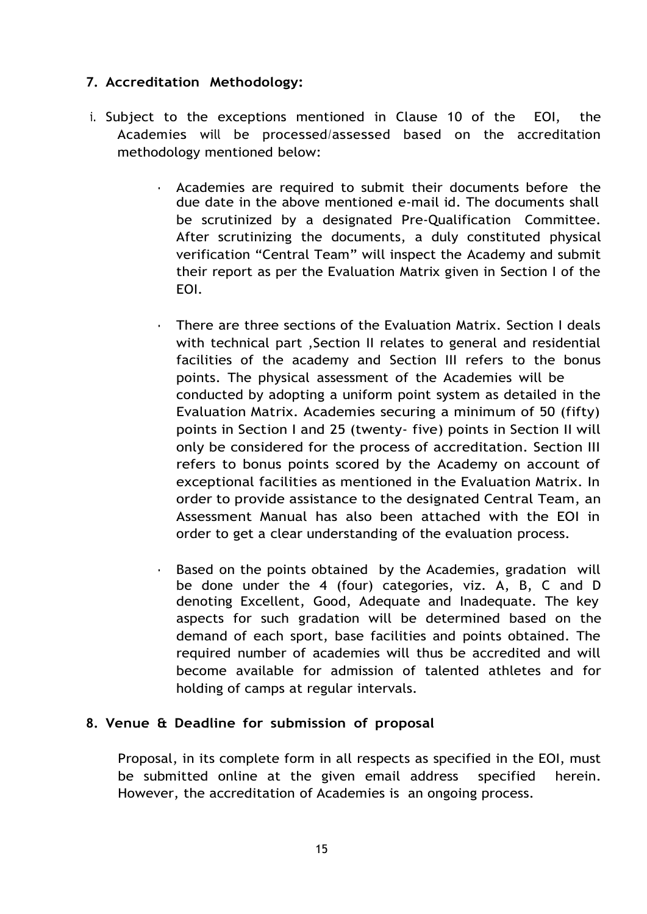## **7. Accreditation Methodology:**

- i. Subject to the exceptions mentioned in Clause 10 of the EOI, the Academies will be processed/assessed based on the accreditation methodology mentioned below:
	- Academies are required to submit their documents before the due date in the above mentioned e-mail id. The documents shall be scrutinized by a designated Pre-Qualification Committee. After scrutinizing the documents, a duly constituted physical verification "Central Team" will inspect the Academy and submit their report as per the Evaluation Matrix given in Section I of the EOI.
	- There are three sections of the Evaluation Matrix. Section I deals with technical part ,Section II relates to general and residential facilities of the academy and Section III refers to the bonus points. The physical assessment of the Academies will be conducted by adopting a uniform point system as detailed in the Evaluation Matrix. Academies securing a minimum of 50 (fifty) points in Section I and 25 (twenty- five) points in Section II will only be considered for the process of accreditation. Section III refers to bonus points scored by the Academy on account of exceptional facilities as mentioned in the Evaluation Matrix. In order to provide assistance to the designated Central Team, an Assessment Manual has also been attached with the EOI in order to get a clear understanding of the evaluation process.
	- Based on the points obtained by the Academies, gradation will be done under the 4 (four) categories, viz. A, B, C and D denoting Excellent, Good, Adequate and Inadequate. The key aspects for such gradation will be determined based on the demand of each sport, base facilities and points obtained. The required number of academies will thus be accredited and will become available for admission of talented athletes and for holding of camps at regular intervals.

#### **8. Venue & Deadline for submission of proposal**

Proposal, in its complete form in all respects as specified in the EOI, must be submitted online at the given email address specified herein. However, the accreditation of Academies is an ongoing process.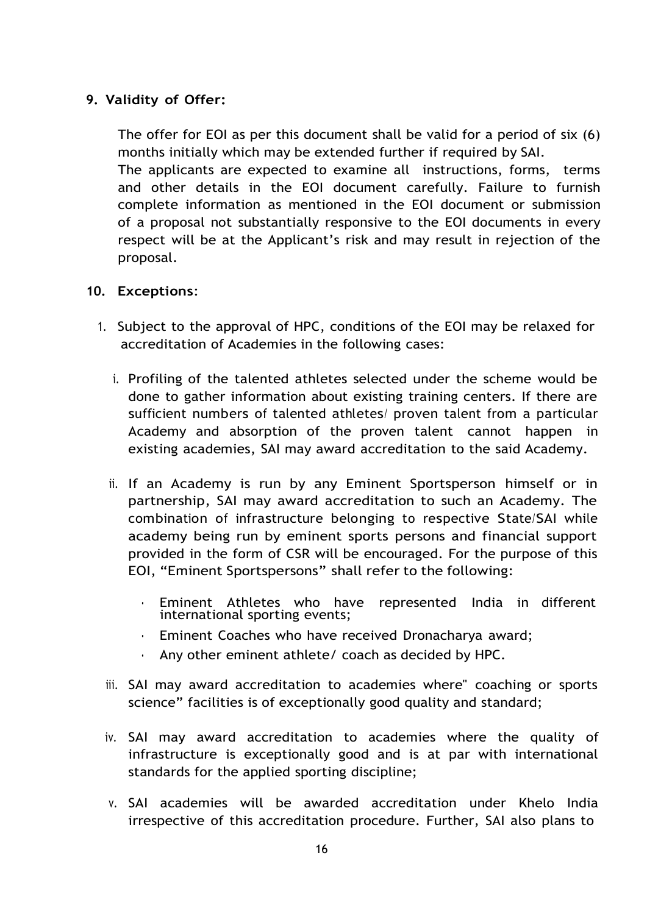# **9. Validity of Offer:**

The offer for EOI as per this document shall be valid for a period of six (6) months initially which may be extended further if required by SAI. The applicants are expected to examine all instructions, forms, terms and other details in the EOI document carefully. Failure to furnish complete information as mentioned in the EOI document or submission of a proposal not substantially responsive to the EOI documents in every respect will be at the Applicant's risk and may result in rejection of the proposal.

#### **10. Exceptions**:

- 1. Subject to the approval of HPC, conditions of the EOI may be relaxed for accreditation of Academies in the following cases:
	- i. Profiling of the talented athletes selected under the scheme would be done to gather information about existing training centers. If there are sufficient numbers of talented athletes/ proven talent from a particular Academy and absorption of the proven talent cannot happen in existing academies, SAI may award accreditation to the said Academy.
	- ii. If an Academy is run by any Eminent Sportsperson himself or in partnership, SAI may award accreditation to such an Academy. The combination of infrastructure belonging to respective State/SAI while academy being run by eminent sports persons and financial support provided in the form of CSR will be encouraged. For the purpose of this EOI, "Eminent Sportspersons" shall refer to the following:
		- Eminent Athletes who have represented India in different international sporting events;
		- Eminent Coaches who have received Dronacharya award;
		- Any other eminent athlete/ coach as decided by HPC.
	- iii. SAI may award accreditation to academies where" coaching or sports science" facilities is of exceptionally good quality and standard;
	- iv. SAI may award accreditation to academies where the quality of infrastructure is exceptionally good and is at par with international standards for the applied sporting discipline;
	- v. SAI academies will be awarded accreditation under Khelo India irrespective of this accreditation procedure. Further, SAI also plans to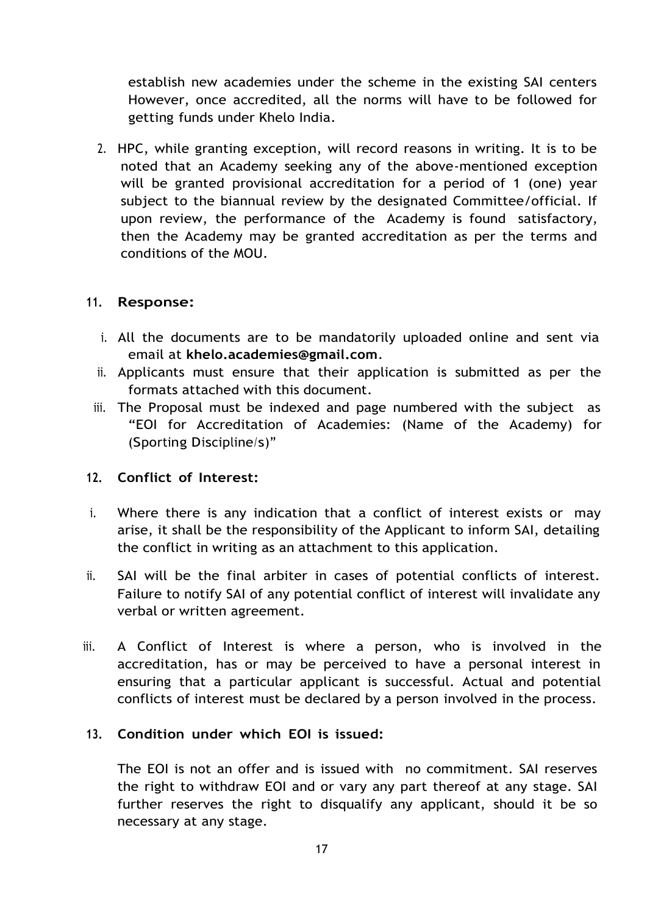establish new academies under the scheme in the existing SAI centers However, once accredited, all the norms will have to be followed for getting funds under Khelo India.

2. HPC, while granting exception, will record reasons in writing. It is to be noted that an Academy seeking any of the above-mentioned exception will be granted provisional accreditation for a period of 1 (one) year subject to the biannual review by the designated Committee/official. If upon review, the performance of the Academy is found satisfactory, then the Academy may be granted accreditation as per the terms and conditions of the MOU.

#### **11. Response:**

- i. All the documents are to be mandatorily uploaded online and sent via email at **[khelo.academies@gmail.com](mailto:khelo.academies@gmail.com)**.
- ii. Applicants must ensure that their application is submitted as per the formats attached with this document.
- iii. The Proposal must be indexed and page numbered with the subject as "EOI for Accreditation of Academies: (Name of the Academy) for (Sporting Discipline/s)"

#### **12. Conflict of Interest:**

- i. Where there is any indication that a conflict of interest exists or may arise, it shall be the responsibility of the Applicant to inform SAI, detailing the conflict in writing as an attachment to this application.
- ii. SAI will be the final arbiter in cases of potential conflicts of interest. Failure to notify SAI of any potential conflict of interest will invalidate any verbal or written agreement.
- iii. A Conflict of Interest is where a person, who is involved in the accreditation, has or may be perceived to have a personal interest in ensuring that a particular applicant is successful. Actual and potential conflicts of interest must be declared by a person involved in the process.

#### **13. Condition under which EOI is issued:**

The EOI is not an offer and is issued with no commitment. SAI reserves the right to withdraw EOI and or vary any part thereof at any stage. SAI further reserves the right to disqualify any applicant, should it be so necessary at any stage.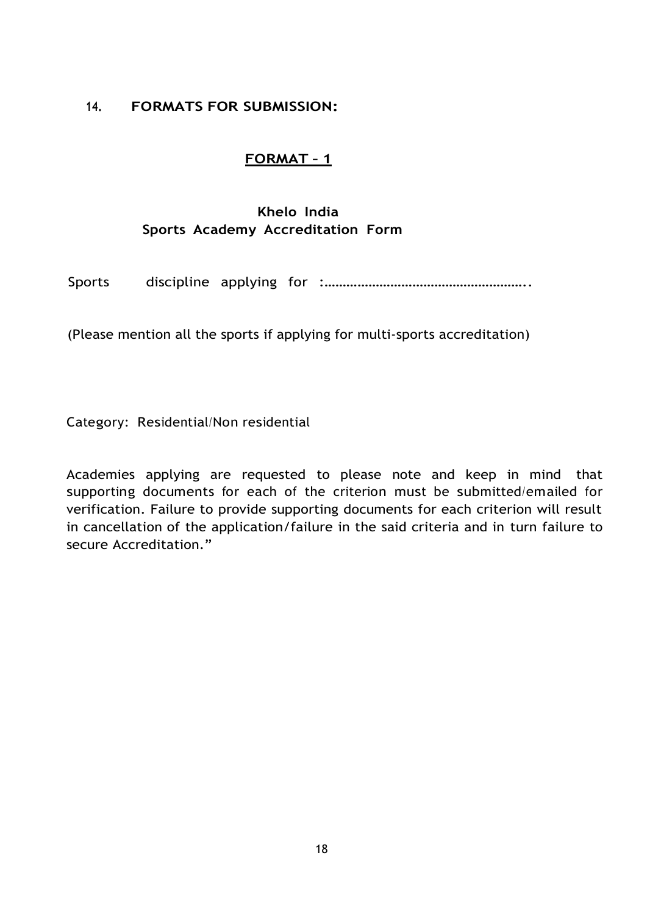#### **14. FORMATS FOR SUBMISSION:**

#### **FORMAT – 1**

# **Khelo India Sports Academy Accreditation Form**

Sports discipline applying for :………………………………………………..

(Please mention all the sports if applying for multi-sports accreditation)

Category: Residential/Non residential

Academies applying are requested to please note and keep in mind that supporting documents for each of the criterion must be submitted/emailed for verification. Failure to provide supporting documents for each criterion will result in cancellation of the application/failure in the said criteria and in turn failure to secure Accreditation."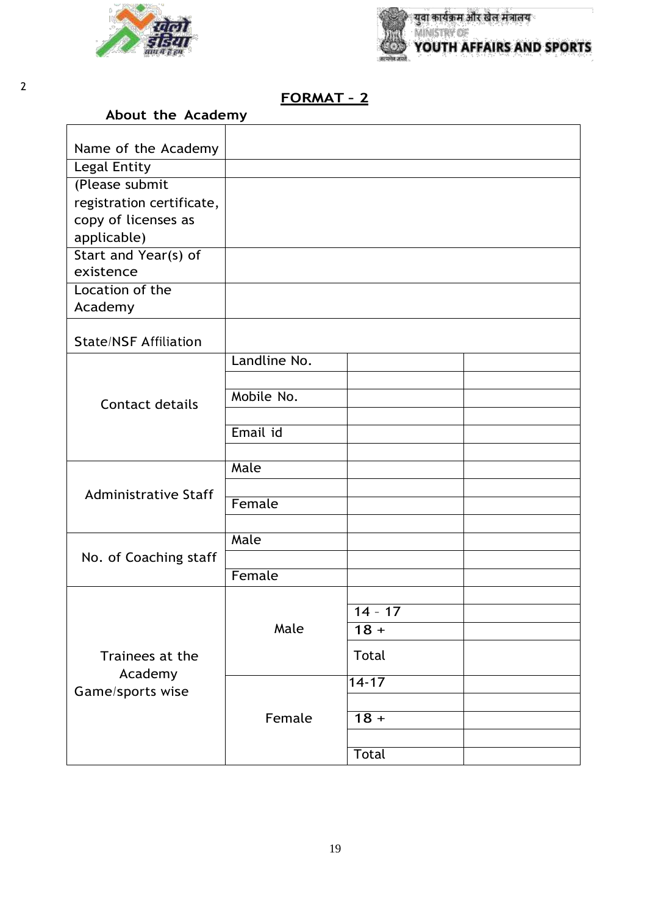



٦

# **FORMAT – 2**

| Name of the Academy          |              |           |  |
|------------------------------|--------------|-----------|--|
| Legal Entity                 |              |           |  |
| (Please submit               |              |           |  |
| registration certificate,    |              |           |  |
| copy of licenses as          |              |           |  |
| applicable)                  |              |           |  |
| Start and Year(s) of         |              |           |  |
| existence                    |              |           |  |
| Location of the              |              |           |  |
| Academy                      |              |           |  |
|                              |              |           |  |
| <b>State/NSF Affiliation</b> |              |           |  |
|                              | Landline No. |           |  |
|                              |              |           |  |
| <b>Contact details</b>       | Mobile No.   |           |  |
|                              |              |           |  |
|                              | Email id     |           |  |
|                              |              |           |  |
|                              | Male         |           |  |
| <b>Administrative Staff</b>  |              |           |  |
|                              | Female       |           |  |
|                              |              |           |  |
|                              | Male         |           |  |
| No. of Coaching staff        |              |           |  |
|                              | Female       |           |  |
|                              |              |           |  |
|                              |              | $14 - 17$ |  |
|                              | Male         | $18 +$    |  |
| Trainees at the              |              | Total     |  |
| Academy                      |              |           |  |
| Game/sports wise             |              | $14 - 17$ |  |
|                              |              |           |  |
|                              | Female       | $18 +$    |  |
|                              |              |           |  |
|                              |              | Total     |  |

2

 $\mathbf{r}$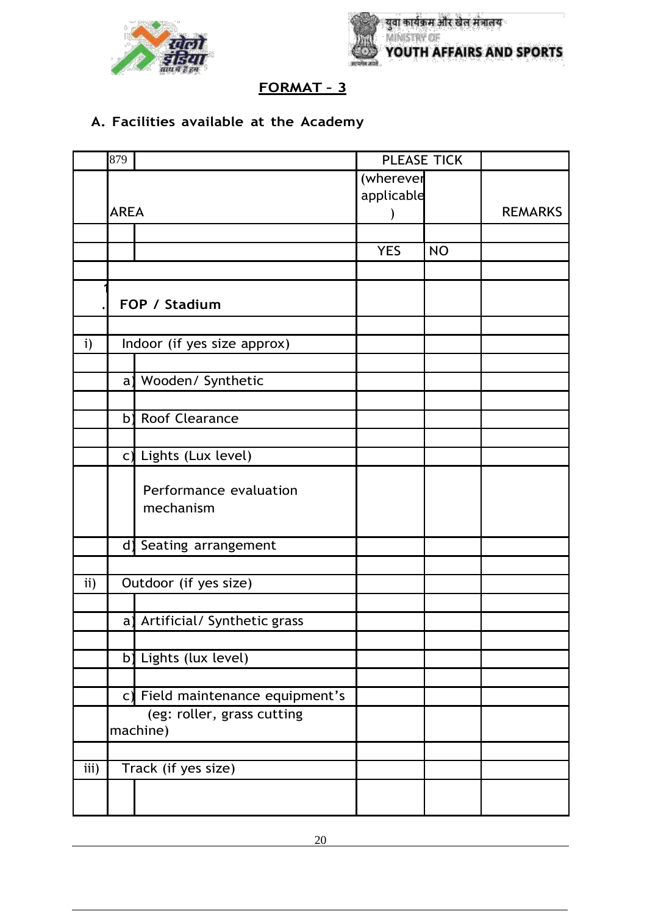



# **A. Facilities available at the Academy**

|                  | 879         |                                        | PLEASE TICK |           |                |
|------------------|-------------|----------------------------------------|-------------|-----------|----------------|
|                  | (wherever   |                                        |             |           |                |
|                  |             |                                        | applicable  |           |                |
|                  | <b>AREA</b> |                                        |             |           | <b>REMARKS</b> |
|                  |             |                                        |             |           |                |
|                  |             |                                        | <b>YES</b>  | <b>NO</b> |                |
|                  |             |                                        |             |           |                |
|                  |             | FOP / Stadium                          |             |           |                |
|                  |             |                                        |             |           |                |
| i)               |             | Indoor (if yes size approx)            |             |           |                |
|                  |             |                                        |             |           |                |
|                  | a)          | Wooden/ Synthetic                      |             |           |                |
|                  |             |                                        |             |           |                |
|                  | b)          | Roof Clearance                         |             |           |                |
|                  |             |                                        |             |           |                |
|                  |             | c) Lights (Lux level)                  |             |           |                |
|                  |             | Performance evaluation<br>mechanism    |             |           |                |
|                  |             | d) Seating arrangement                 |             |           |                |
|                  |             |                                        |             |           |                |
| ii)              |             | Outdoor (if yes size)                  |             |           |                |
|                  |             |                                        |             |           |                |
|                  | a)          | Artificial/ Synthetic grass            |             |           |                |
|                  |             |                                        |             |           |                |
|                  | b)          | Lights (lux level)                     |             |           |                |
|                  |             |                                        |             |           |                |
|                  |             | c) Field maintenance equipment's       |             |           |                |
|                  |             | (eg: roller, grass cutting<br>machine) |             |           |                |
|                  |             |                                        |             |           |                |
| $\overline{iii}$ |             | Track (if yes size)                    |             |           |                |
|                  |             |                                        |             |           |                |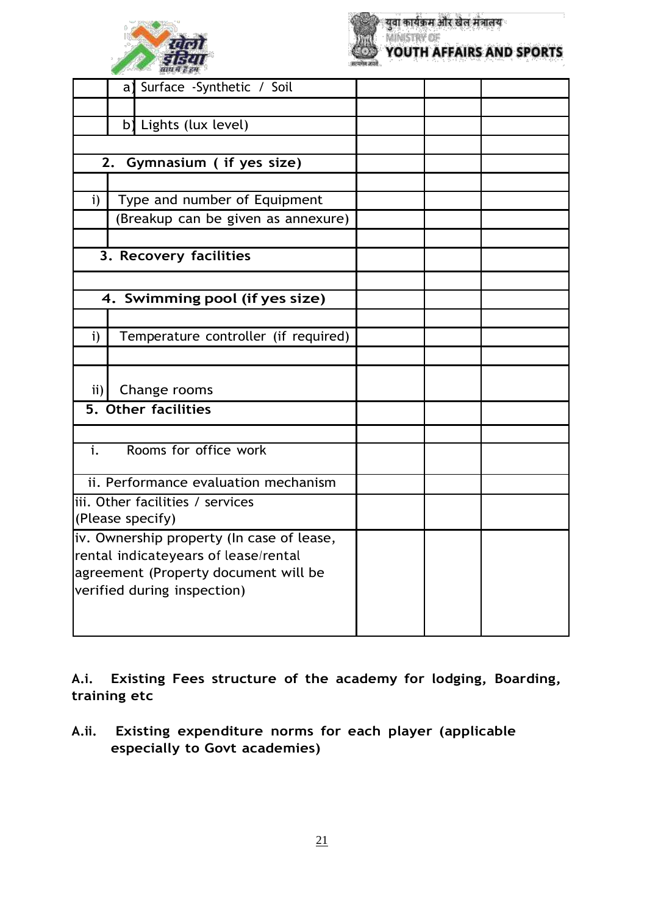



|                    | a) Surface -Synthetic / Soil              |  |  |
|--------------------|-------------------------------------------|--|--|
|                    |                                           |  |  |
|                    | b) Lights (lux level)                     |  |  |
|                    |                                           |  |  |
|                    | 2. Gymnasium ( if yes size)               |  |  |
|                    |                                           |  |  |
| $\mathbf{i}$       | Type and number of Equipment              |  |  |
|                    | (Breakup can be given as annexure)        |  |  |
|                    |                                           |  |  |
|                    | 3. Recovery facilities                    |  |  |
|                    |                                           |  |  |
|                    | 4. Swimming pool (if yes size)            |  |  |
|                    |                                           |  |  |
| i)                 | Temperature controller (if required)      |  |  |
|                    |                                           |  |  |
| $\left  i \right $ | Change rooms                              |  |  |
|                    | 5. Other facilities                       |  |  |
|                    |                                           |  |  |
|                    |                                           |  |  |
| $\mathbf{i}$ .     | Rooms for office work                     |  |  |
|                    | ii. Performance evaluation mechanism      |  |  |
|                    | iii. Other facilities / services          |  |  |
|                    | (Please specify)                          |  |  |
|                    | iv. Ownership property (In case of lease, |  |  |
|                    | rental indicateyears of lease/rental      |  |  |
|                    | agreement (Property document will be      |  |  |
|                    | verified during inspection)               |  |  |
|                    |                                           |  |  |
|                    |                                           |  |  |

**A.i. Existing Fees structure of the academy for lodging, Boarding, training etc**

**A.ii. Existing expenditure norms for each player (applicable especially to Govt academies)**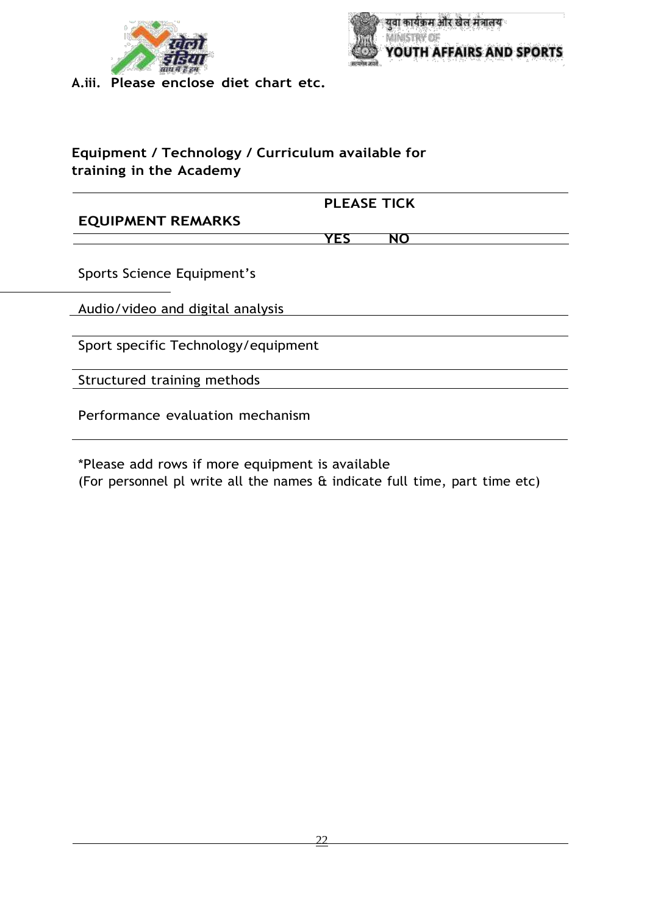



**A.iii. Please enclose diet chart etc.**

# **Equipment / Technology / Curriculum available for training in the Academy**

#### **PLEASE TICK**

#### **EQUIPMENT REMARKS**

**YES NO**

Sports Science Equipment's

Audio/video and digital analysis

Sport specific Technology/equipment

Structured training methods

Performance evaluation mechanism

\*Please add rows if more equipment is available (For personnel pl write all the names & indicate full time, part time etc)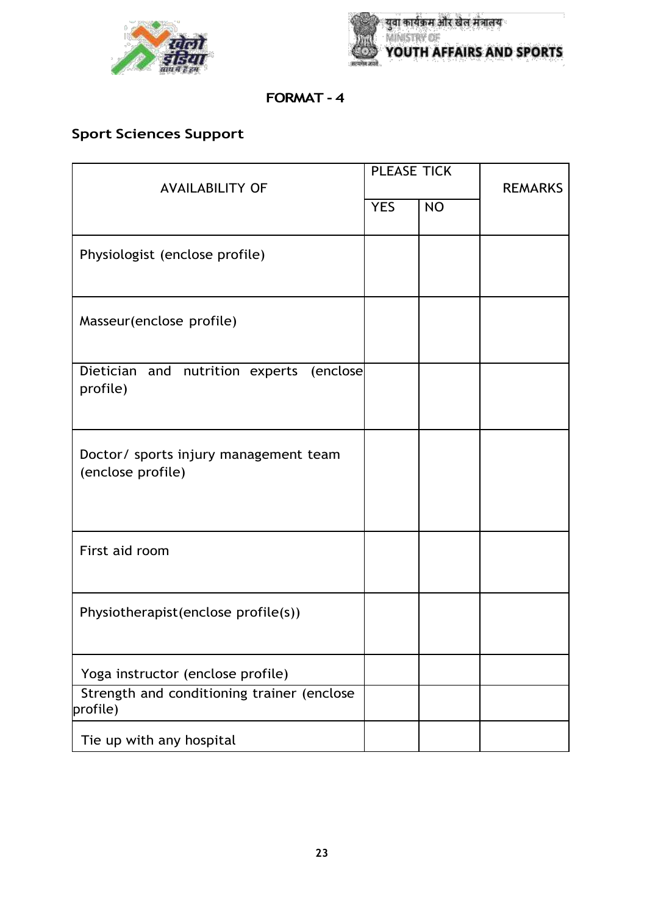



# **FORMAT - 4**

# **Sport Sciences Support**

| <b>PLEASE TICK</b><br><b>AVAILABILITY OF</b>               |            |           | <b>REMARKS</b> |  |
|------------------------------------------------------------|------------|-----------|----------------|--|
|                                                            | <b>YES</b> | <b>NO</b> |                |  |
| Physiologist (enclose profile)                             |            |           |                |  |
| Masseur(enclose profile)                                   |            |           |                |  |
| Dietician<br>and nutrition experts<br>(enclose<br>profile) |            |           |                |  |
| Doctor/ sports injury management team<br>(enclose profile) |            |           |                |  |
| First aid room                                             |            |           |                |  |
| Physiotherapist(enclose profile(s))                        |            |           |                |  |
| Yoga instructor (enclose profile)                          |            |           |                |  |
| Strength and conditioning trainer (enclose<br>profile)     |            |           |                |  |
| Tie up with any hospital                                   |            |           |                |  |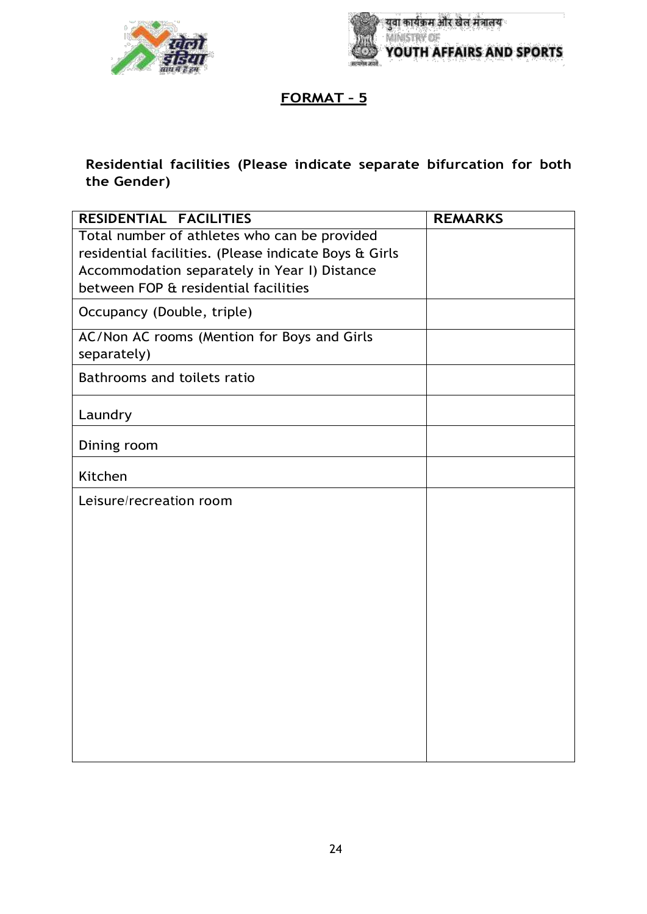



# **Residential facilities (Please indicate separate bifurcation for both the Gender)**

| RESIDENTIAL FACILITIES                                | <b>REMARKS</b> |
|-------------------------------------------------------|----------------|
| Total number of athletes who can be provided          |                |
| residential facilities. (Please indicate Boys & Girls |                |
| Accommodation separately in Year I) Distance          |                |
| between FOP & residential facilities                  |                |
| Occupancy (Double, triple)                            |                |
| AC/Non AC rooms (Mention for Boys and Girls           |                |
| separately)                                           |                |
| Bathrooms and toilets ratio                           |                |
| Laundry                                               |                |
| Dining room                                           |                |
| Kitchen                                               |                |
| Leisure/recreation room                               |                |
|                                                       |                |
|                                                       |                |
|                                                       |                |
|                                                       |                |
|                                                       |                |
|                                                       |                |
|                                                       |                |
|                                                       |                |
|                                                       |                |
|                                                       |                |
|                                                       |                |
|                                                       |                |
|                                                       |                |
|                                                       |                |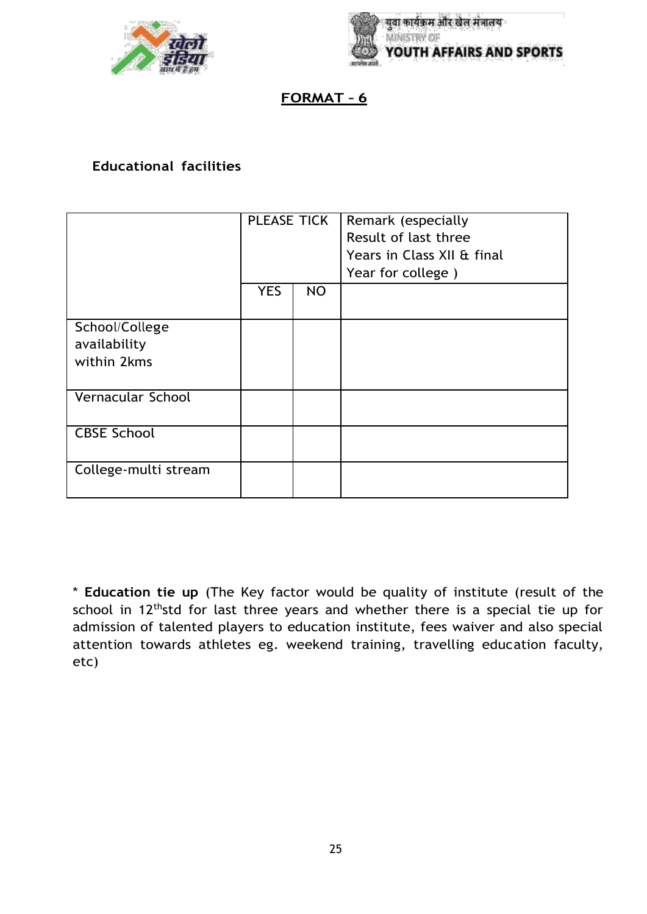



## **Educational facilities**

|                                               | PLEASE TICK |           | Remark (especially<br>Result of last three<br>Years in Class XII & final<br>Year for college) |
|-----------------------------------------------|-------------|-----------|-----------------------------------------------------------------------------------------------|
|                                               | <b>YES</b>  | <b>NO</b> |                                                                                               |
| School/College<br>availability<br>within 2kms |             |           |                                                                                               |
| Vernacular School                             |             |           |                                                                                               |
| <b>CBSE School</b>                            |             |           |                                                                                               |
| College-multi stream                          |             |           |                                                                                               |

\* **Education tie up** (The Key factor would be quality of institute (result of the school in 12<sup>th</sup>std for last three years and whether there is a special tie up for admission of talented players to education institute, fees waiver and also special attention towards athletes eg. weekend training, travelling education faculty, etc)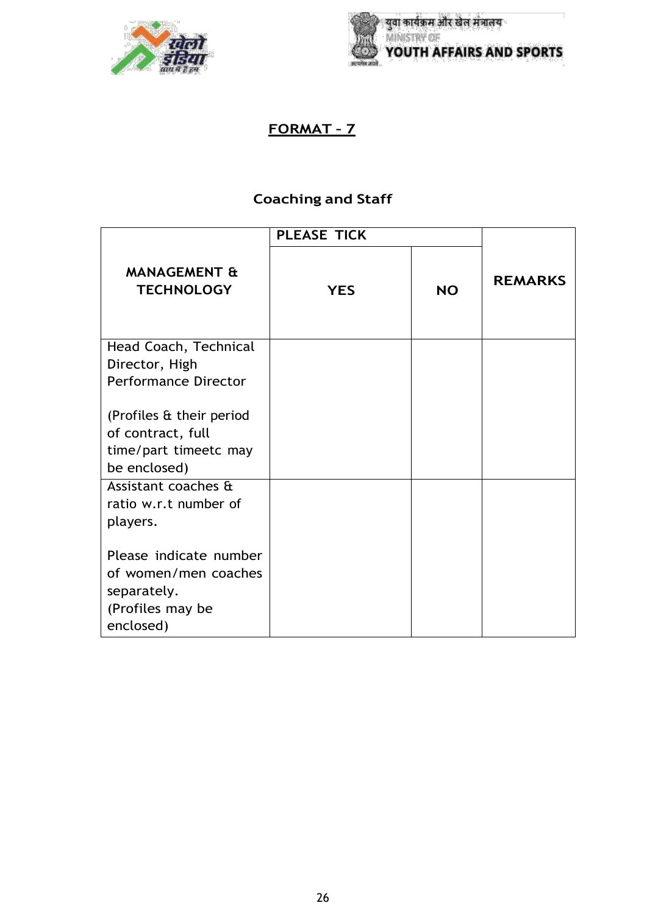



# **Coaching and Staff**

|                                              | <b>PLEASE TICK</b> |           |                |
|----------------------------------------------|--------------------|-----------|----------------|
| <b>MANAGEMENT &amp;</b><br><b>TECHNOLOGY</b> | <b>YES</b>         | <b>NO</b> | <b>REMARKS</b> |
| Head Coach, Technical                        |                    |           |                |
| Director, High                               |                    |           |                |
| <b>Performance Director</b>                  |                    |           |                |
| (Profiles & their period                     |                    |           |                |
| of contract, full                            |                    |           |                |
| time/part timeetc may                        |                    |           |                |
| be enclosed)                                 |                    |           |                |
| Assistant coaches &                          |                    |           |                |
| ratio w.r.t number of                        |                    |           |                |
| players.                                     |                    |           |                |
| Please indicate number                       |                    |           |                |
| of women/men coaches                         |                    |           |                |
| separately.                                  |                    |           |                |
| (Profiles may be                             |                    |           |                |
| enclosed)                                    |                    |           |                |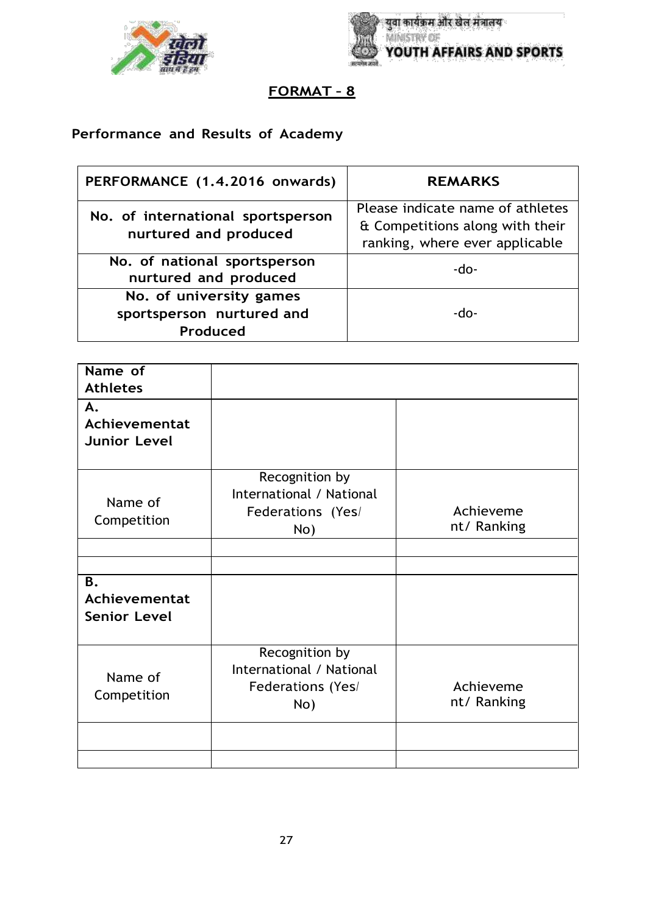



# **Performance and Results of Academy**

| PERFORMANCE (1.4.2016 onwards)                                   | <b>REMARKS</b>                                                                                        |
|------------------------------------------------------------------|-------------------------------------------------------------------------------------------------------|
| No. of international sportsperson<br>nurtured and produced       | Please indicate name of athletes<br>& Competitions along with their<br>ranking, where ever applicable |
| No. of national sportsperson<br>nurtured and produced            | -do-                                                                                                  |
| No. of university games<br>sportsperson nurtured and<br>Produced | -do-                                                                                                  |

| Name of<br><b>Athletes</b>                 |                                                                        |                          |
|--------------------------------------------|------------------------------------------------------------------------|--------------------------|
| А.<br>Achievementat<br><b>Junior Level</b> |                                                                        |                          |
| Name of<br>Competition                     | Recognition by<br>International / National<br>Federations (Yes/<br>No) | Achieveme<br>nt/Ranking  |
| Β.<br>Achievementat<br><b>Senior Level</b> |                                                                        |                          |
| Name of<br>Competition                     | Recognition by<br>International / National<br>Federations (Yes/<br>No) | Achieveme<br>nt/ Ranking |
|                                            |                                                                        |                          |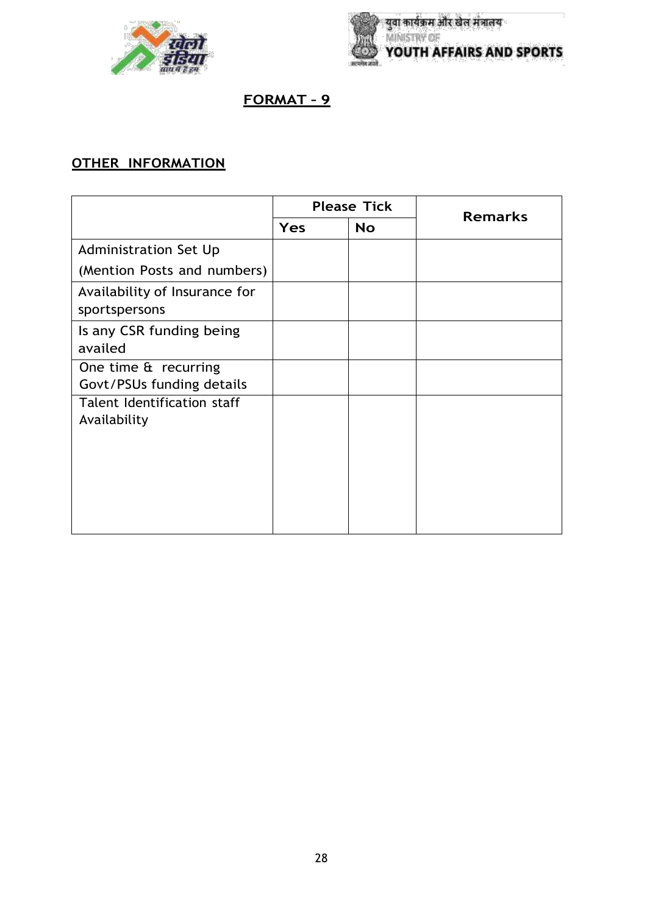



# **OTHER INFORMATION**

|                                                   | <b>Please Tick</b><br>Yes<br><b>No</b> |  | <b>Remarks</b> |
|---------------------------------------------------|----------------------------------------|--|----------------|
|                                                   |                                        |  |                |
| <b>Administration Set Up</b>                      |                                        |  |                |
| (Mention Posts and numbers)                       |                                        |  |                |
| Availability of Insurance for<br>sportspersons    |                                        |  |                |
| Is any CSR funding being<br>availed               |                                        |  |                |
| One time & recurring<br>Govt/PSUs funding details |                                        |  |                |
| Talent Identification staff<br>Availability       |                                        |  |                |
|                                                   |                                        |  |                |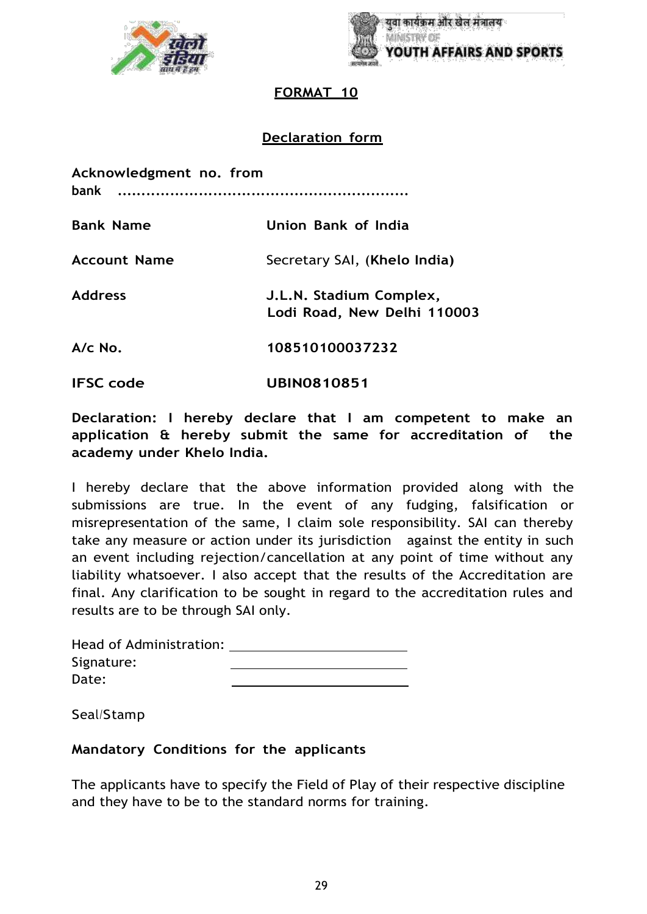



#### **FORMAT 10**

## **Declaration form**

| Acknowledgment no. from<br>bank |                                                        |  |  |  |
|---------------------------------|--------------------------------------------------------|--|--|--|
| <b>Bank Name</b>                | Union Bank of India                                    |  |  |  |
| <b>Account Name</b>             | Secretary SAI, (Khelo India)                           |  |  |  |
| <b>Address</b>                  | J.L.N. Stadium Complex,<br>Lodi Road, New Delhi 110003 |  |  |  |
| $A/c$ No.                       | 108510100037232                                        |  |  |  |
| <b>IFSC</b> code                | <b>UBIN0810851</b>                                     |  |  |  |

**Declaration: I hereby declare that I am competent to make an application & hereby submit the same for accreditation of the academy under Khelo India.**

I hereby declare that the above information provided along with the submissions are true. In the event of any fudging, falsification or misrepresentation of the same, I claim sole responsibility. SAI can thereby take any measure or action under its jurisdiction against the entity in such an event including rejection/cancellation at any point of time without any liability whatsoever. I also accept that the results of the Accreditation are final. Any clarification to be sought in regard to the accreditation rules and results are to be through SAI only.

| Head of Administration: |  |
|-------------------------|--|
| Signature:              |  |
| Date:                   |  |

Seal/Stamp

#### **Mandatory Conditions for the applicants**

The applicants have to specify the Field of Play of their respective discipline and they have to be to the standard norms for training.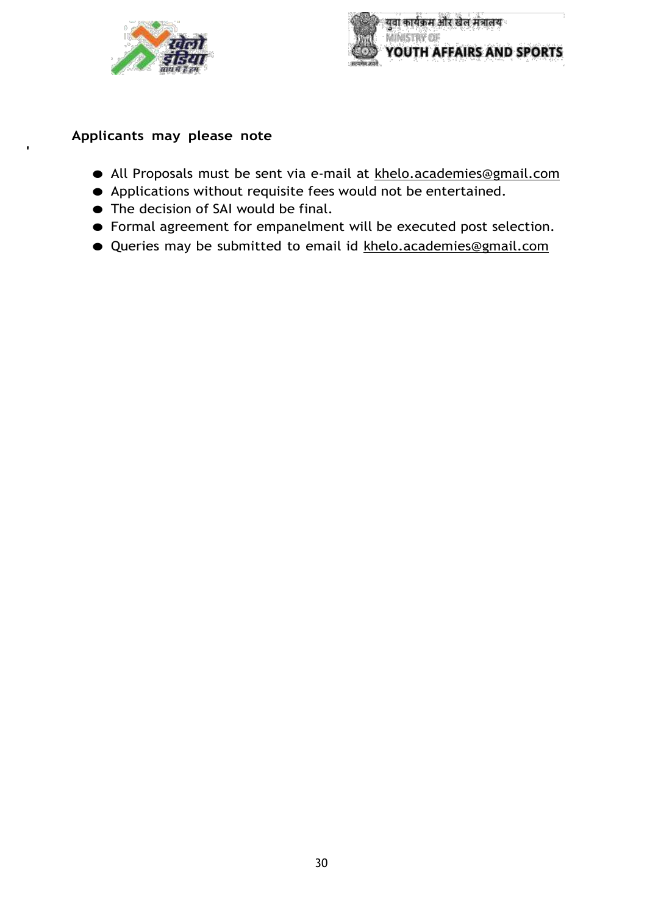



## **Applicants may please note**

**'**

- All Proposals must be sent via e-mail at [khelo.academies@gmail.com](mailto:khelo.academies@gmail.com)
- Applications without requisite fees would not be entertained.
- The decision of SAI would be final.
- Formal agreement for empanelment will be executed post selection.
- Queries may be submitted to email id [khelo.academies@gmail.com](mailto:khelo.academies@gmail.com)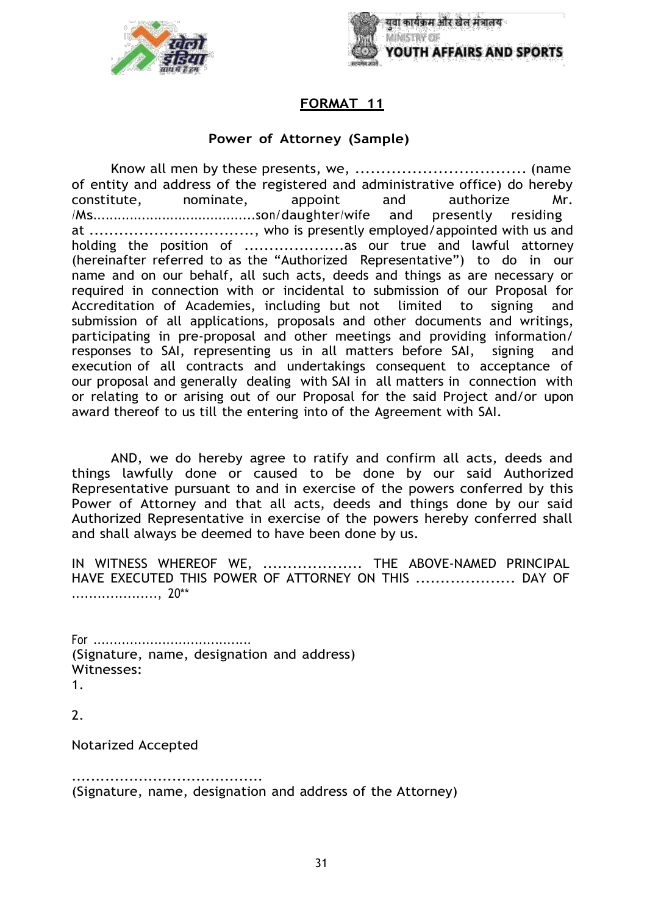



#### **FORMAT 11**

#### **Power of Attorney (Sample)**

Know all men by these presents, we, ................................. (name of entity and address of the registered and administrative office) do hereby constitute, nominate, appoint and authorize Mr. /Ms........................................son/daughter/wife and presently residing at .................................., who is presently employed/appointed with us and holding the position of ....................as our true and lawful attorney (hereinafter referred to as the "Authorized Representative") to do in our name and on our behalf, all such acts, deeds and things as are necessary or required in connection with or incidental to submission of our Proposal for Accreditation of Academies, including but not limited to signing and submission of all applications, proposals and other documents and writings, participating in pre-proposal and other meetings and providing information/ responses to SAI, representing us in all matters before SAI, signing and execution of all contracts and undertakings consequent to acceptance of our proposal and generally dealing with SAI in all matters in connection with or relating to or arising out of our Proposal for the said Project and/or upon award thereof to us till the entering into of the Agreement with SAI.

AND, we do hereby agree to ratify and confirm all acts, deeds and things lawfully done or caused to be done by our said Authorized Representative pursuant to and in exercise of the powers conferred by this Power of Attorney and that all acts, deeds and things done by our said Authorized Representative in exercise of the powers hereby conferred shall and shall always be deemed to have been done by us.

IN WITNESS WHEREOF WE, ..................... THE ABOVE-NAMED PRINCIPAL HAVE EXECUTED THIS POWER OF ATTORNEY ON THIS .................... DAY OF ...................., 20\*\*

For ....................................... (Signature, name, designation and address) Witnesses: 1.

2.

Notarized Accepted

........................................ (Signature, name, designation and address of the Attorney)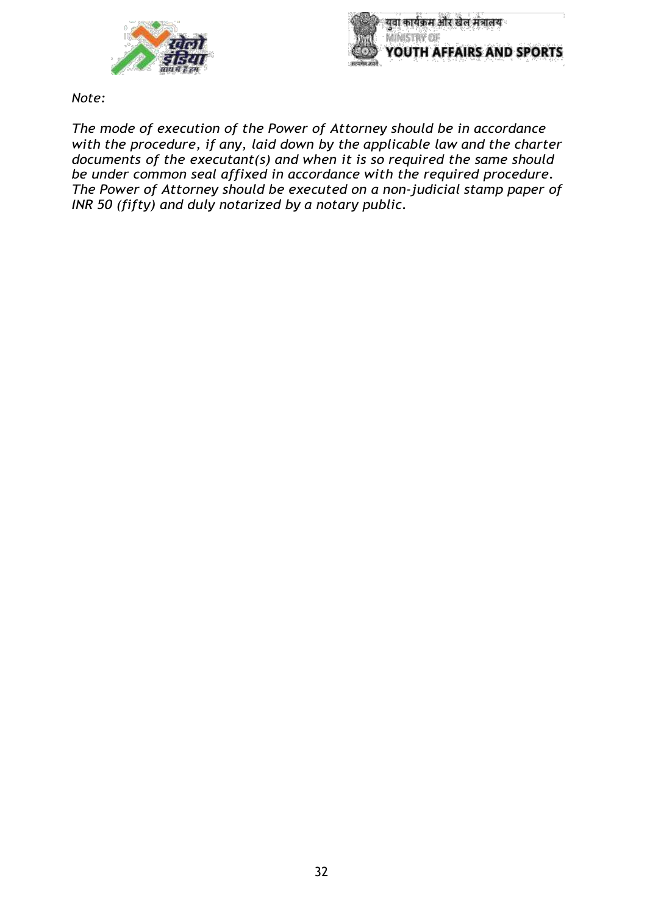



*Note:*

*The mode of execution of the Power of Attorney should be in accordance with the procedure, if any, laid down by the applicable law and the charter documents of the executant(s) and when it is so required the same should be under common seal affixed in accordance with the required procedure. The Power of Attorney should be executed on a non-judicial stamp paper of INR 50 (fifty) and duly notarized by a notary public.*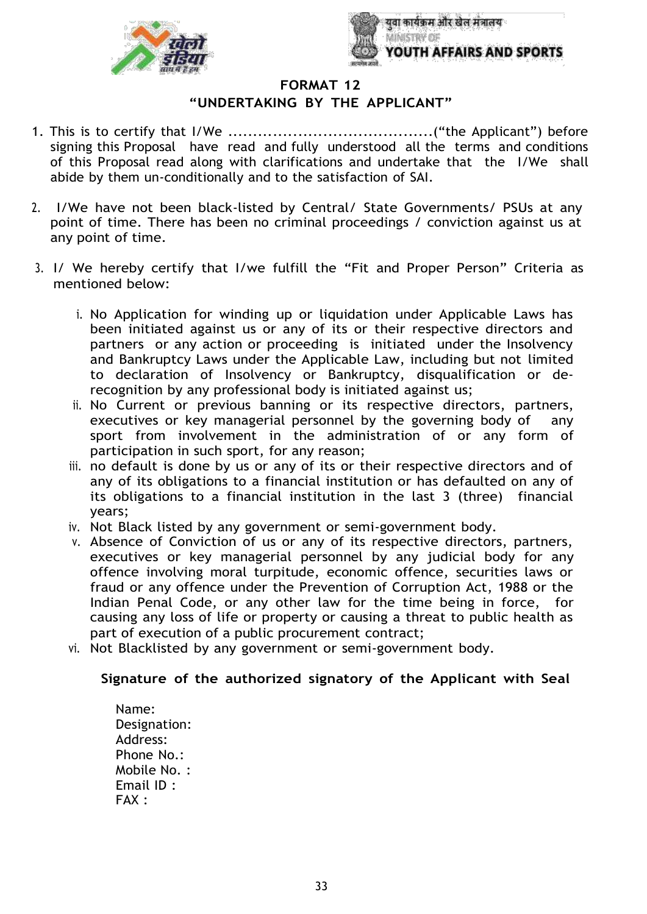



**FORMAT 12**

#### **"UNDERTAKING BY THE APPLICANT"**

- 1. This is to certify that I/We .........................................("the Applicant") before signing this Proposal have read and fully understood all the terms and conditions of this Proposal read along with clarifications and undertake that the I/We shall abide by them un-conditionally and to the satisfaction of SAI.
- 2. I/We have not been black-listed by Central/ State Governments/ PSUs at any point of time. There has been no criminal proceedings / conviction against us at any point of time.
- 3. I/ We hereby certify that I/we fulfill the "Fit and Proper Person" Criteria as mentioned below:
	- i. No Application for winding up or liquidation under Applicable Laws has been initiated against us or any of its or their respective directors and partners or any action or proceeding is initiated under the Insolvency and Bankruptcy Laws under the Applicable Law, including but not limited to declaration of Insolvency or Bankruptcy, disqualification or derecognition by any professional body is initiated against us;
	- ii. No Current or previous banning or its respective directors, partners, executives or key managerial personnel by the governing body of any sport from involvement in the administration of or any form of participation in such sport, for any reason;
	- iii. no default is done by us or any of its or their respective directors and of any of its obligations to a financial institution or has defaulted on any of its obligations to a financial institution in the last 3 (three) financial years;
	- iv. Not Black listed by any government or semi-government body.
	- v. Absence of Conviction of us or any of its respective directors, partners, executives or key managerial personnel by any judicial body for any offence involving moral turpitude, economic offence, securities laws or fraud or any offence under the Prevention of Corruption Act, 1988 or the Indian Penal Code, or any other law for the time being in force, for causing any loss of life or property or causing a threat to public health as part of execution of a public procurement contract;
	- vi. Not Blacklisted by any government or semi-government body.

#### **Signature of the authorized signatory of the Applicant with Seal**

Name: Designation: Address: Phone No.: Mobile No. : Email ID : FAX :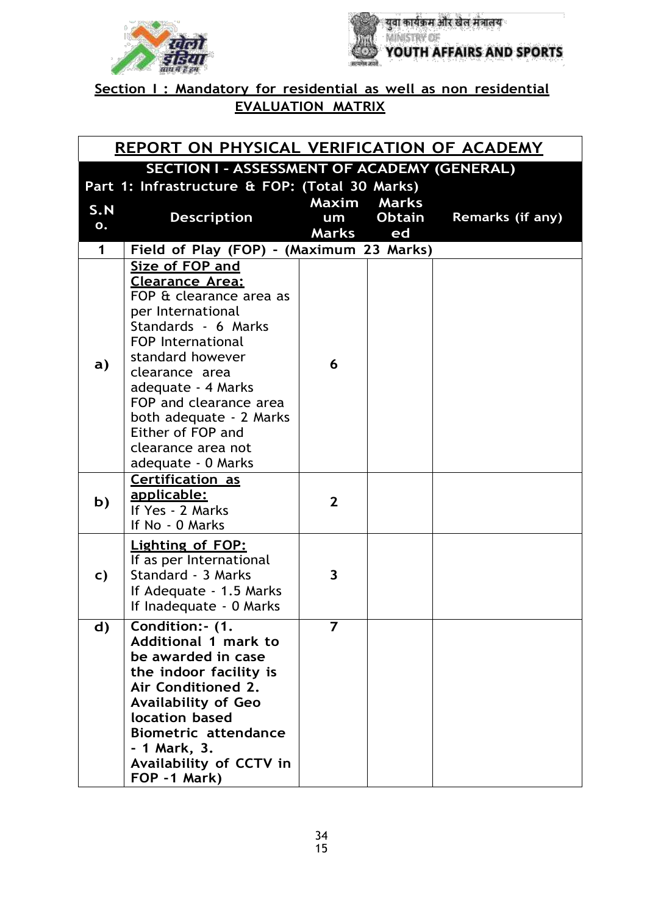



**Section I : Mandatory for residential as well as non residential EVALUATION MATRIX**

| REPORT ON PHYSICAL VERIFICATION OF ACADEMY |                                                                                                                                                                                                                                                                                                                         |                             |                                     |                  |
|--------------------------------------------|-------------------------------------------------------------------------------------------------------------------------------------------------------------------------------------------------------------------------------------------------------------------------------------------------------------------------|-----------------------------|-------------------------------------|------------------|
|                                            | <b>SECTION I - ASSESSMENT OF ACADEMY (GENERAL)</b>                                                                                                                                                                                                                                                                      |                             |                                     |                  |
| S.N<br>0.                                  | Part 1: Infrastructure & FOP: (Total 30 Marks)<br><b>Description</b>                                                                                                                                                                                                                                                    | Maxim<br>um<br><b>Marks</b> | <b>Marks</b><br><b>Obtain</b><br>ed | Remarks (if any) |
| $\mathbf 1$                                | Field of Play (FOP) - (Maximum 23 Marks)                                                                                                                                                                                                                                                                                |                             |                                     |                  |
| a)                                         | Size of FOP and<br>Clearance Area:<br>FOP & clearance area as<br>per International<br>Standards - 6 Marks<br><b>FOP International</b><br>standard however<br>clearance area<br>adequate - 4 Marks<br>FOP and clearance area<br>both adequate - 2 Marks<br>Either of FOP and<br>clearance area not<br>adequate - 0 Marks | 6                           |                                     |                  |
| b)                                         | <b>Certification as</b><br><u>applicable:</u><br>If Yes - 2 Marks<br>If No - 0 Marks                                                                                                                                                                                                                                    | $\overline{2}$              |                                     |                  |
| C)                                         | <b>Lighting of FOP:</b><br>If as per International<br>Standard - 3 Marks<br>If Adequate - 1.5 Marks<br>If Inadequate - 0 Marks                                                                                                                                                                                          | 3                           |                                     |                  |
| d)                                         | Condition: - (1.<br><b>Additional 1 mark to</b><br>be awarded in case<br>the indoor facility is<br>Air Conditioned 2.<br><b>Availability of Geo</b><br>location based<br><b>Biometric attendance</b><br>- 1 Mark, 3.<br>Availability of CCTV in<br>FOP -1 Mark)                                                         | $\overline{\phantom{a}}$    |                                     |                  |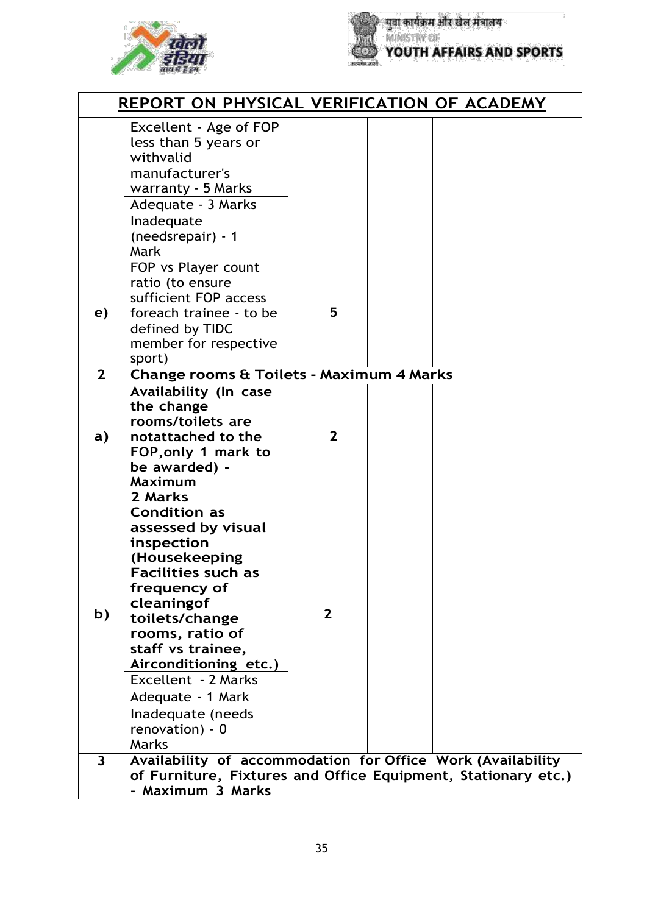



|                         | <b>REPORT ON PHYSICAL VERIFICATION OF ACADEMY</b>                                                                                                                                                                                                                                                                   |                |  |  |  |
|-------------------------|---------------------------------------------------------------------------------------------------------------------------------------------------------------------------------------------------------------------------------------------------------------------------------------------------------------------|----------------|--|--|--|
|                         | Excellent - Age of FOP<br>less than 5 years or<br>withvalid<br>manufacturer's<br>warranty - 5 Marks<br>Adequate - 3 Marks<br>Inadequate<br>(needsrepair) - 1<br>Mark                                                                                                                                                |                |  |  |  |
| e)                      | FOP vs Player count<br>ratio (to ensure<br>sufficient FOP access<br>foreach trainee - to be<br>defined by TIDC<br>member for respective<br>sport)                                                                                                                                                                   | 5              |  |  |  |
| 2 <sup>2</sup>          | Change rooms & Toilets - Maximum 4 Marks<br><b>Availability (In case</b>                                                                                                                                                                                                                                            |                |  |  |  |
| a)                      | the change<br>rooms/toilets are<br>notattached to the<br>FOP, only 1 mark to<br>be awarded) -<br><b>Maximum</b><br>2 Marks                                                                                                                                                                                          | $\overline{2}$ |  |  |  |
| b)                      | <b>Condition as</b><br>assessed by visual<br>inspection<br>(Housekeeping<br><b>Facilities such as</b><br>frequency of<br>cleaningof<br>toilets/change<br>rooms, ratio of<br>staff vs trainee,<br>Airconditioning etc.)<br>Excellent - 2 Marks<br>Adequate - 1 Mark<br>Inadequate (needs<br>renovation) - 0<br>Marks | $\mathbf{2}$   |  |  |  |
| $\overline{\mathbf{3}}$ | Availability of accommodation for Office Work (Availability                                                                                                                                                                                                                                                         |                |  |  |  |
|                         | of Furniture, Fixtures and Office Equipment, Stationary etc.)<br>- Maximum 3 Marks                                                                                                                                                                                                                                  |                |  |  |  |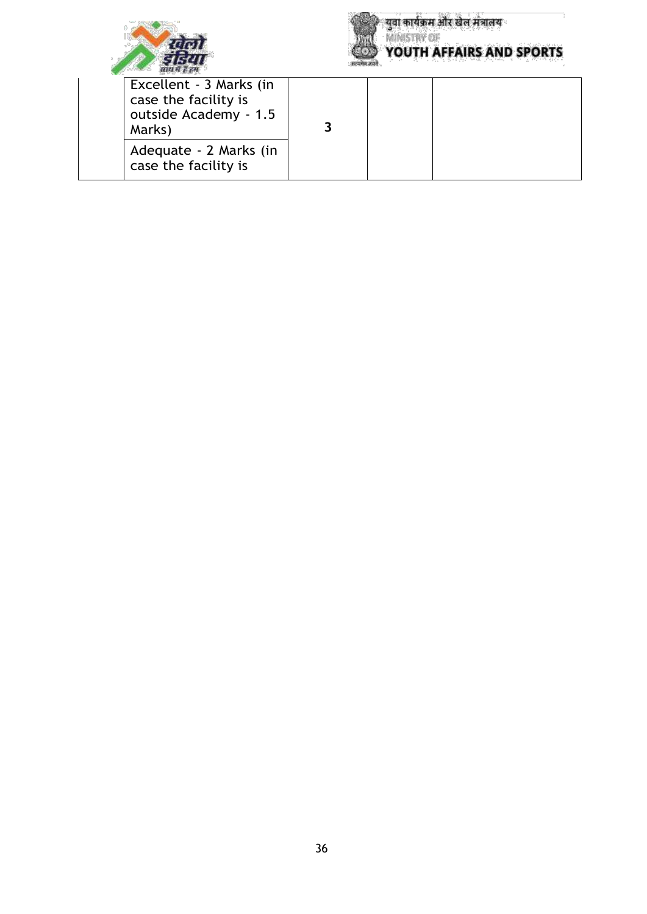



**युवा कार्यक्रम और खेल मंत्रालय**<br>MINISTRY OF **YOUTH AFFAIRS AND SPORTS** 

| Excellent - 3 Marks (in<br>case the facility is<br>outside Academy - 1.5<br>Marks) |  |  |
|------------------------------------------------------------------------------------|--|--|
| Adequate - 2 Marks (in<br>case the facility is                                     |  |  |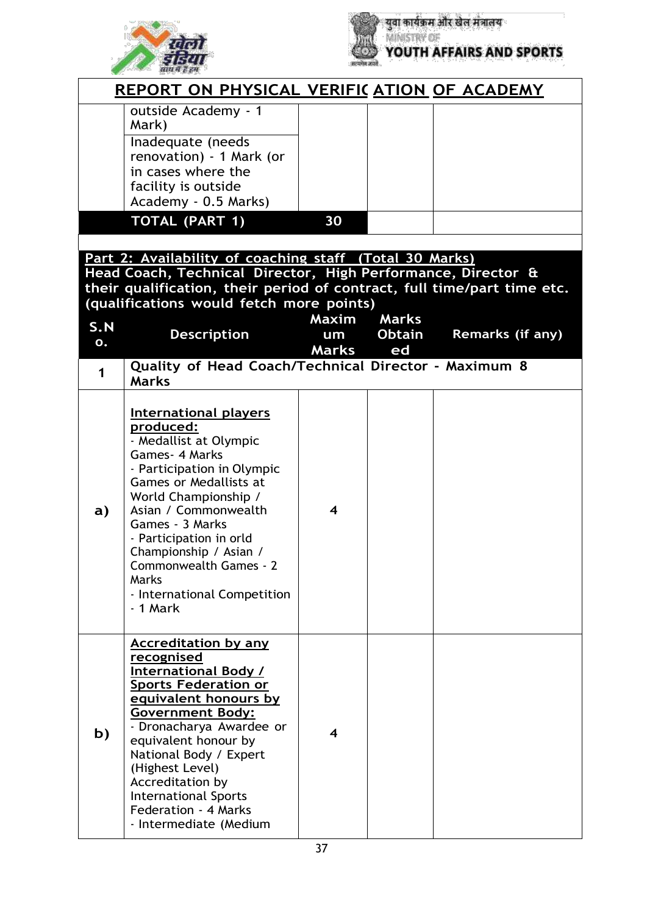



|              | <u>REPORT ON PHYSICAL VERIFICATION OF ACADEMY</u>                                                                                                                                                                                                                                                                                                           |                    |                     |                         |
|--------------|-------------------------------------------------------------------------------------------------------------------------------------------------------------------------------------------------------------------------------------------------------------------------------------------------------------------------------------------------------------|--------------------|---------------------|-------------------------|
|              | outside Academy - 1<br>Mark)<br>Inadequate (needs<br>renovation) - 1 Mark (or<br>in cases where the<br>facility is outside<br>Academy - 0.5 Marks)                                                                                                                                                                                                          |                    |                     |                         |
|              | <b>TOTAL (PART 1)</b>                                                                                                                                                                                                                                                                                                                                       | 30                 |                     |                         |
| S.N          | Part 2: Availability of coaching staff (Total 30 Marks)<br>Head Coach, Technical Director, High Performance, Director &<br>their qualification, their period of contract, full time/part time etc.<br>(qualifications would fetch more points)                                                                                                              | Maxim              | <b>Marks</b>        |                         |
| 0.           | <b>Description</b>                                                                                                                                                                                                                                                                                                                                          | um<br><b>Marks</b> | <b>Obtain</b><br>ed | <b>Remarks (if any)</b> |
| $\mathbf 1$  | Quality of Head Coach/Technical Director - Maximum 8<br><b>Marks</b>                                                                                                                                                                                                                                                                                        |                    |                     |                         |
| $\mathbf{a}$ | <b>International players</b><br>produced:<br>- Medallist at Olympic<br>Games - 4 Marks<br>- Participation in Olympic<br><b>Games or Medallists at</b><br>World Championship /<br>Asian / Commonwealth<br>Games - 3 Marks<br>- Participation in orld<br>Championship / Asian /<br>Commonwealth Games - 2<br>Marks<br>- International Competition<br>- 1 Mark | 4                  |                     |                         |
| b)           | <b>Accreditation by any</b><br>recognised<br>International Body /<br><b>Sports Federation or</b><br>equivalent honours by<br><b>Government Body:</b><br>- Dronacharya Awardee or<br>equivalent honour by<br>National Body / Expert<br>(Highest Level)<br>Accreditation by<br><b>International Sports</b><br>Federation - 4 Marks<br>- Intermediate (Medium  | 4                  |                     |                         |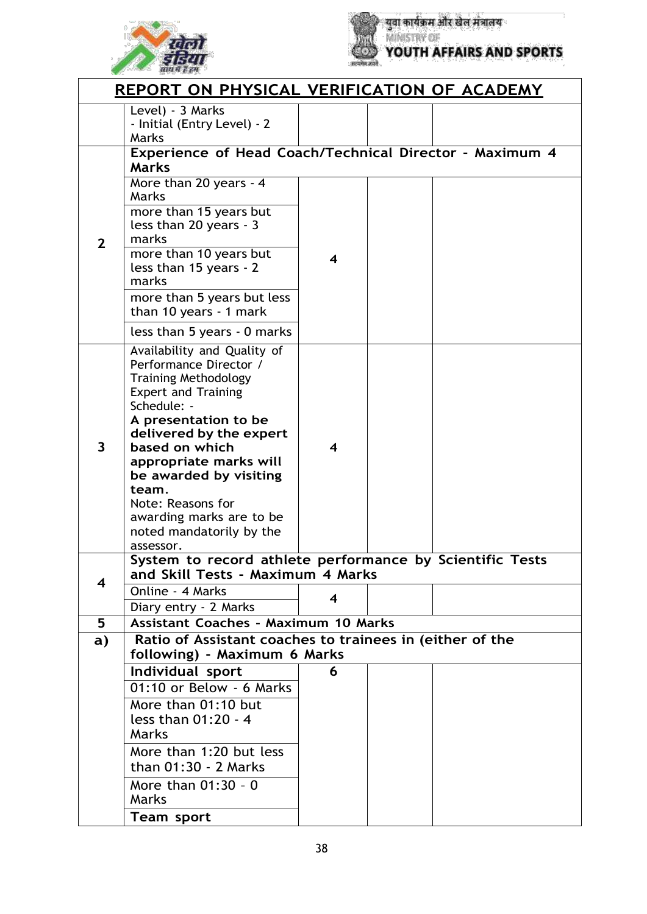



|                                                                         | <b>REPORT ON PHYSICAL VERIFICATION OF ACADEMY</b>                                                                                                                                                                                                                                                                                                                                                                         |   |  |  |
|-------------------------------------------------------------------------|---------------------------------------------------------------------------------------------------------------------------------------------------------------------------------------------------------------------------------------------------------------------------------------------------------------------------------------------------------------------------------------------------------------------------|---|--|--|
|                                                                         | Level) - 3 Marks<br>- Initial (Entry Level) - 2<br>Marks                                                                                                                                                                                                                                                                                                                                                                  |   |  |  |
| Experience of Head Coach/Technical Director - Maximum 4<br><b>Marks</b> |                                                                                                                                                                                                                                                                                                                                                                                                                           |   |  |  |
|                                                                         | More than 20 years - 4<br>Marks                                                                                                                                                                                                                                                                                                                                                                                           |   |  |  |
| $\overline{2}$                                                          | more than 15 years but<br>less than 20 years - 3<br>marks                                                                                                                                                                                                                                                                                                                                                                 |   |  |  |
|                                                                         | more than 10 years but<br>less than 15 years - 2<br>marks                                                                                                                                                                                                                                                                                                                                                                 | 4 |  |  |
|                                                                         | more than 5 years but less<br>than 10 years - 1 mark                                                                                                                                                                                                                                                                                                                                                                      |   |  |  |
|                                                                         | less than 5 years - 0 marks                                                                                                                                                                                                                                                                                                                                                                                               |   |  |  |
| $\overline{\mathbf{3}}$                                                 | Availability and Quality of<br>Performance Director /<br><b>Training Methodology</b><br><b>Expert and Training</b><br>Schedule: -<br>A presentation to be<br>delivered by the expert<br>based on which<br>appropriate marks will<br>be awarded by visiting<br>team.<br>Note: Reasons for<br>awarding marks are to be<br>noted mandatorily by the<br>assessor.<br>System to record athlete performance by Scientific Tests | 4 |  |  |
|                                                                         | and Skill Tests - Maximum 4 Marks                                                                                                                                                                                                                                                                                                                                                                                         |   |  |  |
| $\overline{\mathbf{4}}$                                                 | Online - 4 Marks                                                                                                                                                                                                                                                                                                                                                                                                          | 4 |  |  |
| 5                                                                       | Diary entry - 2 Marks<br><b>Assistant Coaches - Maximum 10 Marks</b>                                                                                                                                                                                                                                                                                                                                                      |   |  |  |
| a)                                                                      | Ratio of Assistant coaches to trainees in (either of the                                                                                                                                                                                                                                                                                                                                                                  |   |  |  |
|                                                                         | following) - Maximum 6 Marks                                                                                                                                                                                                                                                                                                                                                                                              | 6 |  |  |
|                                                                         | Individual sport<br>01:10 or Below - 6 Marks                                                                                                                                                                                                                                                                                                                                                                              |   |  |  |
|                                                                         | More than 01:10 but                                                                                                                                                                                                                                                                                                                                                                                                       |   |  |  |
|                                                                         | less than 01:20 - 4<br>Marks                                                                                                                                                                                                                                                                                                                                                                                              |   |  |  |
|                                                                         | More than 1:20 but less                                                                                                                                                                                                                                                                                                                                                                                                   |   |  |  |
|                                                                         | than 01:30 - 2 Marks                                                                                                                                                                                                                                                                                                                                                                                                      |   |  |  |
|                                                                         | More than 01:30 - 0<br>Marks                                                                                                                                                                                                                                                                                                                                                                                              |   |  |  |
|                                                                         | <b>Team sport</b>                                                                                                                                                                                                                                                                                                                                                                                                         |   |  |  |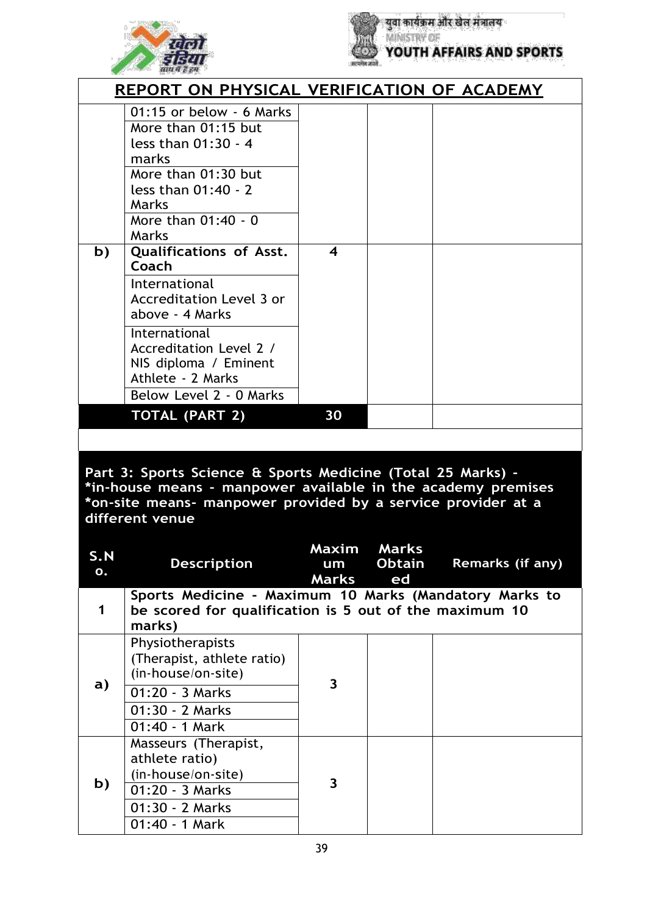



|    | REPORT ON PHYSICAL VERIFICATION OF ACADEMY                                                                                                                               |    |  |  |  |
|----|--------------------------------------------------------------------------------------------------------------------------------------------------------------------------|----|--|--|--|
|    | 01:15 or below - 6 Marks<br>More than 01:15 but<br>less than $01:30 - 4$<br>marks<br>More than 01:30 but<br>less than 01:40 - 2<br>Marks<br>More than 01:40 - 0<br>Marks |    |  |  |  |
| b) | <b>Qualifications of Asst.</b><br>Coach                                                                                                                                  | 4  |  |  |  |
|    | International<br>Accreditation Level 3 or<br>above - 4 Marks                                                                                                             |    |  |  |  |
|    | International<br>Accreditation Level 2 /<br>NIS diploma / Eminent<br>Athlete - 2 Marks                                                                                   |    |  |  |  |
|    | Below Level 2 - 0 Marks                                                                                                                                                  |    |  |  |  |
|    | <b>TOTAL (PART 2)</b>                                                                                                                                                    | 30 |  |  |  |
|    |                                                                                                                                                                          |    |  |  |  |

**Part 3: Sports Science & Sports Medicine (Total 25 Marks) - \*in-house means - manpower available in the academy premises \*on-site means- manpower provided by a service provider at a different venue**

| S.N<br>Ο.    | <b>Description</b>                                                                                                         | Maxim Marks<br>um<br>Marks ed | <b>Obtain</b> | <b>Remarks (if any)</b> |
|--------------|----------------------------------------------------------------------------------------------------------------------------|-------------------------------|---------------|-------------------------|
| 1            | Sports Medicine - Maximum 10 Marks (Mandatory Marks to<br>be scored for qualification is 5 out of the maximum 10<br>marks) |                               |               |                         |
| $\mathbf{a}$ | Physiotherapists<br>(Therapist, athlete ratio)<br>(in-house/on-site)                                                       | 3                             |               |                         |
|              | 01:20 - 3 Marks<br>01:30 - 2 Marks                                                                                         |                               |               |                         |
|              | 01:40 - 1 Mark                                                                                                             |                               |               |                         |
| b)           | Masseurs (Therapist,<br>athlete ratio)<br>(in-house/on-site)<br>01:20 - 3 Marks<br>01:30 - 2 Marks<br>01:40 - 1 Mark       | 3                             |               |                         |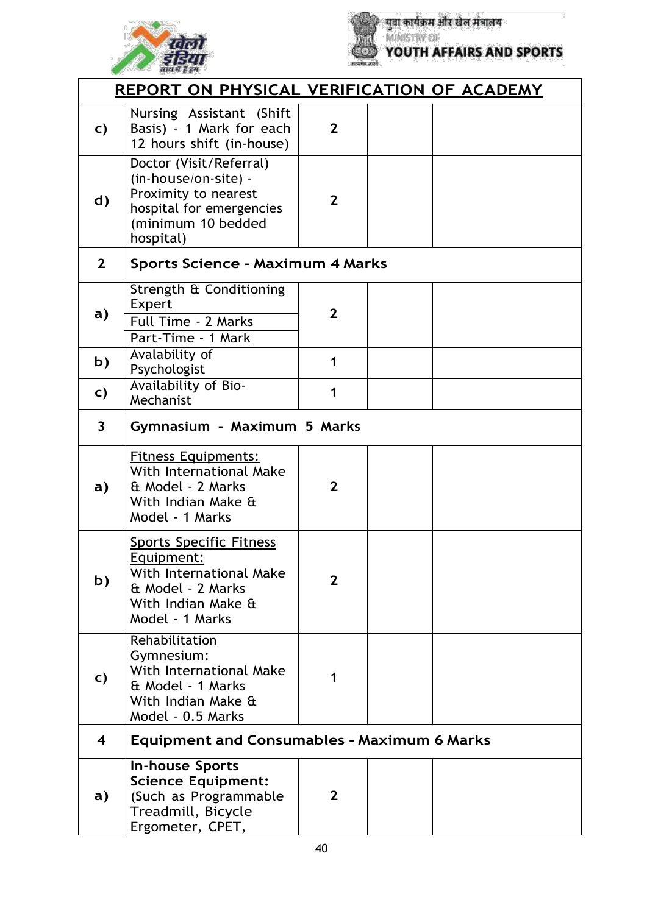



|                         | REPORT ON PHYSICAL VERIFICATION OF ACADEMY                                                                                             |                |  |
|-------------------------|----------------------------------------------------------------------------------------------------------------------------------------|----------------|--|
| C)                      | Nursing Assistant (Shift<br>Basis) - 1 Mark for each<br>12 hours shift (in-house)                                                      | $\overline{2}$ |  |
| d)                      | Doctor (Visit/Referral)<br>(in-house/on-site) -<br>Proximity to nearest<br>hospital for emergencies<br>(minimum 10 bedded<br>hospital) | $\overline{2}$ |  |
| $\overline{2}$          | <b>Sports Science - Maximum 4 Marks</b>                                                                                                |                |  |
| a)                      | Strength & Conditioning<br>Expert<br>Full Time - 2 Marks<br>Part-Time - 1 Mark                                                         | $\overline{2}$ |  |
| b)                      | Avalability of<br>Psychologist                                                                                                         | 1              |  |
| C)                      | Availability of Bio-<br>Mechanist                                                                                                      | 1              |  |
| $\overline{\mathbf{3}}$ | Gymnasium - Maximum 5 Marks                                                                                                            |                |  |
| a)                      | <b>Fitness Equipments:</b><br>With International Make<br>& Model - 2 Marks<br>With Indian Make &<br>Model - 1 Marks                    | $\overline{2}$ |  |
| b)                      | <b>Sports Specific Fitness</b><br>Equipment:<br>With International Make<br>& Model - 2 Marks<br>With Indian Make &<br>Model - 1 Marks  | $\overline{2}$ |  |
| C)                      | Rehabilitation<br>Gymnesium:<br>With International Make<br>& Model - 1 Marks<br>With Indian Make &<br>Model - 0.5 Marks                |                |  |
| $\overline{\mathbf{4}}$ | <b>Equipment and Consumables - Maximum 6 Marks</b>                                                                                     |                |  |
| a)                      | <b>In-house Sports</b><br><b>Science Equipment:</b><br>(Such as Programmable<br>Treadmill, Bicycle<br>Ergometer, CPET,                 | $\mathbf{2}$   |  |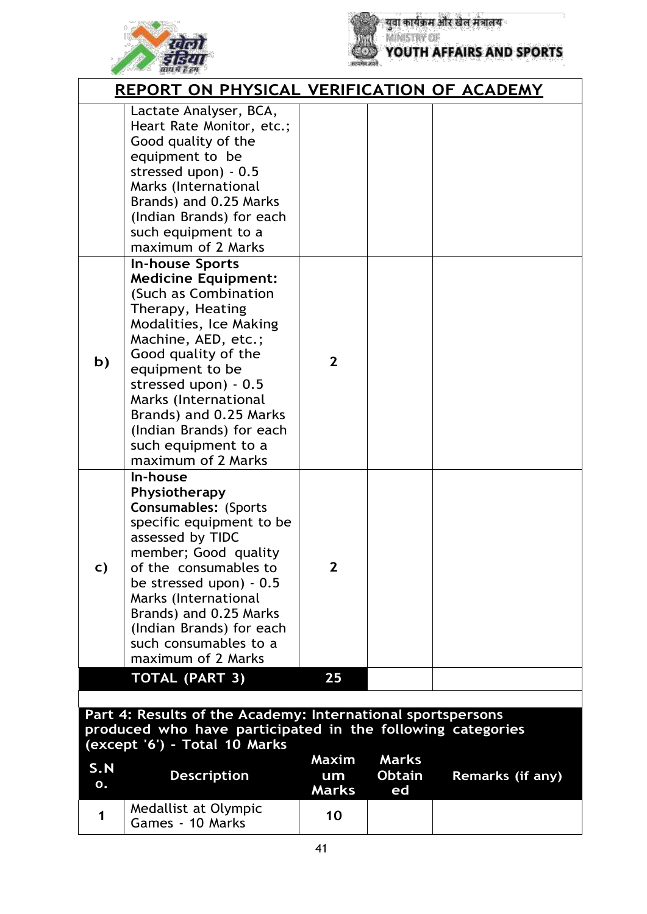



युवा कार्यक्रम और खेल मंत्रालय<br>MINISTRY OF<br>YOUTH AFFAIRS AND SPORTS

|                                                                                                                                                            | REPORT ON PHYSICAL VERIFICATION OF ACADEMY                                                                                                                                                                                                                                                                                                     |                             |                                     |                  |  |
|------------------------------------------------------------------------------------------------------------------------------------------------------------|------------------------------------------------------------------------------------------------------------------------------------------------------------------------------------------------------------------------------------------------------------------------------------------------------------------------------------------------|-----------------------------|-------------------------------------|------------------|--|
|                                                                                                                                                            | Lactate Analyser, BCA,<br>Heart Rate Monitor, etc.;<br>Good quality of the<br>equipment to be<br>stressed upon) - 0.5<br>Marks (International<br>Brands) and 0.25 Marks<br>(Indian Brands) for each<br>such equipment to a<br>maximum of 2 Marks                                                                                               |                             |                                     |                  |  |
| b)                                                                                                                                                         | <b>In-house Sports</b><br><b>Medicine Equipment:</b><br>(Such as Combination<br>Therapy, Heating<br>Modalities, Ice Making<br>Machine, AED, etc.;<br>Good quality of the<br>equipment to be<br>stressed upon) - 0.5<br>Marks (International<br>Brands) and 0.25 Marks<br>(Indian Brands) for each<br>such equipment to a<br>maximum of 2 Marks | $\overline{2}$              |                                     |                  |  |
| C)                                                                                                                                                         | In-house<br>Physiotherapy<br><b>Consumables: (Sports</b><br>specific equipment to be<br>assessed by TIDC<br>member; Good quality<br>of the consumables to<br>be stressed upon) - 0.5<br>Marks (International<br>Brands) and 0.25 Marks<br>(Indian Brands) for each<br>such consumables to a<br>maximum of 2 Marks                              | $\mathbf{2}$                |                                     |                  |  |
|                                                                                                                                                            | <b>TOTAL (PART 3)</b>                                                                                                                                                                                                                                                                                                                          | 25                          |                                     |                  |  |
|                                                                                                                                                            |                                                                                                                                                                                                                                                                                                                                                |                             |                                     |                  |  |
| Part 4: Results of the Academy: International sportspersons<br>produced who have participated in the following categories<br>(except '6') - Total 10 Marks |                                                                                                                                                                                                                                                                                                                                                |                             |                                     |                  |  |
| S.N<br>Ο.                                                                                                                                                  | <b>Description</b>                                                                                                                                                                                                                                                                                                                             | Maxim<br>um<br><b>Marks</b> | <b>Marks</b><br><b>Obtain</b><br>ed | Remarks (if any) |  |
| 1                                                                                                                                                          | Medallist at Olympic<br>Games - 10 Marks                                                                                                                                                                                                                                                                                                       | 10                          |                                     |                  |  |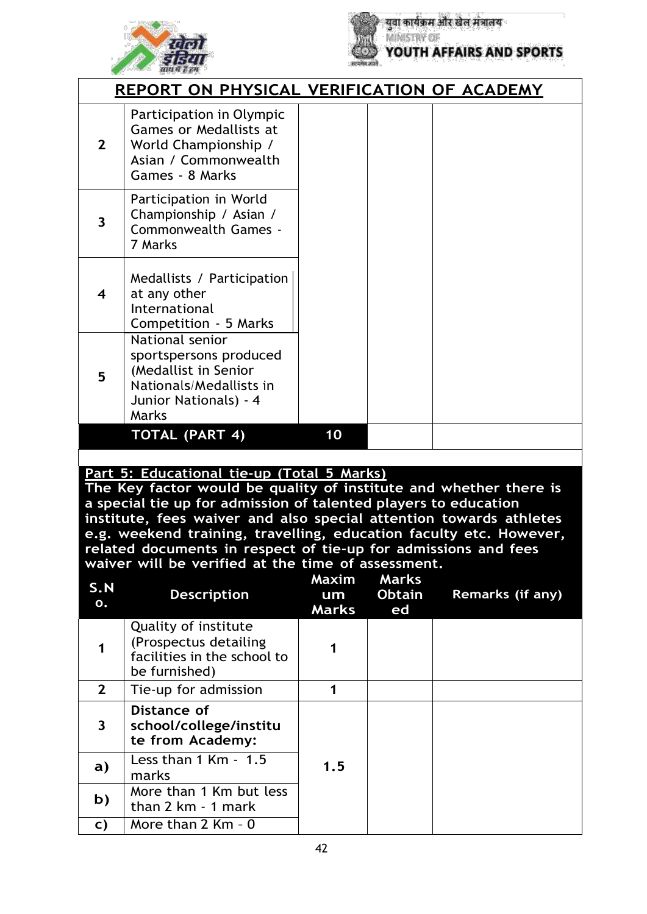



| REPORT ON PHYSICAL VERIFICATION OF ACADEMY |                                                                                                                                |    |  |  |
|--------------------------------------------|--------------------------------------------------------------------------------------------------------------------------------|----|--|--|
| $\overline{2}$                             | Participation in Olympic<br><b>Games or Medallists at</b><br>World Championship /<br>Asian / Commonwealth<br>Games - 8 Marks   |    |  |  |
| $\overline{\mathbf{3}}$                    | Participation in World<br>Championship / Asian /<br>Commonwealth Games -<br>7 Marks                                            |    |  |  |
| 4                                          | Medallists / Participation<br>at any other<br>International<br>Competition - 5 Marks                                           |    |  |  |
| 5                                          | National senior<br>sportspersons produced<br>(Medallist in Senior<br>Nationals/Medallists in<br>Junior Nationals) - 4<br>Marks |    |  |  |
|                                            | <b>TOTAL (PART 4)</b>                                                                                                          | 10 |  |  |

#### **Part 5: Educational tie-up (Total 5 Marks)**

**The Key factor would be quality of institute and whether there is a special tie up for admission of talented players to education institute, fees waiver and also special attention towards athletes e.g. weekend training, travelling, education faculty etc. However, related documents in respect of tie-up for admissions and fees waiver will be verified at the time of assessment.**

| S.N<br>$\mathbf{o}$ .   | <b>Description</b>                                                                            | Maxim<br>um<br><b>Marks</b> | <b>Marks</b><br><b>Obtain</b><br>ed | Remarks (if any) |
|-------------------------|-----------------------------------------------------------------------------------------------|-----------------------------|-------------------------------------|------------------|
| 1                       | Quality of institute<br>(Prospectus detailing<br>facilities in the school to<br>be furnished) |                             |                                     |                  |
| $\overline{2}$          | Tie-up for admission                                                                          | 1                           |                                     |                  |
| $\overline{\mathbf{3}}$ | Distance of<br>school/college/institu<br>te from Academy:                                     |                             |                                     |                  |
| a)                      | Less than $1$ Km $-1.5$<br>marks                                                              | 1.5                         |                                     |                  |
| b)                      | More than 1 Km but less<br>than 2 km - 1 mark                                                 |                             |                                     |                  |
| C)                      | More than $2$ Km - $0$                                                                        |                             |                                     |                  |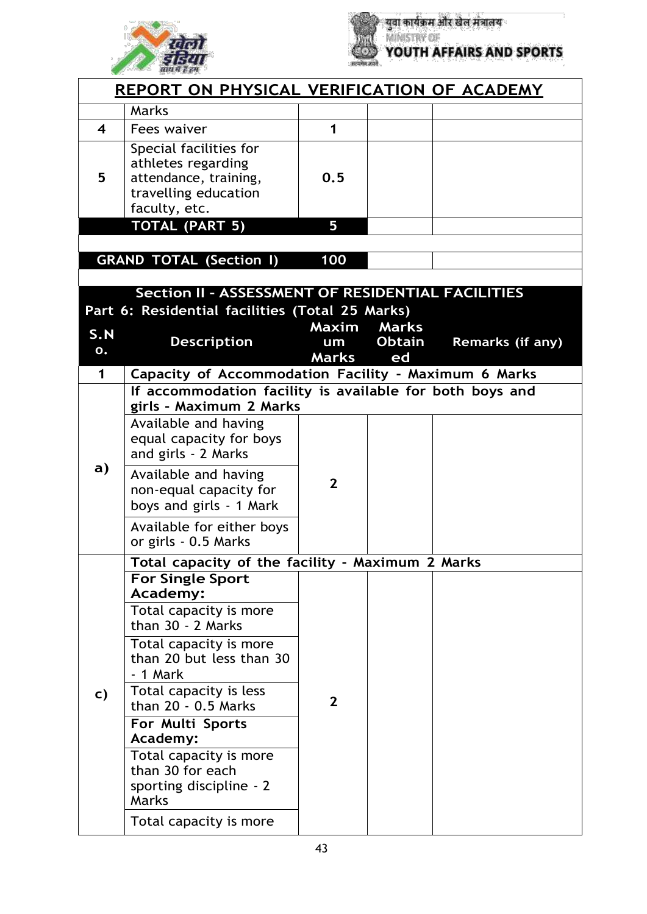



**युवा कार्यक्रम और खेल मंत्रालय**<br>MINISTRY OF YOUTH AFFAIRS AND SPORTS

| <u>REPORT ON PHYSICAL VERIFICATION OF ACADEMY</u> |                                                                                                                  |                |               |                         |  |  |
|---------------------------------------------------|------------------------------------------------------------------------------------------------------------------|----------------|---------------|-------------------------|--|--|
|                                                   | Marks                                                                                                            |                |               |                         |  |  |
| $\overline{\mathbf{4}}$                           | Fees waiver                                                                                                      | $\mathbf{1}$   |               |                         |  |  |
| 5                                                 | Special facilities for<br>athletes regarding<br>attendance, training,<br>travelling education<br>faculty, etc.   | 0.5            |               |                         |  |  |
|                                                   | <b>TOTAL (PART 5)</b>                                                                                            | 5              |               |                         |  |  |
|                                                   |                                                                                                                  |                |               |                         |  |  |
| <b>GRAND TOTAL (Section I)</b><br>100             |                                                                                                                  |                |               |                         |  |  |
|                                                   | Section II - ASSESSMENT OF RESIDENTIAL FACILITIES                                                                |                |               |                         |  |  |
|                                                   | Part 6: Residential facilities (Total 25 Marks)                                                                  |                |               |                         |  |  |
| S.N                                               |                                                                                                                  | Maxim          | <b>Marks</b>  |                         |  |  |
| 0.                                                | <b>Description</b>                                                                                               | um             | <b>Obtain</b> | <b>Remarks (if any)</b> |  |  |
| 1                                                 |                                                                                                                  | <b>Marks</b>   | ed            |                         |  |  |
|                                                   | Capacity of Accommodation Facility - Maximum 6 Marks<br>If accommodation facility is available for both boys and |                |               |                         |  |  |
|                                                   | girls - Maximum 2 Marks                                                                                          |                |               |                         |  |  |
| a)                                                | Available and having<br>equal capacity for boys<br>and girls - 2 Marks                                           | $\overline{2}$ |               |                         |  |  |
|                                                   | Available and having<br>non-equal capacity for<br>boys and girls - 1 Mark                                        |                |               |                         |  |  |
|                                                   | Available for either boys<br>or girls - 0.5 Marks                                                                |                |               |                         |  |  |
|                                                   | Total capacity of the facility - Maximum 2 Marks                                                                 |                |               |                         |  |  |
|                                                   | <b>For Single Sport</b><br>Academy:                                                                              |                |               |                         |  |  |
|                                                   | Total capacity is more<br>than 30 - 2 Marks                                                                      |                |               |                         |  |  |
|                                                   | Total capacity is more<br>than 20 but less than 30<br>- 1 Mark                                                   |                |               |                         |  |  |
| c)                                                | Total capacity is less<br>than 20 - 0.5 Marks                                                                    | $\overline{2}$ |               |                         |  |  |
|                                                   | For Multi Sports<br>Academy:                                                                                     |                |               |                         |  |  |
|                                                   | Total capacity is more<br>than 30 for each<br>sporting discipline - 2<br>Marks                                   |                |               |                         |  |  |
|                                                   | Total capacity is more                                                                                           |                |               |                         |  |  |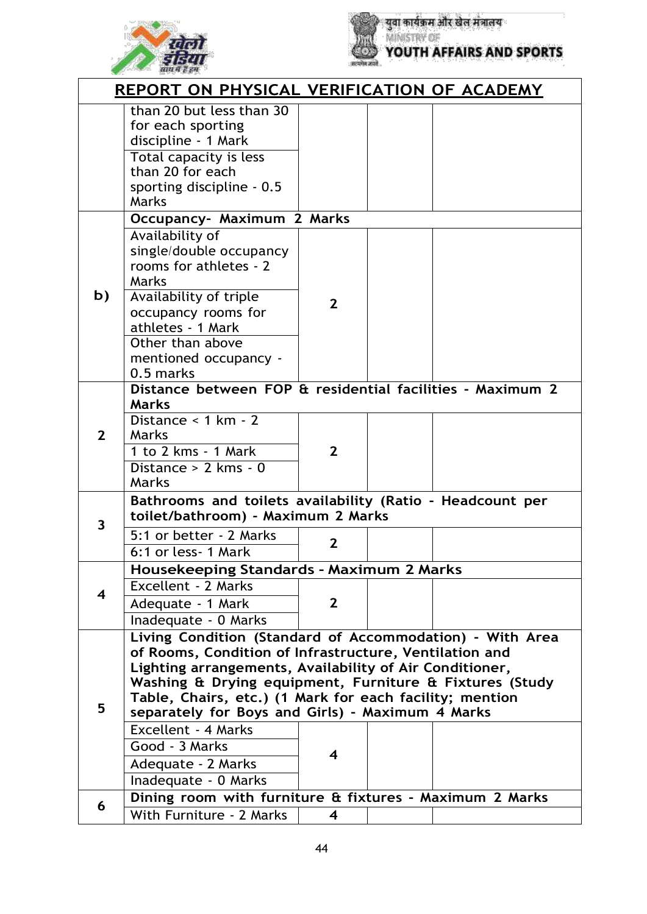



युवा कार्यक्रम और खेल मंत्रालय<br>MINISTRY OF<br>YOUTH AFFAIRS AND SPORTS

|                         | <u>REPORT ON PHYSICAL VERIFICATION OF ACADEMY</u>                                                                                                                                                                                                                                                                                                       |                |  |  |  |
|-------------------------|---------------------------------------------------------------------------------------------------------------------------------------------------------------------------------------------------------------------------------------------------------------------------------------------------------------------------------------------------------|----------------|--|--|--|
|                         | than 20 but less than 30<br>for each sporting<br>discipline - 1 Mark<br>Total capacity is less<br>than 20 for each<br>sporting discipline - 0.5<br>Marks                                                                                                                                                                                                |                |  |  |  |
|                         | Occupancy- Maximum 2 Marks                                                                                                                                                                                                                                                                                                                              |                |  |  |  |
| b)                      | Availability of<br>single/double occupancy<br>rooms for athletes - 2<br>Marks<br>Availability of triple<br>occupancy rooms for<br>athletes - 1 Mark<br>Other than above<br>mentioned occupancy -<br>0.5 marks                                                                                                                                           | $\overline{2}$ |  |  |  |
|                         | Distance between FOP & residential facilities - Maximum 2<br><b>Marks</b>                                                                                                                                                                                                                                                                               |                |  |  |  |
| $\overline{2}$          | Distance < $1 km - 2$<br>Marks<br>1 to 2 kms - 1 Mark<br>Distance $> 2$ kms - 0<br>Marks                                                                                                                                                                                                                                                                | $\mathbf{2}$   |  |  |  |
| 3                       | Bathrooms and toilets availability (Ratio - Headcount per<br>toilet/bathroom) - Maximum 2 Marks                                                                                                                                                                                                                                                         |                |  |  |  |
|                         | 5:1 or better - 2 Marks<br>6:1 or less-1 Mark                                                                                                                                                                                                                                                                                                           | $\mathbf{2}$   |  |  |  |
|                         | <b>Housekeeping Standards - Maximum 2 Marks</b>                                                                                                                                                                                                                                                                                                         |                |  |  |  |
| $\overline{\mathbf{4}}$ | <b>Excellent - 2 Marks</b><br>Adequate - 1 Mark<br>Inadequate - 0 Marks                                                                                                                                                                                                                                                                                 | $\mathbf{2}$   |  |  |  |
| 5                       | Living Condition (Standard of Accommodation) - With Area<br>of Rooms, Condition of Infrastructure, Ventilation and<br>Lighting arrangements, Availability of Air Conditioner,<br>Washing & Drying equipment, Furniture & Fixtures (Study<br>Table, Chairs, etc.) (1 Mark for each facility; mention<br>separately for Boys and Girls) - Maximum 4 Marks |                |  |  |  |
|                         | <b>Excellent - 4 Marks</b><br>Good - 3 Marks<br>Adequate - 2 Marks<br>Inadequate - 0 Marks                                                                                                                                                                                                                                                              | 4              |  |  |  |
| 6                       | Dining room with furniture & fixtures - Maximum 2 Marks                                                                                                                                                                                                                                                                                                 |                |  |  |  |
|                         | With Furniture - 2 Marks                                                                                                                                                                                                                                                                                                                                | 4              |  |  |  |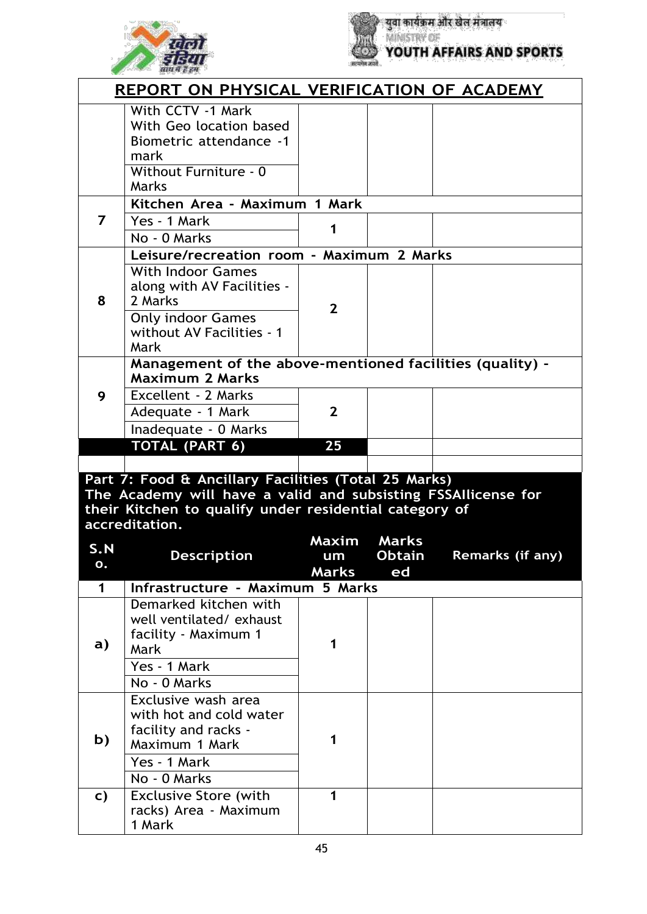



|           | <b>REPORT ON PHYSICAL VERIFICATION OF ACADEMY</b>                                                                                                                                                 |                |               |                  |
|-----------|---------------------------------------------------------------------------------------------------------------------------------------------------------------------------------------------------|----------------|---------------|------------------|
|           | With CCTV -1 Mark<br>With Geo location based<br><b>Biometric attendance -1</b><br>mark<br>Without Furniture - 0<br>Marks                                                                          |                |               |                  |
|           | Kitchen Area - Maximum 1 Mark                                                                                                                                                                     |                |               |                  |
| 7         | Yes - 1 Mark<br>No - 0 Marks                                                                                                                                                                      | 1              |               |                  |
|           | Leisure/recreation room - Maximum 2 Marks                                                                                                                                                         |                |               |                  |
| 8         | <b>With Indoor Games</b><br>along with AV Facilities -<br>2 Marks<br><b>Only indoor Games</b><br>without AV Facilities - 1<br>Mark                                                                | $\overline{2}$ |               |                  |
|           | Management of the above-mentioned facilities (quality) -<br><b>Maximum 2 Marks</b>                                                                                                                |                |               |                  |
| 9         | Excellent - 2 Marks<br>Adequate - 1 Mark<br>Inadequate - 0 Marks                                                                                                                                  | $\mathbf{2}$   |               |                  |
|           |                                                                                                                                                                                                   |                |               |                  |
|           |                                                                                                                                                                                                   | 25             |               |                  |
|           | TOTAL (PART 6)                                                                                                                                                                                    |                |               |                  |
|           | Part 7: Food & Ancillary Facilities (Total 25 Marks)<br>The Academy will have a valid and subsisting FSSAllicense for<br>their Kitchen to qualify under residential category of<br>accreditation. |                |               |                  |
|           |                                                                                                                                                                                                   | Maxim          | <b>Marks</b>  |                  |
| S.N<br>υ. | <b>Description</b>                                                                                                                                                                                | um             | <b>Obtain</b> | Remarks (if any) |
| 1         | Infrastructure - Maximum 5 Marks                                                                                                                                                                  | <b>Marks</b>   | ed            |                  |
| a)        | Demarked kitchen with<br>well ventilated/exhaust<br>facility - Maximum 1<br>Mark<br>Yes - 1 Mark                                                                                                  | 1              |               |                  |
|           | No - 0 Marks                                                                                                                                                                                      |                |               |                  |
| b)        | Exclusive wash area<br>with hot and cold water<br>facility and racks -<br>Maximum 1 Mark                                                                                                          | 1              |               |                  |
|           | Yes - 1 Mark<br>No - 0 Marks                                                                                                                                                                      |                |               |                  |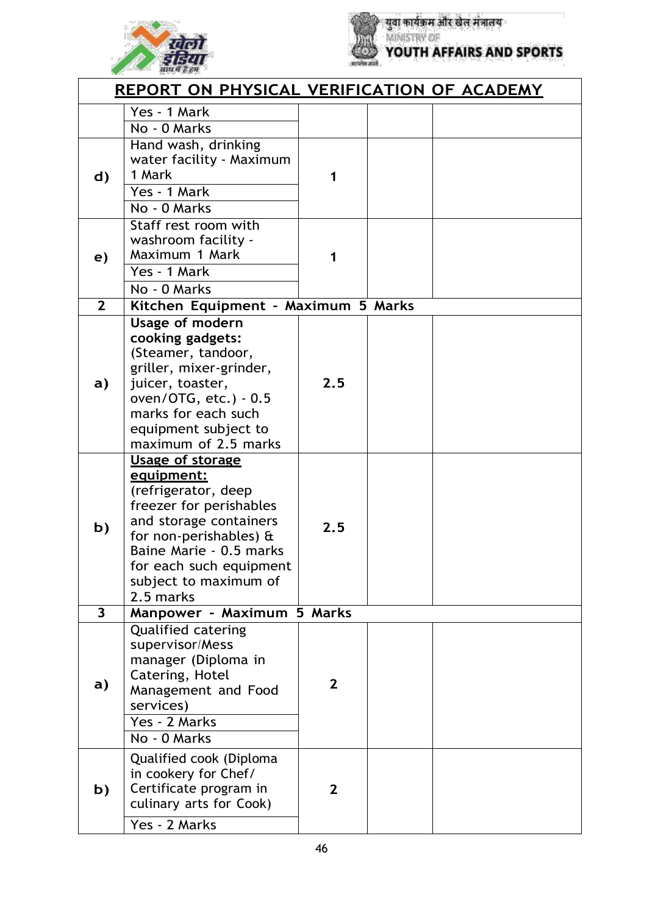



**युवा कार्यक्रम और खेल मंत्रालय**<br>MINISTRY OF **YOUTH AFFAIRS AND SPORTS** 

|                         | REPORT ON PHYSICAL VERIFICATION OF ACADEMY                                                                                                                                                                                              |              |  |
|-------------------------|-----------------------------------------------------------------------------------------------------------------------------------------------------------------------------------------------------------------------------------------|--------------|--|
|                         | Yes - 1 Mark                                                                                                                                                                                                                            |              |  |
|                         | No - 0 Marks                                                                                                                                                                                                                            |              |  |
| d)                      | Hand wash, drinking<br>water facility - Maximum<br>1 Mark<br>Yes - 1 Mark<br>No - 0 Marks                                                                                                                                               | 1            |  |
| e)                      | Staff rest room with<br>washroom facility -<br>Maximum 1 Mark<br>Yes - 1 Mark<br>No - 0 Marks                                                                                                                                           |              |  |
| $\overline{2}$          | Kitchen Equipment - Maximum 5 Marks                                                                                                                                                                                                     |              |  |
| a)                      | <b>Usage of modern</b><br>cooking gadgets:<br>(Steamer, tandoor,<br>griller, mixer-grinder,<br>juicer, toaster,<br>oven/OTG, etc.) - 0.5<br>marks for each such<br>equipment subject to<br>maximum of 2.5 marks                         | 2.5          |  |
| b)                      | <b>Usage of storage</b><br>equipment:<br>(refrigerator, deep<br>freezer for perishables<br>and storage containers<br>for non-perishables) &<br>Baine Marie - 0.5 marks<br>for each such equipment<br>subject to maximum of<br>2.5 marks | 2.5          |  |
| $\overline{\mathbf{3}}$ | Manpower - Maximum 5 Marks                                                                                                                                                                                                              |              |  |
| a)                      | <b>Qualified catering</b><br>supervisor/Mess<br>manager (Diploma in<br>Catering, Hotel<br>Management and Food<br>services)<br>Yes - 2 Marks<br>No - 0 Marks                                                                             | $\mathbf{2}$ |  |
| b)                      | Qualified cook (Diploma<br>in cookery for Chef/<br>Certificate program in<br>culinary arts for Cook)<br>Yes - 2 Marks                                                                                                                   | $\mathbf{2}$ |  |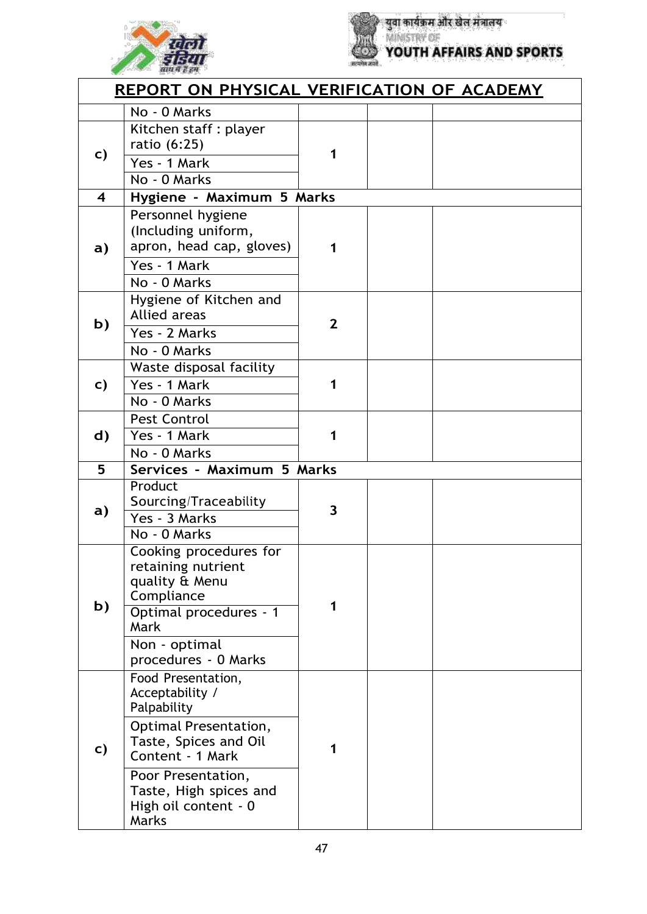



युवा कार्यक्रम और खेल मंत्रालय<br>MINISTRY OF<br>YOUTH AFFAIRS AND SPORTS

|                         | REPORT ON PHYSICAL VERIFICATION OF ACADEMY                                                                                                                                                                         |                |  |
|-------------------------|--------------------------------------------------------------------------------------------------------------------------------------------------------------------------------------------------------------------|----------------|--|
|                         | No - 0 Marks                                                                                                                                                                                                       |                |  |
| C)                      | Kitchen staff : player<br>ratio (6:25)<br>Yes - 1 Mark<br>No - 0 Marks                                                                                                                                             | 1              |  |
| $\overline{\mathbf{4}}$ | Hygiene - Maximum 5 Marks                                                                                                                                                                                          |                |  |
| $\mathbf{a}$            | Personnel hygiene<br>(Including uniform,<br>apron, head cap, gloves)<br>Yes - 1 Mark<br>No - 0 Marks                                                                                                               | 1              |  |
| b)                      | Hygiene of Kitchen and<br><b>Allied areas</b><br>Yes - 2 Marks<br>No - 0 Marks                                                                                                                                     | $\overline{2}$ |  |
| C)                      | Waste disposal facility<br>Yes - 1 Mark<br>No - 0 Marks                                                                                                                                                            | 1              |  |
| d)                      | Pest Control<br>Yes - 1 Mark<br>No - 0 Marks                                                                                                                                                                       | 1              |  |
| 5                       | Services - Maximum 5 Marks                                                                                                                                                                                         |                |  |
| $\mathbf{a}$            | Product<br>Sourcing/Traceability<br>Yes - 3 Marks<br>No - 0 Marks                                                                                                                                                  | 3              |  |
| b)                      | Cooking procedures for<br>retaining nutrient<br>quality & Menu<br>Compliance<br>Optimal procedures - 1<br>Mark<br>Non - optimal<br>procedures - 0 Marks                                                            |                |  |
| c)                      | Food Presentation,<br>Acceptability /<br>Palpability<br><b>Optimal Presentation,</b><br>Taste, Spices and Oil<br>Content - 1 Mark<br>Poor Presentation,<br>Taste, High spices and<br>High oil content - 0<br>Marks | 1              |  |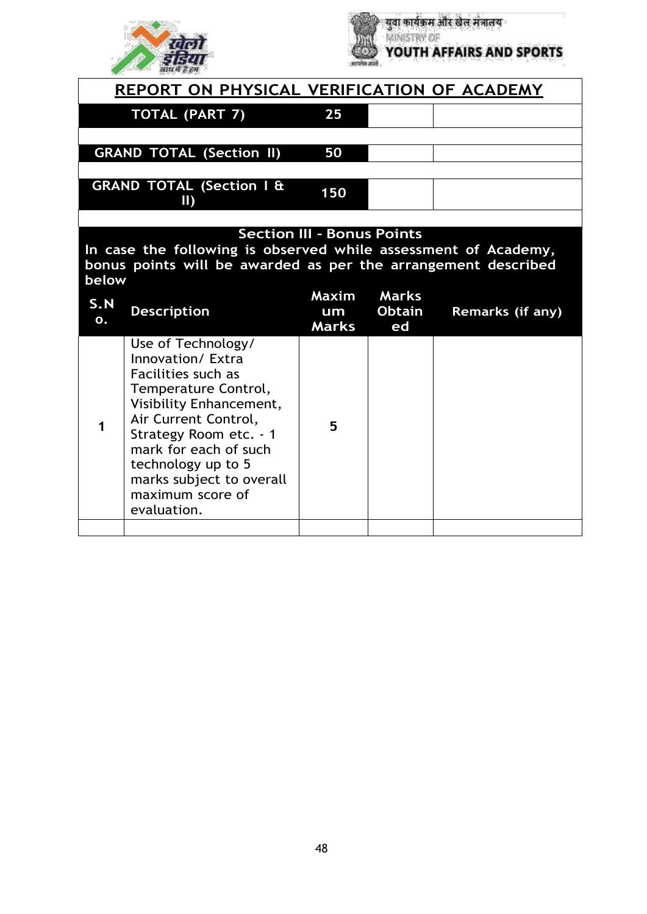



| REPORT ON PHYSICAL VERIFICATION OF ACADEMY                                                                                                                                    |     |  |  |  |
|-------------------------------------------------------------------------------------------------------------------------------------------------------------------------------|-----|--|--|--|
| TOTAL (PART 7)                                                                                                                                                                | 25  |  |  |  |
|                                                                                                                                                                               |     |  |  |  |
| <b>GRAND TOTAL (Section II)</b>                                                                                                                                               | 50  |  |  |  |
| <b>GRAND TOTAL (Section I &amp;</b><br>Ш                                                                                                                                      | 150 |  |  |  |
|                                                                                                                                                                               |     |  |  |  |
| <b>Section III - Bonus Points</b><br>In case the following is observed while assessment of Academy,<br>bonus points will be awarded as per the arrangement described<br>helow |     |  |  |  |

| DEIUW     |                                                                                                                                                                                                                                                                                  |                             |                                     |                         |
|-----------|----------------------------------------------------------------------------------------------------------------------------------------------------------------------------------------------------------------------------------------------------------------------------------|-----------------------------|-------------------------------------|-------------------------|
| S.N<br>О. | <b>Description</b>                                                                                                                                                                                                                                                               | Maxim<br>um<br><b>Marks</b> | <b>Marks</b><br><b>Obtain</b><br>ed | <b>Remarks (if any)</b> |
|           | Use of Technology/<br>Innovation/ Extra<br>Facilities such as<br>Temperature Control,<br>Visibility Enhancement,<br>Air Current Control,<br>Strategy Room etc. - 1<br>mark for each of such<br>technology up to 5<br>marks subject to overall<br>maximum score of<br>evaluation. | 5                           |                                     |                         |
|           |                                                                                                                                                                                                                                                                                  |                             |                                     |                         |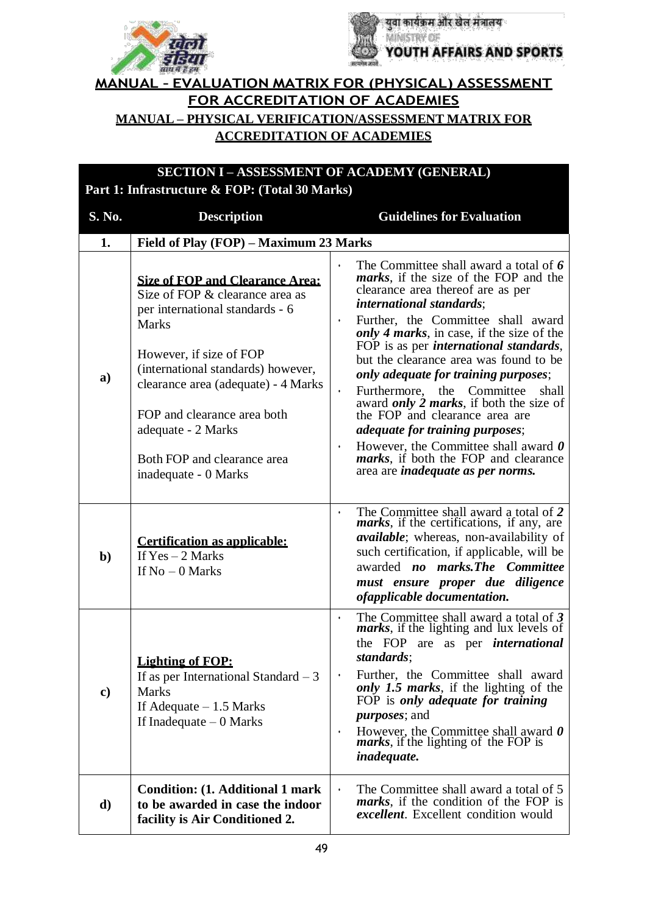



#### **MANUAL – EVALUATION MATRIX FOR (PHYSICAL) ASSESSMENT FOR ACCREDITATION OF ACADEMIES MANUAL – PHYSICAL VERIFICATION/ASSESSMENT MATRIX FOR ACCREDITATION OF ACADEMIES**

**SECTION I – ASSESSMENT OF ACADEMY (GENERAL)**

#### **Part 1: Infrastructure & FOP: (Total 30 Marks) S. No. Description Guidelines for Evaluation 1. Field of Play (FOP) – Maximum 23 Marks a) Size of FOP and Clearance Area:** Size of FOP & clearance area as per international standards - 6 Marks However, if size of FOP (international standards) however, clearance area (adequate) - 4 Marks FOP and clearance area both adequate - 2 Marks Both FOP and clearance area inadequate - 0 Marks • The Committee shall award a total of *6 marks*, if the size of the FOP and the clearance area thereof are as per *international standards*; • Further, the Committee shall award *only 4 marks*, in case, if the size of the FOP is as per *international standards*, but the clearance area was found to be *only adequate for training purposes*; • Furthermore, the Committee shall award *only 2 marks*, if both the size of the FOP and clearance area are *adequate for training purposes*; • However, the Committee shall award *0 marks*, if both the FOP and clearance area are *inadequate as per norms.* **b) Certification as applicable:** If Yes – 2 Marks If  $No - 0$  Marks • The Committee shall award a total of *2 marks*, if the certifications, if any, are *available*; whereas, non-availability of such certification, if applicable, will be awarded *no marks.The Committee must ensure proper due diligence ofapplicable documentation.* **c) Lighting of FOP:** If as per International Standard  $-3$ Marks If Adequate  $-1.5$  Marks If Inadequate – 0 Marks • The Committee shall award a total of *3 marks*, if the lighting and lux levels of the FOP are as per *international standards*; • Further, the Committee shall award *only 1.5 marks*, if the lighting of the FOP is *only adequate for training purposes*; and • However, the Committee shall award *0 marks*, if the lighting of the FOP is *inadequate.* **d) Condition: (1. Additional 1 mark to be awarded in case the indoor facility is Air Conditioned 2.** The Committee shall award a total of 5 *marks*, if the condition of the FOP is *excellent*. Excellent condition would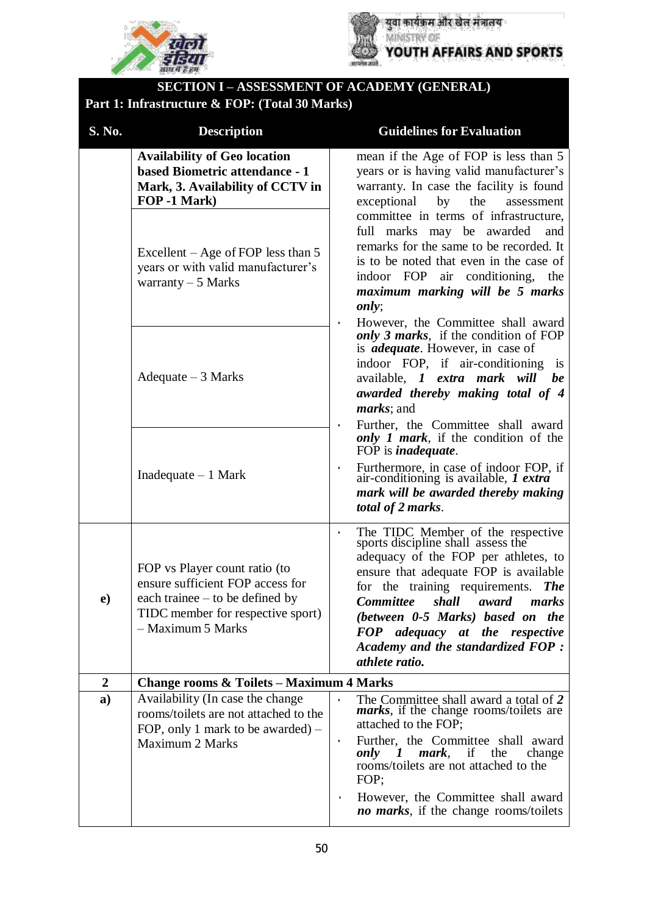



# **SECTION I – ASSESSMENT OF ACADEMY (GENERAL)**

#### **Part 1: Infrastructure & FOP: (Total 30 Marks)**

| S. No.                    | <b>Description</b>                                                                                                                                                                                                           | <b>Guidelines for Evaluation</b>                                                                                                                                                                                                                                                                                                                                                                                   |  |
|---------------------------|------------------------------------------------------------------------------------------------------------------------------------------------------------------------------------------------------------------------------|--------------------------------------------------------------------------------------------------------------------------------------------------------------------------------------------------------------------------------------------------------------------------------------------------------------------------------------------------------------------------------------------------------------------|--|
|                           | <b>Availability of Geo location</b><br>based Biometric attendance - 1<br>Mark, 3. Availability of CCTV in<br>FOP -1 Mark)<br>Excellent – Age of FOP less than 5<br>years or with valid manufacturer's<br>warranty $-5$ Marks | mean if the Age of FOP is less than 5<br>years or is having valid manufacturer's<br>warranty. In case the facility is found<br>exceptional<br>by<br>the<br>assessment<br>committee in terms of infrastructure,<br>marks may be awarded<br>full<br>and<br>remarks for the same to be recorded. It<br>is to be noted that even in the case of<br>indoor FOP air conditioning, the<br>maximum marking will be 5 marks |  |
|                           | $A$ dequate $-3$ Marks                                                                                                                                                                                                       | only;<br>However, the Committee shall award<br>$\bullet$<br>only 3 marks, if the condition of FOP<br>is <i>adequate</i> . However, in case of<br>indoor FOP, if air-conditioning is<br>available, <i>1 extra mark will be</i><br>awarded thereby making total of 4<br><i>marks</i> ; and<br>Further, the Committee shall award                                                                                     |  |
|                           | Inadequate $-1$ Mark                                                                                                                                                                                                         | only 1 mark, if the condition of the<br>FOP is <i>inadequate</i> .<br>Furthermore, in case of indoor FOP, if<br>air-conditioning is available, <i>I extra</i><br>$\bullet$<br>mark will be awarded thereby making<br>total of 2 marks.                                                                                                                                                                             |  |
| $\boldsymbol{\mathrm{e}}$ | FOP vs Player count ratio (to<br>ensure sufficient FOP access for<br>each trainee $-$ to be defined by<br>TIDC member for respective sport)<br>- Maximum 5 Marks                                                             | The TIDC Member of the respective<br>sports discipline shall assess the<br>$\bullet$<br>adequacy of the FOP per athletes, to<br>ensure that adequate FOP is available<br>for the training requirements. The<br>Committee shall award marks<br>(between 0-5 Marks) based on the<br>FOP adequacy at the respective<br>Academy and the standardized FOP:<br>athlete ratio.                                            |  |
| $\mathbf{2}$              | <b>Change rooms &amp; Toilets – Maximum 4 Marks</b>                                                                                                                                                                          |                                                                                                                                                                                                                                                                                                                                                                                                                    |  |
| a)                        | Availability (In case the change<br>rooms/toilets are not attached to the<br>FOP, only 1 mark to be awarded) $-$<br>Maximum 2 Marks                                                                                          | The Committee shall award a total of 2<br><i>marks</i> , if the change rooms/toilets are<br>attached to the FOP;<br>Further, the Committee shall award<br>$\bullet$<br>mark,<br>change<br>only<br>if<br>the<br>$\boldsymbol{I}$<br>rooms/toilets are not attached to the<br>FOP;<br>However, the Committee shall award<br>no marks, if the change rooms/toilets                                                    |  |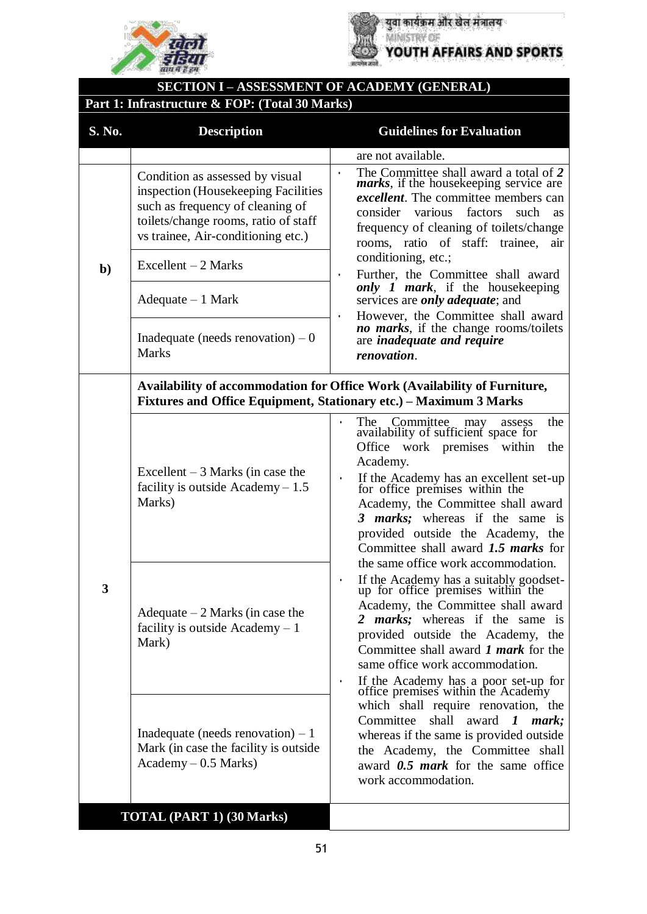



युवा कार्यक्रम और खेल मंत्रालय YOUTH AFFAIRS AND SPORTS

# **SECTION I – ASSESSMENT OF ACADEMY (GENERAL)**

## **Part 1: Infrastructure & FOP: (Total 30 Marks)**

| S. No.       | <b>Description</b>                                                                                                                                                                       | <b>Guidelines for Evaluation</b>                                                                                                                                                                                                                                                                                                                                                                            |
|--------------|------------------------------------------------------------------------------------------------------------------------------------------------------------------------------------------|-------------------------------------------------------------------------------------------------------------------------------------------------------------------------------------------------------------------------------------------------------------------------------------------------------------------------------------------------------------------------------------------------------------|
|              |                                                                                                                                                                                          | are not available.                                                                                                                                                                                                                                                                                                                                                                                          |
|              | Condition as assessed by visual<br>inspection (Housekeeping Facilities<br>such as frequency of cleaning of<br>toilets/change rooms, ratio of staff<br>vs trainee, Air-conditioning etc.) | The Committee shall award a total of 2<br>$\bullet$<br><i>marks</i> , if the housekeeping service are<br><i>excellent</i> . The committee members can<br>consider various factors<br>such<br>as<br>frequency of cleaning of toilets/change<br>rooms, ratio of staff: trainee,<br>air<br>conditioning, etc.;                                                                                                 |
| $\mathbf{b}$ | $Excellent - 2 Marks$<br>$A$ dequate $-1$ Mark                                                                                                                                           | Further, the Committee shall award<br>$\bullet$<br><i>only 1 mark</i> , if the housekeeping<br>services are <i>only adequate</i> ; and                                                                                                                                                                                                                                                                      |
|              | Inadequate (needs renovation) $-0$<br><b>Marks</b>                                                                                                                                       | However, the Committee shall award<br>$\bullet$<br>no marks, if the change rooms/toilets<br>are <i>inadequate</i> and <i>require</i><br>renovation.                                                                                                                                                                                                                                                         |
|              |                                                                                                                                                                                          | Availability of accommodation for Office Work (Availability of Furniture,<br>Fixtures and Office Equipment, Stationary etc.) – Maximum 3 Marks                                                                                                                                                                                                                                                              |
|              | Excellent $-3$ Marks (in case the<br>facility is outside Academy $-1.5$<br>Marks)                                                                                                        | Committee<br>the<br>The<br>may<br>assess<br>availability of sufficient space for<br>Office work premises within<br>the<br>Academy.<br>If the Academy has an excellent set-up<br>for office premises within the<br>$\bullet$<br>Academy, the Committee shall award<br>3 <i>marks</i> ; whereas if the same is<br>provided outside the Academy, the<br>Committee shall award 1.5 marks for                    |
| 3            | Adequate $-2$ Marks (in case the<br>facility is outside Academy $-1$<br>Mark)                                                                                                            | the same office work accommodation.<br>If the Academy has a suitably goodset-<br>up for office premises within the<br>Academy, the Committee shall award<br><i>marks</i> ; whereas if the same is<br>2<br>provided outside the Academy, the<br>Committee shall award 1 <i>mark</i> for the<br>same office work accommodation.<br>If the Academy has a poor set-up for<br>office premises within the Academy |
|              | Inadequate (needs renovation) $-1$<br>Mark (in case the facility is outside)<br>$Academy - 0.5 Marks$                                                                                    | which shall require renovation, the<br>Committee<br>shall award $\boldsymbol{I}$<br>mark;<br>whereas if the same is provided outside<br>the Academy, the Committee shall<br>award $0.5$ mark for the same office<br>work accommodation.                                                                                                                                                                     |
|              | <b>TOTAL (PART 1) (30 Marks)</b>                                                                                                                                                         |                                                                                                                                                                                                                                                                                                                                                                                                             |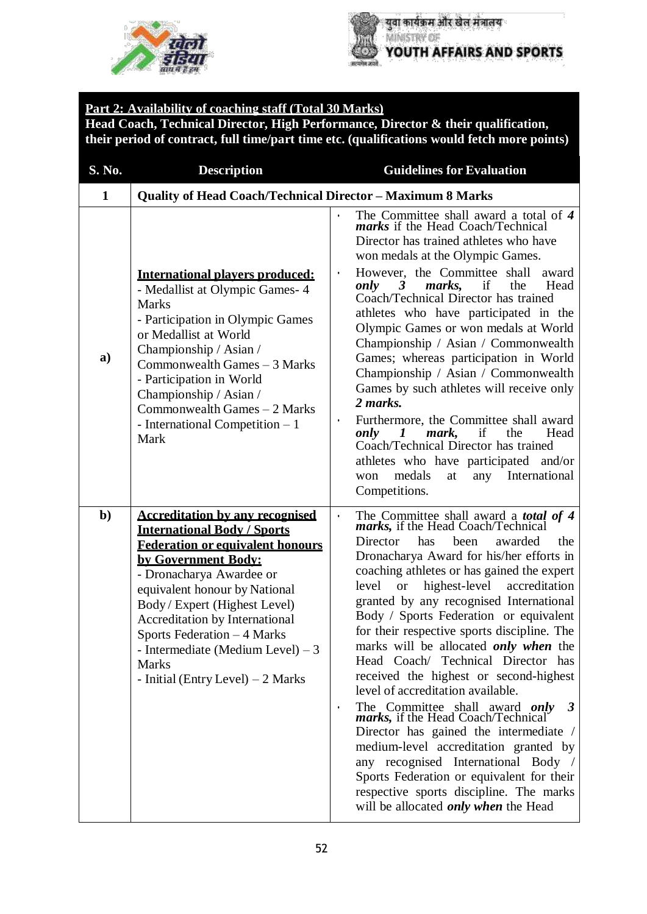



#### **Part 2: Availability of coaching staff (Total 30 Marks) Head Coach, Technical Director, High Performance, Director & their qualification, their period of contract, full time/part time etc. (qualifications would fetch more points)**

| S. No.       | <b>Description</b>                                                                                                                                                                                                                                                                                                                                                                                        | <b>Guidelines for Evaluation</b>                                                                                                                                                                                                                                                                                                                                                                                                                                                                                                                                                                                                                                                                                                                                                                                                                                                                                                                                 |
|--------------|-----------------------------------------------------------------------------------------------------------------------------------------------------------------------------------------------------------------------------------------------------------------------------------------------------------------------------------------------------------------------------------------------------------|------------------------------------------------------------------------------------------------------------------------------------------------------------------------------------------------------------------------------------------------------------------------------------------------------------------------------------------------------------------------------------------------------------------------------------------------------------------------------------------------------------------------------------------------------------------------------------------------------------------------------------------------------------------------------------------------------------------------------------------------------------------------------------------------------------------------------------------------------------------------------------------------------------------------------------------------------------------|
| $\mathbf{1}$ | <b>Quality of Head Coach/Technical Director - Maximum 8 Marks</b>                                                                                                                                                                                                                                                                                                                                         |                                                                                                                                                                                                                                                                                                                                                                                                                                                                                                                                                                                                                                                                                                                                                                                                                                                                                                                                                                  |
| a)           | <b>International players produced:</b><br>- Medallist at Olympic Games- 4<br><b>Marks</b><br>- Participation in Olympic Games<br>or Medallist at World<br>Championship / Asian /<br>Commonwealth Games - 3 Marks<br>- Participation in World<br>Championship / Asian /<br>Commonwealth Games - 2 Marks<br>- International Competition $-1$<br>Mark                                                        | The Committee shall award a total of 4 <i>marks</i> if the Head Coach/Technical<br>Director has trained athletes who have<br>won medals at the Olympic Games.<br>However, the Committee shall<br>award<br>$\bullet$<br>marks,<br>the<br>Head<br>only<br>if<br>3<br>Coach/Technical Director has trained<br>athletes who have participated in the<br>Olympic Games or won medals at World<br>Championship / Asian / Commonwealth<br>Games; whereas participation in World<br>Championship / Asian / Commonwealth<br>Games by such athletes will receive only<br>2 marks.<br>Furthermore, the Committee shall award<br>$\bullet$<br>only<br>if<br>Head<br>mark,<br>the<br>$\prime$<br>Coach/Technical Director has trained<br>athletes who have participated and/or<br>medals<br>any<br>International<br>at<br>won<br>Competitions.                                                                                                                                |
| $\mathbf{b}$ | <b>Accreditation by any recognised</b><br><b>International Body / Sports</b><br><b>Federation or equivalent honours</b><br>by Government Body:<br>- Dronacharya Awardee or<br>equivalent honour by National<br>Body / Expert (Highest Level)<br>Accreditation by International<br>Sports Federation - 4 Marks<br>- Intermediate (Medium Level) $-3$<br><b>Marks</b><br>- Initial (Entry Level) $-2$ Marks | The Committee shall award a <b>total of 4</b> marks, if the Head Coach/Technical<br>$\bullet$<br>Director<br>has<br>been<br>awarded<br>the<br>Dronacharya Award for his/her efforts in<br>coaching athletes or has gained the expert<br>highest-level<br>accreditation<br>level<br><b>or</b><br>granted by any recognised International<br>Body / Sports Federation or equivalent<br>for their respective sports discipline. The<br>marks will be allocated <i>only when</i> the<br>Head Coach/ Technical Director has<br>received the highest or second-highest<br>level of accreditation available.<br>The Committee shall award only<br>marks, if the Head Coach/Technical<br>3<br>$\bullet$<br>Director has gained the intermediate /<br>medium-level accreditation granted by<br>any recognised International Body /<br>Sports Federation or equivalent for their<br>respective sports discipline. The marks<br>will be allocated <i>only when</i> the Head |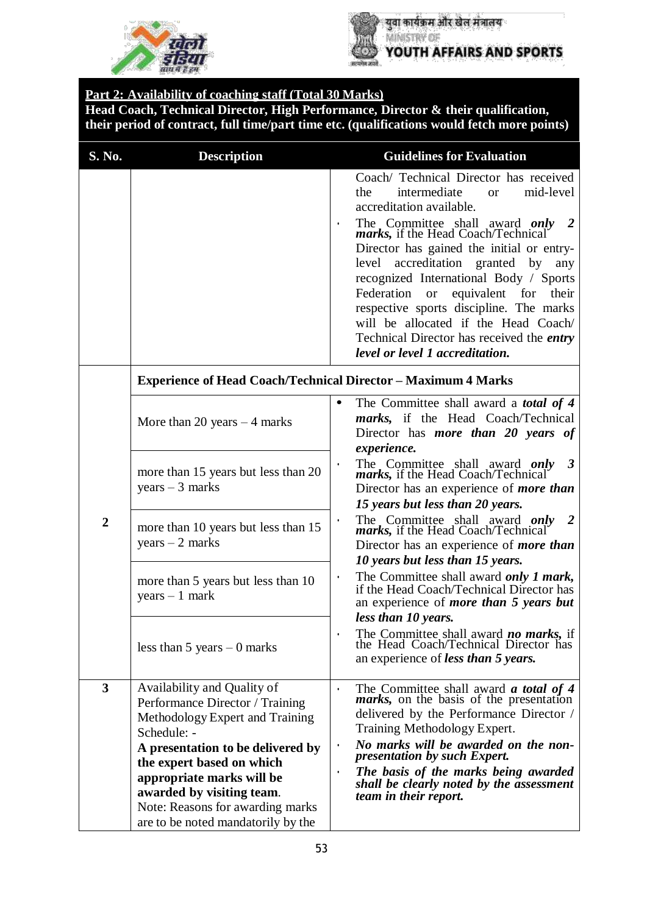



युवा कार्यक्रम और खेल मंत्रालय YOUTH AFFAIRS AND SPORTS

#### **Part 2: Availability of coaching staff (Total 30 Marks)**

**Head Coach, Technical Director, High Performance, Director & their qualification, their period of contract, full time/part time etc. (qualifications would fetch more points)**

| S. No.                  | <b>Description</b>                                                                                                                                                                                                                                                                                                     | <b>Guidelines for Evaluation</b>                                                                                                                                                                                                                                                                                                                                                                                                                                                                                                                                                     |
|-------------------------|------------------------------------------------------------------------------------------------------------------------------------------------------------------------------------------------------------------------------------------------------------------------------------------------------------------------|--------------------------------------------------------------------------------------------------------------------------------------------------------------------------------------------------------------------------------------------------------------------------------------------------------------------------------------------------------------------------------------------------------------------------------------------------------------------------------------------------------------------------------------------------------------------------------------|
|                         |                                                                                                                                                                                                                                                                                                                        | Coach/ Technical Director has received<br>mid-level<br>intermediate<br>the<br><b>or</b><br>accreditation available.<br>The Committee shall award only 2<br>marks, if the Head Coach/Technical<br>$\bullet$<br>Director has gained the initial or entry-<br>accreditation granted<br>level<br>by<br>any<br>recognized International Body / Sports<br>Federation<br><sub>or</sub><br>equivalent for<br>their<br>respective sports discipline. The marks<br>will be allocated if the Head Coach/<br>Technical Director has received the <i>entry</i><br>level or level 1 accreditation. |
|                         | <b>Experience of Head Coach/Technical Director - Maximum 4 Marks</b>                                                                                                                                                                                                                                                   |                                                                                                                                                                                                                                                                                                                                                                                                                                                                                                                                                                                      |
|                         | More than 20 years $-4$ marks                                                                                                                                                                                                                                                                                          | The Committee shall award a <i>total of 4</i><br>$\bullet$<br><i>marks</i> , if the Head Coach/Technical<br>Director has <i>more than 20 years of</i><br>experience.                                                                                                                                                                                                                                                                                                                                                                                                                 |
| $\overline{2}$          | more than 15 years but less than 20<br>$years - 3 marks$                                                                                                                                                                                                                                                               | The Committee shall award only<br>marks, if the Head Coach/Technical<br>$\boldsymbol{\beta}$<br>Director has an experience of <i>more than</i><br>15 years but less than 20 years.                                                                                                                                                                                                                                                                                                                                                                                                   |
|                         | more than 10 years but less than 15<br>$years - 2 marks$                                                                                                                                                                                                                                                               | The Committee shall award only 2<br>marks, if the Head Coach/Technical<br>Director has an experience of <i>more than</i><br>10 years but less than 15 years.                                                                                                                                                                                                                                                                                                                                                                                                                         |
|                         | more than 5 years but less than 10<br>$years - 1 mark$                                                                                                                                                                                                                                                                 | The Committee shall award only 1 mark,<br>$\bullet$<br>if the Head Coach/Technical Director has<br>an experience of more than 5 years but<br>less than 10 years.                                                                                                                                                                                                                                                                                                                                                                                                                     |
|                         | less than 5 years $-0$ marks                                                                                                                                                                                                                                                                                           | The Committee shall award <b>no marks</b> , if<br>the Head Coach/Technical Director has<br>an experience of less than 5 years.                                                                                                                                                                                                                                                                                                                                                                                                                                                       |
| $\overline{\mathbf{3}}$ | Availability and Quality of<br>Performance Director / Training<br>Methodology Expert and Training<br>Schedule: -<br>A presentation to be delivered by<br>the expert based on which<br>appropriate marks will be<br>awarded by visiting team.<br>Note: Reasons for awarding marks<br>are to be noted mandatorily by the | The Committee shall award <b><i>a</i></b> total of 4<br>$\bullet$<br><i>marks</i> , on the basis of the presentation<br>delivered by the Performance Director /<br>Training Methodology Expert.<br>No marks will be awarded on the non-<br><i>presentation by such Expert.</i><br>The basis of the marks being awarded<br>$\bullet$<br>shall be clearly noted by the assessment<br><i>team in their report.</i>                                                                                                                                                                      |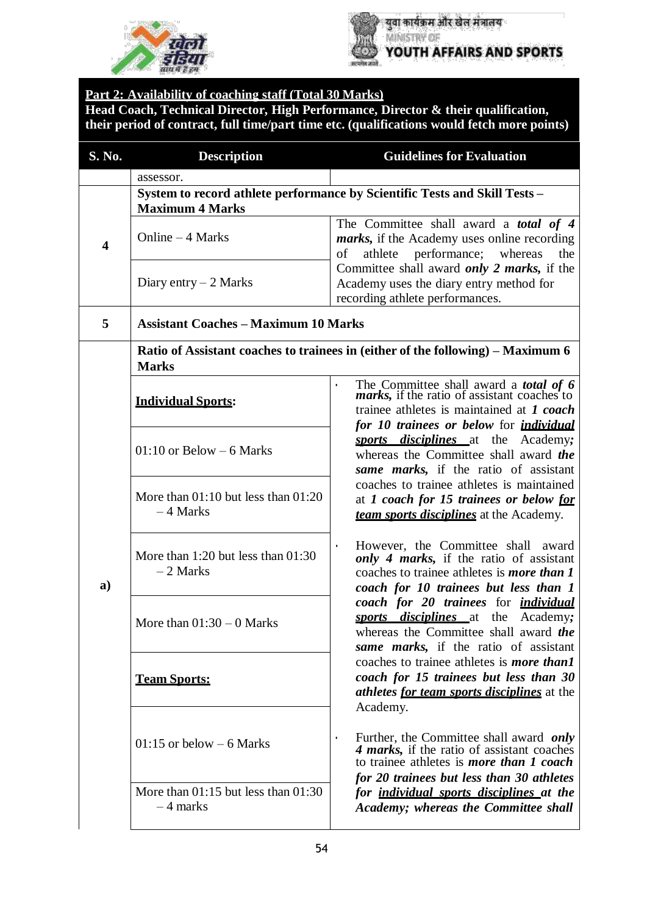



### **Part 2: Availability of coaching staff (Total 30 Marks)**

**Head Coach, Technical Director, High Performance, Director & their qualification, their period of contract, full time/part time etc. (qualifications would fetch more points)**

| S. No.                  | <b>Description</b>                                                                                   | <b>Guidelines for Evaluation</b>                                                                                                                                                                             |  |  |
|-------------------------|------------------------------------------------------------------------------------------------------|--------------------------------------------------------------------------------------------------------------------------------------------------------------------------------------------------------------|--|--|
|                         | assessor.                                                                                            |                                                                                                                                                                                                              |  |  |
| $\overline{\mathbf{4}}$ | System to record athlete performance by Scientific Tests and Skill Tests -<br><b>Maximum 4 Marks</b> |                                                                                                                                                                                                              |  |  |
|                         | Online – 4 Marks                                                                                     | The Committee shall award a <i>total of 4</i><br><i>marks</i> , if the Academy uses online recording<br>athlete performance; whereas<br>of<br>the                                                            |  |  |
|                         | Diary entry $-2$ Marks                                                                               | Committee shall award only 2 marks, if the<br>Academy uses the diary entry method for<br>recording athlete performances.                                                                                     |  |  |
| 5                       | <b>Assistant Coaches - Maximum 10 Marks</b>                                                          |                                                                                                                                                                                                              |  |  |
|                         | <b>Marks</b>                                                                                         | Ratio of Assistant coaches to trainees in (either of the following) – Maximum 6                                                                                                                              |  |  |
|                         | <b>Individual Sports:</b>                                                                            | The Committee shall award a <b><i>total of 6</i></b> marks, if the ratio of assistant coaches to<br>$\bullet$<br>trainee athletes is maintained at 1 coach<br>for 10 trainees or below for <i>individual</i> |  |  |
|                         | $01:10$ or Below $-6$ Marks                                                                          | sports disciplines at the Academy;<br>whereas the Committee shall award the<br>same marks, if the ratio of assistant                                                                                         |  |  |
|                         | More than $01:10$ but less than $01:20$<br>$-4$ Marks                                                | coaches to trainee athletes is maintained<br>at 1 coach for 15 trainees or below for<br><b>team sports disciplines</b> at the Academy.                                                                       |  |  |
| a)                      | More than $1:20$ but less than $01:30$<br>$-2$ Marks                                                 | However, the Committee shall award<br>$\bullet$<br>only 4 marks, if the ratio of assistant<br>coaches to trainee athletes is <i>more than</i> 1<br>coach for 10 trainees but less than 1                     |  |  |
|                         | More than $01:30 - 0$ Marks                                                                          | coach for 20 trainees for <i>individual</i><br>sports disciplines at the Academy;<br>whereas the Committee shall award the<br>same marks, if the ratio of assistant                                          |  |  |
|                         | <b>Team Sports:</b>                                                                                  | coaches to trainee athletes is <i>more than1</i><br>coach for 15 trainees but less than 30<br><i>athletes for team sports disciplines</i> at the<br>Academy.                                                 |  |  |
|                         | $01:15$ or below $-6$ Marks                                                                          | Further, the Committee shall award only<br>$\bullet$<br>4 marks, if the ratio of assistant coaches<br>to trainee athletes is <i>more than 1 coach</i><br>for 20 trainees but less than 30 athletes           |  |  |
|                         | More than $01:15$ but less than $01:30$<br>$-4$ marks                                                | for <i>individual sports disciplines</i> at the<br>Academy; whereas the Committee shall                                                                                                                      |  |  |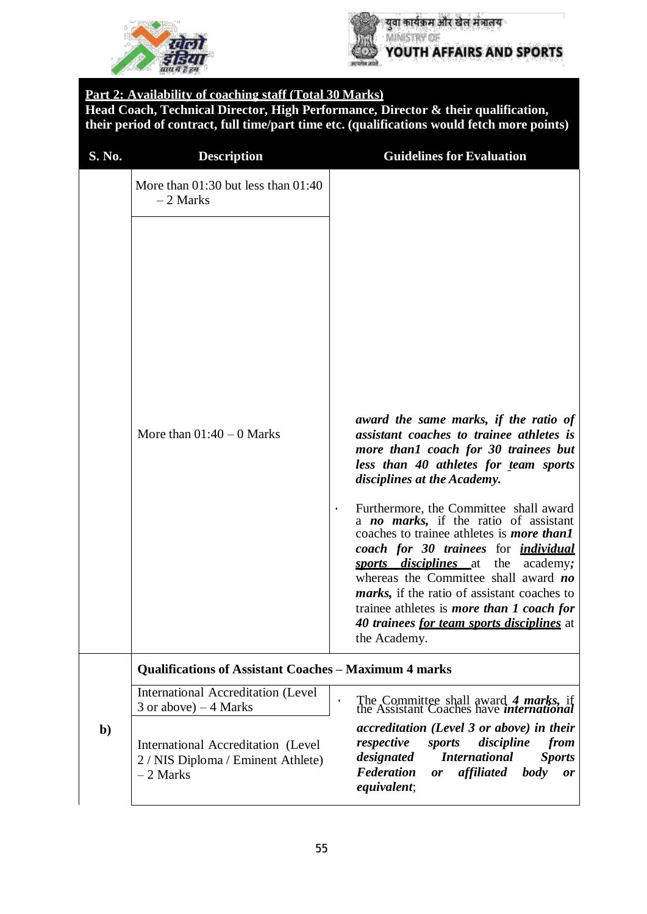



#### **Part 2: Availability of coaching staff (Total 30 Marks)**

**Head Coach, Technical Director, High Performance, Director & their qualification, their period of contract, full time/part time etc. (qualifications would fetch more points)**

| S. No.       | <b>Description</b>                                                                     | <b>Guidelines for Evaluation</b>                                                                                                                                                                                                                                                                                                                                                                                                                                                                                                                                                                                                                                  |
|--------------|----------------------------------------------------------------------------------------|-------------------------------------------------------------------------------------------------------------------------------------------------------------------------------------------------------------------------------------------------------------------------------------------------------------------------------------------------------------------------------------------------------------------------------------------------------------------------------------------------------------------------------------------------------------------------------------------------------------------------------------------------------------------|
|              | More than $01:30$ but less than $01:40$<br>$-2$ Marks                                  |                                                                                                                                                                                                                                                                                                                                                                                                                                                                                                                                                                                                                                                                   |
|              | More than $01:40 - 0$ Marks                                                            | award the same marks, if the ratio of<br>assistant coaches to trainee athletes is<br>more than1 coach for 30 trainees but<br>less than 40 athletes for team sports<br>disciplines at the Academy.<br>Furthermore, the Committee shall award<br>$\bullet$<br>a no marks, if the ratio of assistant<br>coaches to trainee athletes is <i>more than1</i><br>coach for 30 trainees for <i>individual</i><br>sports disciplines at<br>the<br>academy;<br>whereas the Committee shall award no<br><i>marks</i> , if the ratio of assistant coaches to<br>trainee athletes is <i>more than 1 coach for</i><br>40 trainees for team sports disciplines at<br>the Academy. |
|              | <b>Qualifications of Assistant Coaches - Maximum 4 marks</b>                           |                                                                                                                                                                                                                                                                                                                                                                                                                                                                                                                                                                                                                                                                   |
|              | <b>International Accreditation (Level</b><br>$3$ or above) $-4$ Marks                  | The Committee shall award 4 marks, if<br>the Assistant Coaches have international                                                                                                                                                                                                                                                                                                                                                                                                                                                                                                                                                                                 |
| $\mathbf{b}$ | International Accreditation (Level<br>2 / NIS Diploma / Eminent Athlete)<br>$-2$ Marks | accreditation (Level 3 or above) in their<br>respective<br>discipline<br>sports<br>from<br><b>International</b><br>designated<br><b>Sports</b><br><b>Federation</b><br>affiliated<br><b>body</b><br><b>or</b><br><i>or</i><br>equivalent;                                                                                                                                                                                                                                                                                                                                                                                                                         |
|              |                                                                                        |                                                                                                                                                                                                                                                                                                                                                                                                                                                                                                                                                                                                                                                                   |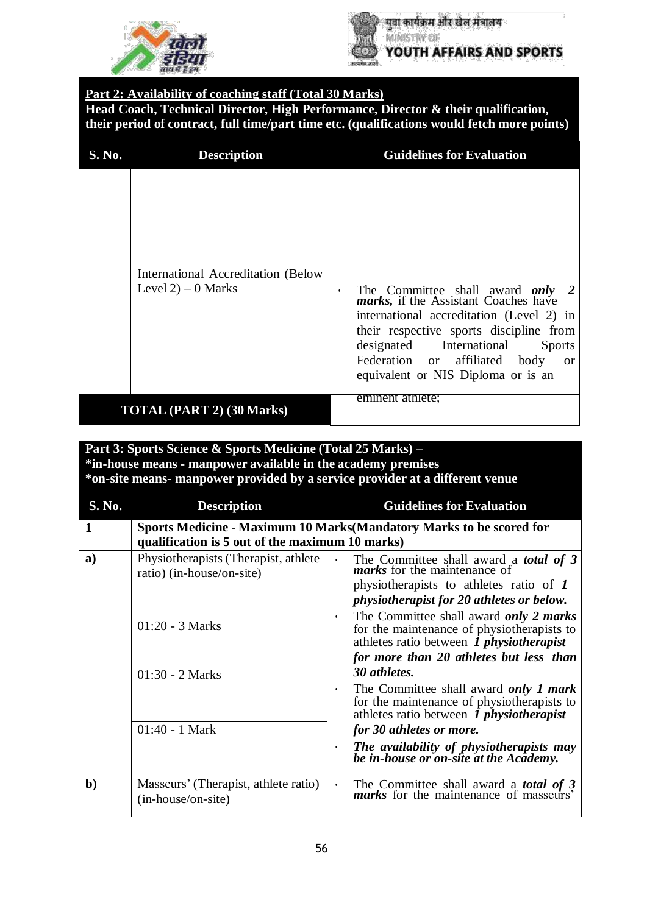



#### **Part 2: Availability of coaching staff (Total 30 Marks)**

**Head Coach, Technical Director, High Performance, Director & their qualification, their period of contract, full time/part time etc. (qualifications would fetch more points)**

| S. No. | <b>Description</b>                                           | <b>Guidelines for Evaluation</b>                                                                                                                                                                                                                                                                                  |
|--------|--------------------------------------------------------------|-------------------------------------------------------------------------------------------------------------------------------------------------------------------------------------------------------------------------------------------------------------------------------------------------------------------|
|        | International Accreditation (Below)<br>Level $2$ ) – 0 Marks | The Committee shall award only 2<br>marks, if the Assistant Coaches have<br>$\bullet$<br>international accreditation (Level 2) in<br>their respective sports discipline from<br>designated International<br><b>Sports</b><br>Federation or affiliated body<br><sub>or</sub><br>equivalent or NIS Diploma or is an |
|        | <b>TOTAL (PART 2) (30 Marks)</b>                             | eminent athlete;                                                                                                                                                                                                                                                                                                  |

#### **Part 3: Sports Science & Sports Medicine (Total 25 Marks) – \*in-house means - manpower available in the academy premises \*on-site means- manpower provided by a service provider at a different venue**

| S. No.       | <b>Description</b>                                                                     |                | <b>Guidelines for Evaluation</b>                                                                                                                                                                                                                                                                                                                                                                     |
|--------------|----------------------------------------------------------------------------------------|----------------|------------------------------------------------------------------------------------------------------------------------------------------------------------------------------------------------------------------------------------------------------------------------------------------------------------------------------------------------------------------------------------------------------|
| $\mathbf{1}$ | qualification is 5 out of the maximum 10 marks)                                        |                | Sports Medicine - Maximum 10 Marks (Mandatory Marks to be scored for                                                                                                                                                                                                                                                                                                                                 |
| a)           | Physiotherapists (Therapist, athlete<br>ratio) (in-house/on-site)<br>$01:20 - 3$ Marks | $\bullet$<br>٠ | The Committee shall award a <b><i>total of</i></b> 3 <b><i>marks</i></b> for the maintenance of<br>physiotherapists to athletes ratio of 1<br><i>physiotherapist for 20 athletes or below.</i><br>The Committee shall award only 2 marks<br>for the maintenance of physiotherapists to<br>athletes ratio between 1 <i>physiotherapist</i><br>for more than 20 athletes but less than<br>30 athletes. |
|              | $01:30 - 2$ Marks<br>$01:40 - 1$ Mark                                                  | $\bullet$<br>٠ | The Committee shall award only 1 mark<br>for the maintenance of physiotherapists to<br>athletes ratio between 1 <i>physiotherapist</i><br>for 30 athletes or more.<br>The availability of physiotherapists may<br>be in-house or on-site at the Academy.                                                                                                                                             |
| $\mathbf{b}$ | Masseurs' (Therapist, athlete ratio)<br>(in-house/on-site)                             | $\bullet$      | The Committee shall award a <b><i>total of</i></b> 3 <i>marks</i> for the maintenance of masseurs'                                                                                                                                                                                                                                                                                                   |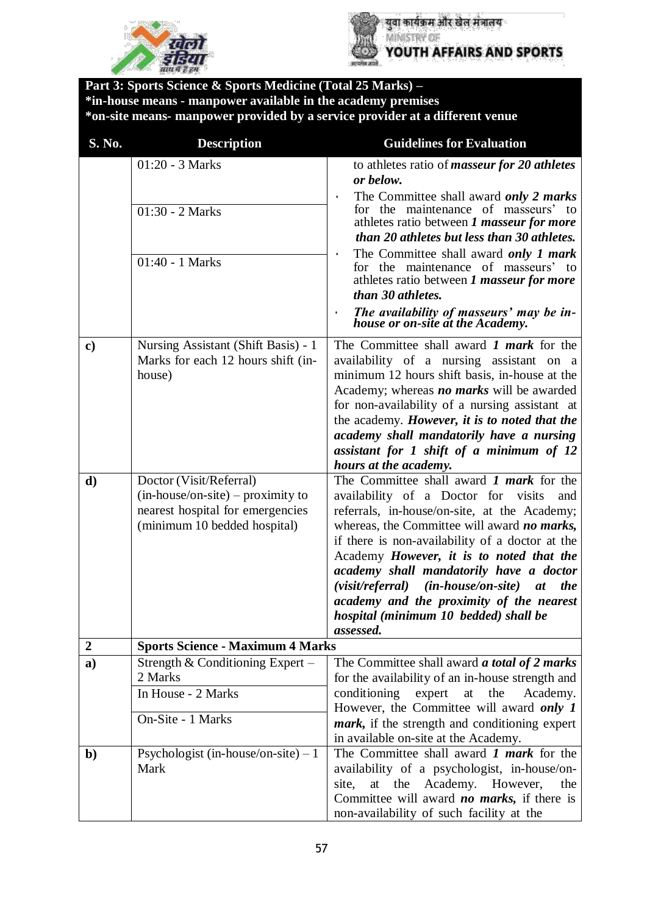



**Part 3: Sports Science & Sports Medicine (Total 25 Marks) – \*in-house means - manpower available in the academy premises \*on-site means- manpower provided by a service provider at a different venue S. No. Description Guidelines for Evaluation** 01:20 - 3 Marks to athletes ratio of *masseur for 20 athletes or below.* • The Committee shall award *only 2 marks* for the maintenance of masseurs' to athletes ratio between *1 masseur for more than 20 athletes but less than 30 athletes.* • The Committee shall award *only 1 mark* for the maintenance of masseurs' to athletes ratio between *1 masseur for more than 30 athletes.* • *The availability of masseurs' may be inhouse or on-site at the Academy.* 01:30 - 2 Marks 01:40 - 1 Marks **c)** Nursing Assistant (Shift Basis) - 1 Marks for each 12 hours shift (inhouse) The Committee shall award *1 mark* for the availability of a nursing assistant on a minimum 12 hours shift basis, in-house at the Academy; whereas *no marks* will be awarded for non-availability of a nursing assistant at the academy. *However, it is to noted that the academy shall mandatorily have a nursing assistant for 1 shift of a minimum of 12 hours at the academy.* **d)** Doctor (Visit/Referral) (in-house/on-site) – proximity to nearest hospital for emergencies (minimum 10 bedded hospital) The Committee shall award *1 mark* for the availability of a Doctor for visits and referrals, in-house/on-site, at the Academy; whereas, the Committee will award *no marks,* if there is non-availability of a doctor at the Academy *However, it is to noted that the academy shall mandatorily have a doctor (visit/referral) (in-house/on-site) at the academy and the proximity of the nearest hospital (minimum 10 bedded) shall be assessed.* **2 Sports Science - Maximum 4 Marks a)** Strength & Conditioning Expert – 2 Marks The Committee shall award *a total of 2 marks* for the availability of an in-house strength and conditioning expert at the Academy. However, the Committee will award *only 1 mark,* if the strength and conditioning expert in available on-site at the Academy. In House - 2 Marks On-Site - 1 Marks **b**) Psychologist (in-house/on-site) – 1 Mark The Committee shall award *1 mark* for the availability of a psychologist, in-house/onsite, at the Academy. However, the Committee will award *no marks,* if there is non-availability of such facility at the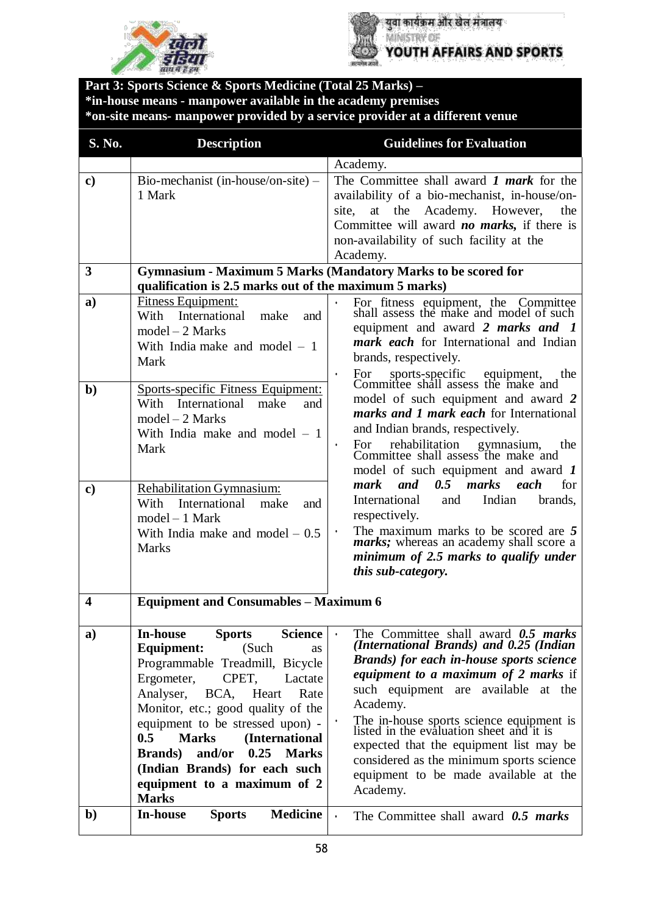



**Part 3: Sports Science & Sports Medicine (Total 25 Marks) – \*in-house means - manpower available in the academy premises \*on-site means- manpower provided by a service provider at a different venue S. No. Description Guidelines for Evaluation** Academy. **c**) | Bio-mechanist (in-house/on-site) – 1 Mark The Committee shall award *1 mark* for the availability of a bio-mechanist, in-house/onsite, at the Academy. However, the Committee will award *no marks,* if there is non-availability of such facility at the Academy. **3 Gymnasium - Maximum 5 Marks (Mandatory Marks to be scored for qualification is 2.5 marks out of the maximum 5 marks) a)** Fitness Equipment: With International make and model – 2 Marks With India make and model – 1 Mark • For fitness equipment, the Committee shall assess the make and model of such equipment and award *2 marks and 1 mark each* for International and Indian brands, respectively. • For sports-specific equipment, the Committee shall assess the make and model of such equipment and award *2 marks and 1 mark each* for International and Indian brands, respectively. • For rehabilitation gymnasium, the Committee shall assess the make and model of such equipment and award *1 mark and 0.5 marks each* for International and Indian brands, respectively. • The maximum marks to be scored are *5 marks*; whereas an academy shall score a *minimum of 2.5 marks to qualify under this sub-category.* **b)** Sports-specific Fitness Equipment: With International make and model – 2 Marks With India make and model – 1 Mark **c)** Rehabilitation Gymnasium: With International make and model – 1 Mark With India make and model  $-0.5$ **Marks 4 Equipment and Consumables – Maximum 6 a) In-house Sports Science Equipment:** (Such as Programmable Treadmill, Bicycle Ergometer, CPET, Lactate Analyser, BCA, Heart Rate Monitor, etc.; good quality of the equipment to be stressed upon) - **0.5 Marks (International Brands) and/or 0.25 Marks (Indian Brands) for each such equipment to a maximum of 2 Marks** • The Committee shall award *0.5 marks (International Brands) and 0.25 (Indian Brands) for each in-house sports science equipment to a maximum of 2 marks* if such equipment are available at the Academy. • The in-house sports science equipment is listed in the evaluation sheet and it is expected that the equipment list may be considered as the minimum sports science equipment to be made available at the Academy. **b) In-house Sports Medicine** • The Committee shall award *0.5 marks*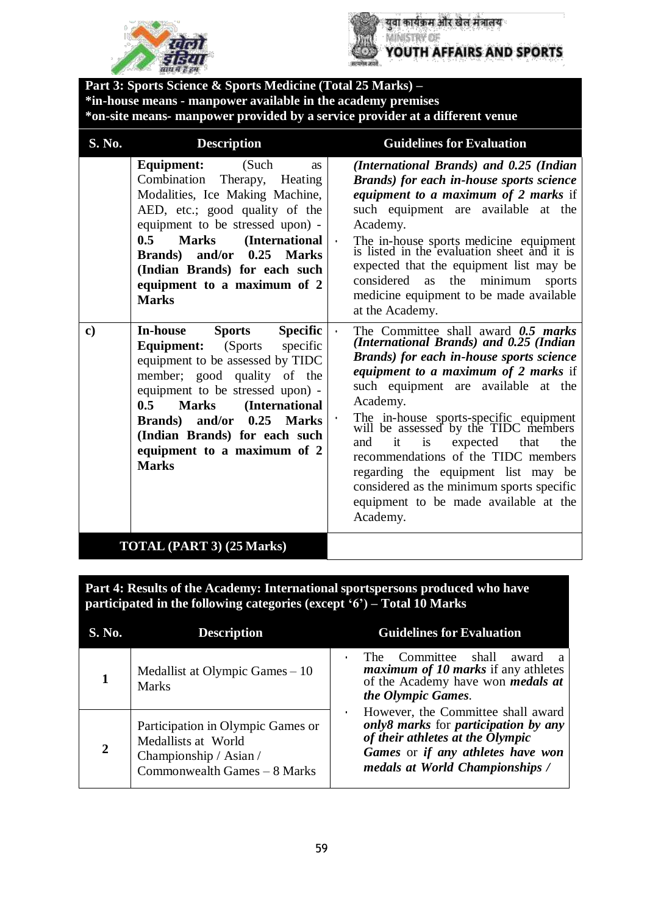



युवा कार्यक्रम और खेल मंत्रालय MINISTRY OF YOUTH AFFAIRS AND SPORTS

**Part 3: Sports Science & Sports Medicine (Total 25 Marks) – \*in-house means - manpower available in the academy premises \*on-site means- manpower provided by a service provider at a different venue**

| S. No.        | <b>Description</b>                                                                                                                                                                                                                                                                                                                                                         | <b>Guidelines for Evaluation</b>                                                                                                                                                                                                                                                                                                                                                                                                                                                                                                                             |
|---------------|----------------------------------------------------------------------------------------------------------------------------------------------------------------------------------------------------------------------------------------------------------------------------------------------------------------------------------------------------------------------------|--------------------------------------------------------------------------------------------------------------------------------------------------------------------------------------------------------------------------------------------------------------------------------------------------------------------------------------------------------------------------------------------------------------------------------------------------------------------------------------------------------------------------------------------------------------|
|               | <b>Equipment:</b><br>(Such)<br><b>as</b><br>Combination<br>Therapy, Heating<br>Modalities, Ice Making Machine,<br>AED, etc.; good quality of the<br>equipment to be stressed upon) -<br>0.5<br><b>Marks</b><br>(International<br>0.25<br>Brands) and/or<br><b>Marks</b><br>(Indian Brands) for each such<br>equipment to a maximum of 2<br><b>Marks</b>                    | (International Brands) and 0.25 (Indian<br>Brands) for each in-house sports science<br><i>equipment to a maximum of 2 marks if</i><br>such equipment are available at the<br>Academy.<br>The in-house sports medicine equipment<br>is listed in the evaluation sheet and it is<br>$\bullet$<br>expected that the equipment list may be<br>considered as<br>the<br>minimum<br>sports<br>medicine equipment to be made available<br>at the Academy.                                                                                                            |
| $\mathbf{c})$ | <b>Sports</b><br><b>Specific</b><br>In-house<br><b>Equipment:</b> (Sports<br>specific<br>equipment to be assessed by TIDC<br>member; good quality of the<br>equipment to be stressed upon) -<br>0.5<br><b>Marks</b><br>(International<br>and/or<br>0.25<br><b>Marks</b><br><b>Brands</b> )<br>(Indian Brands) for each such<br>equipment to a maximum of 2<br><b>Marks</b> | The Committee shall award $0.5$ marks<br>$\bullet$<br>(International Brands) and 0.25 (Indian<br><b>Brands</b> ) for each in-house sports science<br>equipment to a maximum of 2 marks if<br>such equipment are available at the<br>Academy.<br>The in-house sports-specific equipment<br>will be assessed by the TIDC members<br>it<br>is<br>expected<br>that<br>and<br>the<br>recommendations of the TIDC members<br>regarding the equipment list may be<br>considered as the minimum sports specific<br>equipment to be made available at the<br>Academy. |
|               | TOTAL (PART 3) (25 Marks)                                                                                                                                                                                                                                                                                                                                                  |                                                                                                                                                                                                                                                                                                                                                                                                                                                                                                                                                              |

**Part 4: Results of the Academy: International sportspersons produced who have participated in the following categories (except '6') – Total 10 Marks**

| S. No. | <b>Description</b>                                                                                                 | <b>Guidelines for Evaluation</b>                                                                                                                                                       |
|--------|--------------------------------------------------------------------------------------------------------------------|----------------------------------------------------------------------------------------------------------------------------------------------------------------------------------------|
|        | Medallist at Olympic Games $-10$<br><b>Marks</b>                                                                   | The Committee shall<br>award<br><i>maximum of 10 marks</i> if any athletes<br>of the Academy have won <i>medals at</i><br>the Olympic Games.                                           |
|        | Participation in Olympic Games or<br>Medallists at World<br>Championship / Asian /<br>Commonwealth Games - 8 Marks | However, the Committee shall award<br>only8 marks for participation by any<br>of their athletes at the Olympic<br>Games or if any athletes have won<br>medals at World Championships / |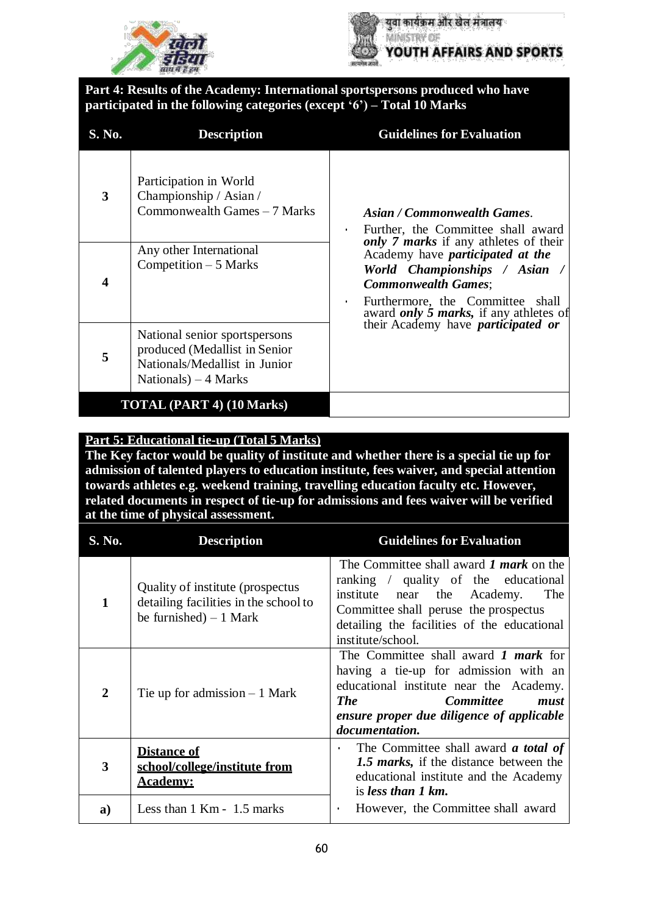



**Part 4: Results of the Academy: International sportspersons produced who have participated in the following categories (except '6') – Total 10 Marks**

| S. No. | <b>Description</b>                                                                                                       | <b>Guidelines for Evaluation</b>                                                                                                                                                                          |
|--------|--------------------------------------------------------------------------------------------------------------------------|-----------------------------------------------------------------------------------------------------------------------------------------------------------------------------------------------------------|
| 3      | Participation in World<br>Championship / Asian /<br>Commonwealth Games - 7 Marks                                         | Asian / Commonwealth Games.<br>Further, the Committee shall award<br>$\bullet$<br>only 7 marks if any athletes of their                                                                                   |
|        | Any other International<br>Competition $-5$ Marks                                                                        | Academy have <i>participated</i> at the<br>World Championships / Asian /<br><b>Commonwealth Games;</b><br>Furthermore, the Committee shall<br>$\bullet$<br>award <i>only 5 marks</i> , if any athletes of |
| 5      | National senior sportspersons<br>produced (Medallist in Senior<br>Nationals/Medallist in Junior<br>Nationals) $-4$ Marks | their Academy have <i>participated</i> or                                                                                                                                                                 |
|        | <b>TOTAL (PART 4) (10 Marks)</b>                                                                                         |                                                                                                                                                                                                           |

#### **Part 5: Educational tie-up (Total 5 Marks)**

**The Key factor would be quality of institute and whether there is a special tie up for admission of talented players to education institute, fees waiver, and special attention towards athletes e.g. weekend training, travelling education faculty etc. However, related documents in respect of tie-up for admissions and fees waiver will be verified at the time of physical assessment.**

| S. No.         | <b>Description</b>                                                                                    | <b>Guidelines for Evaluation</b>                                                                                                                                                                                                             |
|----------------|-------------------------------------------------------------------------------------------------------|----------------------------------------------------------------------------------------------------------------------------------------------------------------------------------------------------------------------------------------------|
| $\mathbf{1}$   | Quality of institute (prospectus)<br>detailing facilities in the school to<br>be furnished) $-1$ Mark | The Committee shall award 1 <i>mark</i> on the<br>ranking / quality of the educational<br>institute<br>near the Academy.<br>The<br>Committee shall peruse the prospectus<br>detailing the facilities of the educational<br>institute/school. |
| $\overline{2}$ | The up for admission $-1$ Mark                                                                        | The Committee shall award $1$ mark for<br>having a tie-up for admission with an<br>educational institute near the Academy.<br><b>The</b><br><i>Committee</i><br>must<br>ensure proper due diligence of applicable<br>documentation.          |
| 3              | <b>Distance of</b><br>school/college/institute from<br><u>Academv:</u>                                | The Committee shall award <b><i>a</i></b> total of<br>$\bullet$<br>1.5 marks, if the distance between the<br>educational institute and the Academy<br>is less than 1 km.                                                                     |
| a)             | Less than $1$ Km - $1.5$ marks                                                                        | However, the Committee shall award<br>$\bullet$                                                                                                                                                                                              |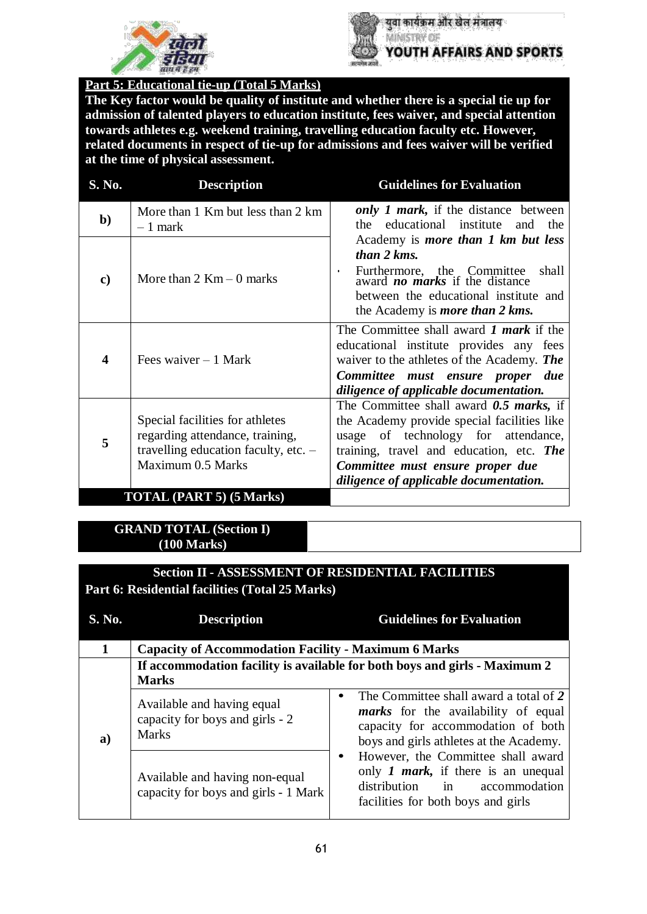



युवा कार्यक्रम और खेल मंत्रालय MINISTRY OF YOUTH AFFAIRS AND SPORTS

**Part 5: Educational tie-up (Total 5 Marks)**

**The Key factor would be quality of institute and whether there is a special tie up for admission of talented players to education institute, fees waiver, and special attention towards athletes e.g. weekend training, travelling education faculty etc. However, related documents in respect of tie-up for admissions and fees waiver will be verified at the time of physical assessment.**

| S. No.        | <b>Description</b>                                                                                                                | <b>Guidelines for Evaluation</b>                                                                                                                                                                                                                          |
|---------------|-----------------------------------------------------------------------------------------------------------------------------------|-----------------------------------------------------------------------------------------------------------------------------------------------------------------------------------------------------------------------------------------------------------|
| $\mathbf{b}$  | More than 1 Km but less than 2 km<br>$-1$ mark                                                                                    | only 1 mark, if the distance between<br>the educational institute and the                                                                                                                                                                                 |
| $\mathbf{c})$ | More than $2$ Km $-$ 0 marks                                                                                                      | Academy is <i>more than 1 km but less</i><br>than 2 kms.<br>Furthermore, the Committee<br>award <b>no marks</b> if the distance<br>shall<br>$\bullet$<br>between the educational institute and<br>the Academy is <i>more than 2 kms</i> .                 |
| 4             | Fees waiver $-1$ Mark                                                                                                             | The Committee shall award <i>1 mark</i> if the<br>educational institute provides any fees<br>waiver to the athletes of the Academy. The<br>Committee must ensure proper due<br>diligence of applicable documentation.                                     |
| 5             | Special facilities for athletes<br>regarding attendance, training,<br>travelling education faculty, etc. $-$<br>Maximum 0.5 Marks | The Committee shall award $0.5$ marks, if<br>the Academy provide special facilities like<br>usage of technology for attendance,<br>training, travel and education, etc. The<br>Committee must ensure proper due<br>diligence of applicable documentation. |
|               | <b>TOTAL (PART 5) (5 Marks)</b>                                                                                                   |                                                                                                                                                                                                                                                           |

#### **GRAND TOTAL (Section I) (100 Marks)**

#### **Section II - ASSESSMENT OF RESIDENTIAL FACILITIES Part 6: Residential facilities (Total 25 Marks)**

| S. No. | <b>Description</b>                                                                         | <b>Guidelines for Evaluation</b>                                                                                                                                      |
|--------|--------------------------------------------------------------------------------------------|-----------------------------------------------------------------------------------------------------------------------------------------------------------------------|
|        | <b>Capacity of Accommodation Facility - Maximum 6 Marks</b>                                |                                                                                                                                                                       |
|        | If accommodation facility is available for both boys and girls - Maximum 2<br><b>Marks</b> |                                                                                                                                                                       |
| a)     | Available and having equal<br>capacity for boys and girls - 2<br><b>Marks</b>              | The Committee shall award a total of 2<br><i>marks</i> for the availability of equal<br>capacity for accommodation of both<br>boys and girls at hetes at the Academy. |
|        | Available and having non-equal<br>capacity for boys and girls - 1 Mark                     | However, the Committee shall award<br>٠<br>only 1 <i>mark</i> , if there is an unequal<br>distribution in<br>accommodation<br>facilities for both boys and girls      |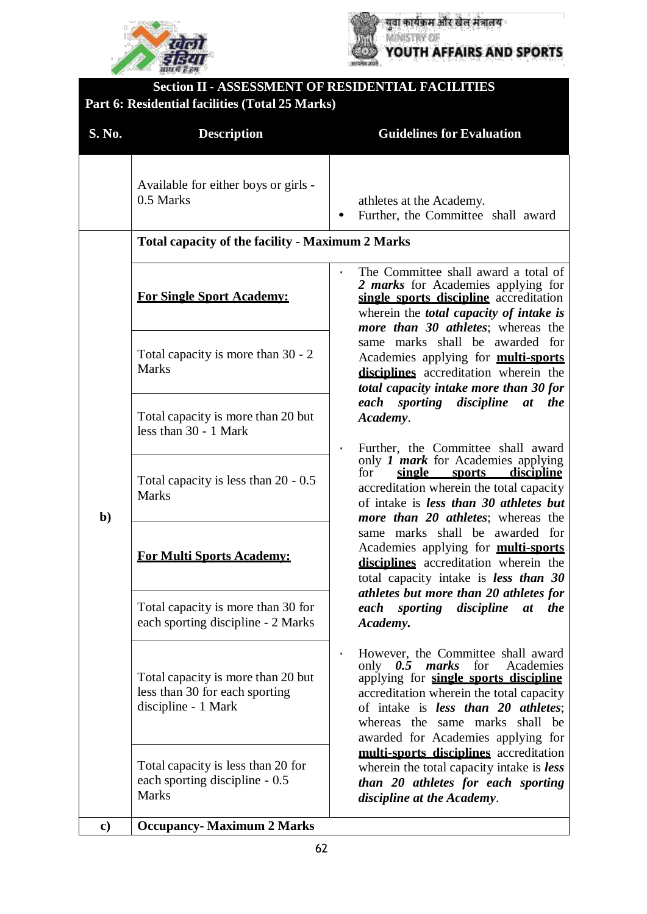



| <b>Section II - ASSESSMENT OF RESIDENTIAL FACILITIES</b><br>Part 6: Residential facilities (Total 25 Marks) |                                                                                             |                                                                                                                                                                                                                                                                                                                                                                                                                                                                                                                                   |
|-------------------------------------------------------------------------------------------------------------|---------------------------------------------------------------------------------------------|-----------------------------------------------------------------------------------------------------------------------------------------------------------------------------------------------------------------------------------------------------------------------------------------------------------------------------------------------------------------------------------------------------------------------------------------------------------------------------------------------------------------------------------|
| S. No.                                                                                                      | <b>Description</b>                                                                          | <b>Guidelines for Evaluation</b>                                                                                                                                                                                                                                                                                                                                                                                                                                                                                                  |
|                                                                                                             | Available for either boys or girls -<br>0.5 Marks                                           | athletes at the Academy.<br>Further, the Committee shall award                                                                                                                                                                                                                                                                                                                                                                                                                                                                    |
|                                                                                                             | <b>Total capacity of the facility - Maximum 2 Marks</b>                                     |                                                                                                                                                                                                                                                                                                                                                                                                                                                                                                                                   |
|                                                                                                             | <b>For Single Sport Academy:</b>                                                            | The Committee shall award a total of<br>2 <i>marks</i> for Academies applying for<br>single sports discipline accreditation<br>wherein the <i>total capacity of intake is</i><br>more than 30 athletes; whereas the                                                                                                                                                                                                                                                                                                               |
| $\mathbf{b}$                                                                                                | Total capacity is more than 30 - 2<br><b>Marks</b>                                          | same marks shall be awarded for<br>Academies applying for <b>multi-sports</b><br>disciplines accreditation wherein the<br>total capacity intake more than 30 for                                                                                                                                                                                                                                                                                                                                                                  |
|                                                                                                             | Total capacity is more than 20 but<br>less than $30 - 1$ Mark                               | each sporting discipline<br>at the<br>Academy.<br>Further, the Committee shall award<br>$\bullet$<br>only <i>1 mark</i> for Academies applying<br>for<br>single sports discipline<br>accreditation wherein the total capacity<br>of intake is less than 30 athletes but<br><i>more than 20 athletes;</i> whereas the<br>same marks shall be awarded for<br>Academies applying for <b>multi-sports</b><br>disciplines accreditation wherein the<br>total capacity intake is less than 30<br>athletes but more than 20 athletes for |
|                                                                                                             | Total capacity is less than $20 - 0.5$<br><b>Marks</b>                                      |                                                                                                                                                                                                                                                                                                                                                                                                                                                                                                                                   |
|                                                                                                             | <b>For Multi Sports Academy:</b>                                                            |                                                                                                                                                                                                                                                                                                                                                                                                                                                                                                                                   |
|                                                                                                             | Total capacity is more than 30 for<br>each sporting discipline - 2 Marks                    | discipline<br>sporting<br>the<br>each<br><i>at</i><br>Academy.                                                                                                                                                                                                                                                                                                                                                                                                                                                                    |
|                                                                                                             | Total capacity is more than 20 but<br>less than 30 for each sporting<br>discipline - 1 Mark | However, the Committee shall award<br>$\bullet$<br>marks<br>Academies<br>only<br>for<br>0.5<br>applying for <b>single sports discipline</b><br>accreditation wherein the total capacity<br>of intake is less than 20 athletes;<br>whereas the same marks<br>shall be<br>awarded for Academies applying for                                                                                                                                                                                                                        |
|                                                                                                             | Total capacity is less than 20 for<br>each sporting discipline - 0.5<br><b>Marks</b>        | multi-sports disciplines accreditation<br>wherein the total capacity intake is less<br>than 20 athletes for each sporting<br>discipline at the Academy.                                                                                                                                                                                                                                                                                                                                                                           |
| $\mathbf{c})$                                                                                               | <b>Occupancy-Maximum 2 Marks</b>                                                            |                                                                                                                                                                                                                                                                                                                                                                                                                                                                                                                                   |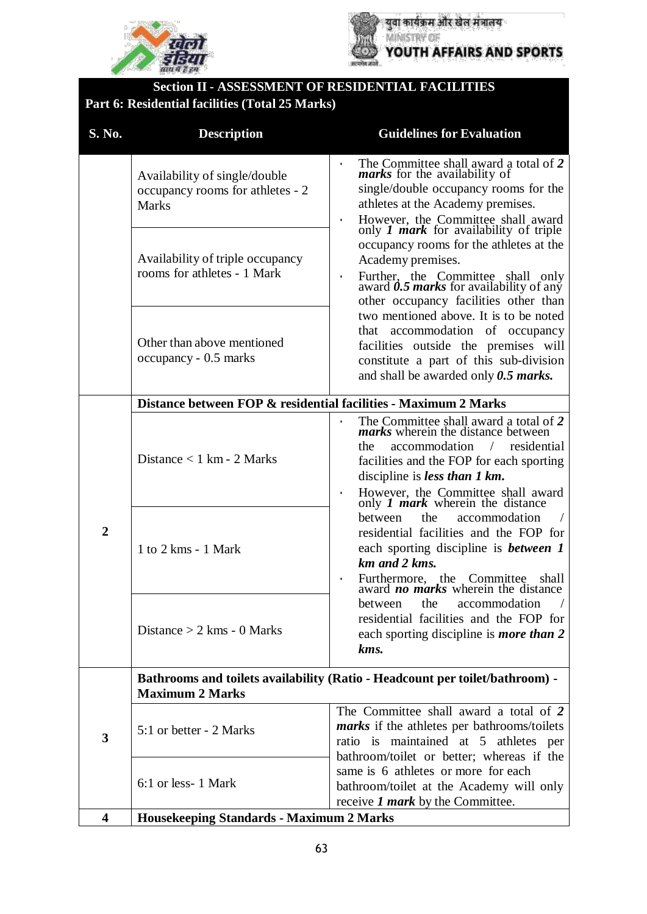



### **Section II - ASSESSMENT OF RESIDENTIAL FACILITIES Part 6: Residential facilities (Total 25 Marks)**

| S. No.         | <b>Description</b>                                                                                     | <b>Guidelines for Evaluation</b>                                                                                                                                                                                                                                                            |
|----------------|--------------------------------------------------------------------------------------------------------|---------------------------------------------------------------------------------------------------------------------------------------------------------------------------------------------------------------------------------------------------------------------------------------------|
|                | Availability of single/double<br>occupancy rooms for athletes - 2<br><b>Marks</b>                      | The Committee shall award a total of 2<br>$\bullet$<br><i>marks</i> for the availability of<br>single/double occupancy rooms for the<br>athletes at the Academy premises.<br>However, the Committee shall award<br>only <i>I mark</i> for availability of triple<br>$\bullet$               |
|                | Availability of triple occupancy<br>rooms for athletes - 1 Mark                                        | occupancy rooms for the athletes at the<br>Academy premises.<br>Further, the Committee shall only<br>award $0.5$ marks for availability of any<br>$\bullet$<br>other occupancy facilities other than                                                                                        |
|                | Other than above mentioned<br>occupancy - 0.5 marks                                                    | two mentioned above. It is to be noted<br>that accommodation of occupancy<br>facilities outside the premises will<br>constitute a part of this sub-division<br>and shall be awarded only $0.5$ marks.                                                                                       |
|                | Distance between FOP & residential facilities - Maximum 2 Marks                                        |                                                                                                                                                                                                                                                                                             |
| $\overline{2}$ | Distance $< 1$ km - 2 Marks                                                                            | The Committee shall award a total of 2<br>marks wherein the distance between<br>accommodation /<br>residential<br>the<br>facilities and the FOP for each sporting<br>discipline is <i>less than 1 km</i> .<br>However, the Committee shall award<br>only <i>I mark</i> wherein the distance |
|                | $1$ to $2$ kms $-1$ Mark                                                                               | the<br>accommodation<br>between<br>residential facilities and the FOP for<br>each sporting discipline is <b>between</b> 1<br>km and 2 kms.<br>Furthermore, the Committee shall<br>award <b>no marks</b> wherein the distance<br>shall<br>$\bullet$                                          |
|                | Distance $> 2$ kms - 0 Marks                                                                           | the<br>between<br>accommodation<br>residential facilities and the FOP for<br>each sporting discipline is <i>more than</i> 2<br>kms.                                                                                                                                                         |
|                | Bathrooms and toilets availability (Ratio - Headcount per toilet/bathroom) -<br><b>Maximum 2 Marks</b> |                                                                                                                                                                                                                                                                                             |
| 3              | 5:1 or better - 2 Marks                                                                                | The Committee shall award a total of 2<br><i>marks</i> if the athletes per bathrooms/toilets<br>ratio is maintained at 5 athletes per                                                                                                                                                       |
|                | 6:1 or less-1 Mark                                                                                     | bathroom/toilet or better; whereas if the<br>same is 6 athletes or more for each<br>bathroom/toilet at the Academy will only<br>receive 1 <i>mark</i> by the Committee.                                                                                                                     |
| 4              | <b>Housekeeping Standards - Maximum 2 Marks</b>                                                        |                                                                                                                                                                                                                                                                                             |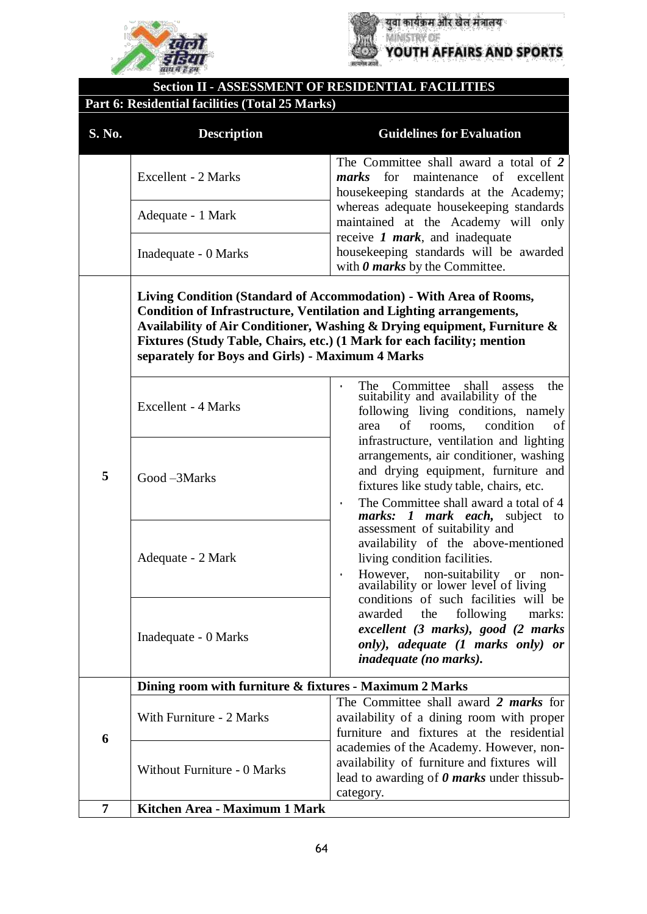



# **Section II - ASSESSMENT OF RESIDENTIAL FACILITIES**

# **Part 6: Residential facilities (Total 25 Marks)**

| S. No. | <b>Description</b>                                                                                                             | <b>Guidelines for Evaluation</b>                                                                                                                                                                                                                                                                                                                                                                                                                                                                                                                                                                                                                                            |  |
|--------|--------------------------------------------------------------------------------------------------------------------------------|-----------------------------------------------------------------------------------------------------------------------------------------------------------------------------------------------------------------------------------------------------------------------------------------------------------------------------------------------------------------------------------------------------------------------------------------------------------------------------------------------------------------------------------------------------------------------------------------------------------------------------------------------------------------------------|--|
|        | Excellent - 2 Marks                                                                                                            | The Committee shall award a total of 2<br>for<br>marks<br>maintenance<br>of<br>excellent<br>housekeeping standards at the Academy;                                                                                                                                                                                                                                                                                                                                                                                                                                                                                                                                          |  |
|        | Adequate - 1 Mark                                                                                                              | whereas adequate housekeeping standards<br>maintained at the Academy will only                                                                                                                                                                                                                                                                                                                                                                                                                                                                                                                                                                                              |  |
|        | Inadequate - 0 Marks                                                                                                           | receive $1$ mark, and inadequate<br>housekeeping standards will be awarded<br>with $\theta$ marks by the Committee.                                                                                                                                                                                                                                                                                                                                                                                                                                                                                                                                                         |  |
|        | <b>Condition of Infrastructure, Ventilation and Lighting arrangements,</b><br>separately for Boys and Girls) - Maximum 4 Marks | Living Condition (Standard of Accommodation) - With Area of Rooms,<br>Availability of Air Conditioner, Washing & Drying equipment, Furniture &<br>Fixtures (Study Table, Chairs, etc.) (1 Mark for each facility; mention                                                                                                                                                                                                                                                                                                                                                                                                                                                   |  |
| 5      | <b>Excellent - 4 Marks</b>                                                                                                     | Committee shall<br>the<br>The<br>assess<br>suitability and availability of the<br>following living conditions, namely<br>of<br>condition<br>of<br>rooms.<br>area                                                                                                                                                                                                                                                                                                                                                                                                                                                                                                            |  |
|        | Good-3Marks                                                                                                                    | infrastructure, ventilation and lighting<br>arrangements, air conditioner, washing<br>and drying equipment, furniture and<br>fixtures like study table, chairs, etc.<br>The Committee shall award a total of 4<br>$\bullet$<br><i>marks: 1 mark each</i> , subject to<br>assessment of suitability and<br>availability of the above-mentioned<br>living condition facilities.<br>However, non-suitability or no<br>availability or lower level of living<br>non-<br>$\bullet$<br>conditions of such facilities will be<br>following<br>awarded<br>the<br>marks:<br>excellent (3 marks), good (2 marks<br>only), adequate (1 marks only) or<br><i>inadequate (no marks).</i> |  |
|        | Adequate - 2 Mark                                                                                                              |                                                                                                                                                                                                                                                                                                                                                                                                                                                                                                                                                                                                                                                                             |  |
|        | Inadequate - 0 Marks                                                                                                           |                                                                                                                                                                                                                                                                                                                                                                                                                                                                                                                                                                                                                                                                             |  |
|        | Dining room with furniture & fixtures - Maximum 2 Marks                                                                        |                                                                                                                                                                                                                                                                                                                                                                                                                                                                                                                                                                                                                                                                             |  |
| 6      | With Furniture - 2 Marks                                                                                                       | The Committee shall award 2 marks for<br>availability of a dining room with proper<br>furniture and fixtures at the residential                                                                                                                                                                                                                                                                                                                                                                                                                                                                                                                                             |  |
|        | Without Furniture - 0 Marks                                                                                                    | academies of the Academy. However, non-<br>availability of furniture and fixtures will<br>lead to awarding of $\theta$ marks under this sub-<br>category.                                                                                                                                                                                                                                                                                                                                                                                                                                                                                                                   |  |
| 7      | Kitchen Area - Maximum 1 Mark                                                                                                  |                                                                                                                                                                                                                                                                                                                                                                                                                                                                                                                                                                                                                                                                             |  |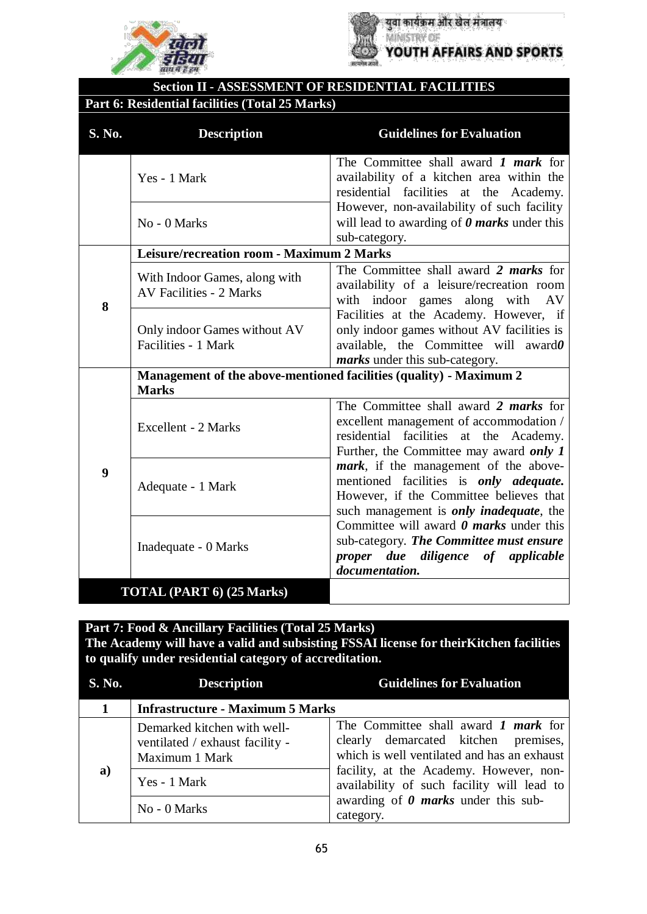



# **Section II - ASSESSMENT OF RESIDENTIAL FACILITIES**

### **Part 6: Residential facilities (Total 25 Marks)**

| S. No. | <b>Description</b>                                                                 | <b>Guidelines for Evaluation</b>                                                                                                                                                      |
|--------|------------------------------------------------------------------------------------|---------------------------------------------------------------------------------------------------------------------------------------------------------------------------------------|
|        | Yes - 1 Mark                                                                       | The Committee shall award $\bm{l}$ mark for<br>availability of a kitchen area within the<br>residential facilities at the Academy.                                                    |
|        | No - 0 Marks                                                                       | However, non-availability of such facility<br>will lead to awarding of $\theta$ marks under this<br>sub-category.                                                                     |
|        | Leisure/recreation room - Maximum 2 Marks                                          |                                                                                                                                                                                       |
| 8      | With Indoor Games, along with<br><b>AV Facilities - 2 Marks</b>                    | The Committee shall award 2 <i>marks</i> for<br>availability of a leisure/recreation room<br>with indoor games along with<br>- AV                                                     |
|        | Only indoor Games without AV<br>Facilities - 1 Mark                                | Facilities at the Academy. However, if<br>only indoor games without AV facilities is<br>available, the Committee will award $\theta$<br><i>marks</i> under this sub-category.         |
|        | Management of the above-mentioned facilities (quality) - Maximum 2<br><b>Marks</b> |                                                                                                                                                                                       |
| 9      | Excellent - 2 Marks                                                                | The Committee shall award 2 <i>marks</i> for<br>excellent management of accommodation /<br>residential facilities at the Academy.<br>Further, the Committee may award only 1          |
|        | Adequate - 1 Mark                                                                  | mark, if the management of the above-<br>mentioned facilities is <i>only adequate</i> .<br>However, if the Committee believes that<br>such management is <i>only inadequate</i> , the |
|        | Inadequate - 0 Marks                                                               | Committee will award $\theta$ marks under this<br>sub-category. The Committee must ensure<br>proper due diligence of applicable<br>documentation.                                     |
|        | TOTAL (PART 6) (25 Marks)                                                          |                                                                                                                                                                                       |

| <b>S. No.</b> | <b>Description</b>                                                               | <b>Guidelines for Evaluation</b>                                                                                                                                                                                            |
|---------------|----------------------------------------------------------------------------------|-----------------------------------------------------------------------------------------------------------------------------------------------------------------------------------------------------------------------------|
|               | <b>Infrastructure - Maximum 5 Marks</b>                                          |                                                                                                                                                                                                                             |
| a)            | Demarked kitchen with well-<br>ventilated / exhaust facility -<br>Maximum 1 Mark | The Committee shall award 1 <i>mark</i> for<br>clearly demarcated kitchen premises,<br>which is well ventilated and has an exhaust<br>facility, at the Academy. However, non-<br>availability of such facility will lead to |
|               | Yes - 1 Mark                                                                     |                                                                                                                                                                                                                             |
|               | No - 0 Marks                                                                     | awarding of $\theta$ marks under this sub-<br>category.                                                                                                                                                                     |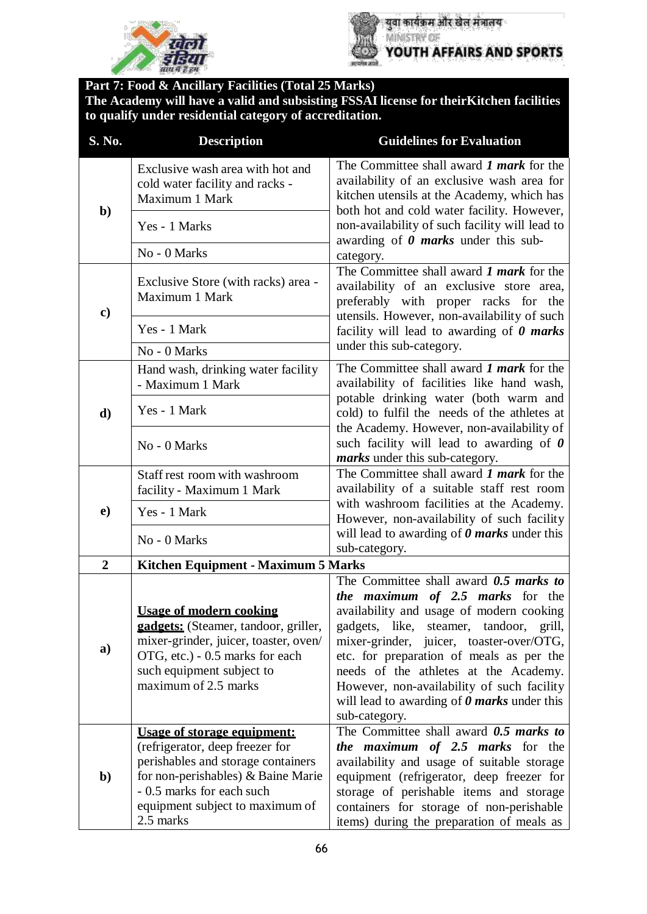



युवा कार्यक्रम और खेल मंत्रालय YOUTH AFFAIRS AND SPORTS

| S. No.         | <b>Description</b>                                                                                                                                                                                                             | <b>Guidelines for Evaluation</b>                                                                                                                                                                                                                                                                                                                                              |
|----------------|--------------------------------------------------------------------------------------------------------------------------------------------------------------------------------------------------------------------------------|-------------------------------------------------------------------------------------------------------------------------------------------------------------------------------------------------------------------------------------------------------------------------------------------------------------------------------------------------------------------------------|
| $\mathbf{b}$   | Exclusive wash area with hot and<br>cold water facility and racks -<br>Maximum 1 Mark                                                                                                                                          | The Committee shall award <i>1 mark</i> for the<br>availability of an exclusive wash area for<br>kitchen utensils at the Academy, which has                                                                                                                                                                                                                                   |
|                | Yes - 1 Marks                                                                                                                                                                                                                  | both hot and cold water facility. However,<br>non-availability of such facility will lead to<br>awarding of $\theta$ marks under this sub-                                                                                                                                                                                                                                    |
|                | No - 0 Marks                                                                                                                                                                                                                   | category.                                                                                                                                                                                                                                                                                                                                                                     |
| $\mathbf{c})$  | Exclusive Store (with racks) area -<br>Maximum 1 Mark                                                                                                                                                                          | The Committee shall award 1 mark for the<br>availability of an exclusive store area,<br>preferably with proper racks for the<br>utensils. However, non-availability of such                                                                                                                                                                                                   |
|                | Yes - 1 Mark                                                                                                                                                                                                                   | facility will lead to awarding of $\theta$ marks                                                                                                                                                                                                                                                                                                                              |
|                | No - 0 Marks                                                                                                                                                                                                                   | under this sub-category.                                                                                                                                                                                                                                                                                                                                                      |
|                | Hand wash, drinking water facility<br>- Maximum 1 Mark                                                                                                                                                                         | The Committee shall award <i>1 mark</i> for the<br>availability of facilities like hand wash,                                                                                                                                                                                                                                                                                 |
| d)             | Yes - 1 Mark                                                                                                                                                                                                                   | potable drinking water (both warm and<br>cold) to fulfil the needs of the athletes at                                                                                                                                                                                                                                                                                         |
|                | No - 0 Marks                                                                                                                                                                                                                   | the Academy. However, non-availability of<br>such facility will lead to awarding of $\theta$<br><i>marks</i> under this sub-category.                                                                                                                                                                                                                                         |
|                | Staff rest room with washroom                                                                                                                                                                                                  | The Committee shall award 1 <i>mark</i> for the                                                                                                                                                                                                                                                                                                                               |
|                | facility - Maximum 1 Mark                                                                                                                                                                                                      | availability of a suitable staff rest room                                                                                                                                                                                                                                                                                                                                    |
| $\bf e)$       | Yes - 1 Mark                                                                                                                                                                                                                   | with washroom facilities at the Academy.<br>However, non-availability of such facility                                                                                                                                                                                                                                                                                        |
|                | No - 0 Marks                                                                                                                                                                                                                   | will lead to awarding of $\theta$ marks under this<br>sub-category.                                                                                                                                                                                                                                                                                                           |
| $\overline{2}$ | Kitchen Equipment - Maximum 5 Marks                                                                                                                                                                                            |                                                                                                                                                                                                                                                                                                                                                                               |
|                |                                                                                                                                                                                                                                | The Committee shall award 0.5 marks to                                                                                                                                                                                                                                                                                                                                        |
| a)             | <b>Usage of modern cooking</b><br>gadgets: (Steamer, tandoor, griller,<br>mixer-grinder, juicer, toaster, oven/<br>OTG, etc.) - 0.5 marks for each<br>such equipment subject to<br>maximum of 2.5 marks                        | the maximum of 2.5 marks for the<br>availability and usage of modern cooking<br>gadgets, like, steamer, tandoor, grill,<br>mixer-grinder, juicer, toaster-over/OTG,<br>etc. for preparation of meals as per the<br>needs of the athletes at the Academy.<br>However, non-availability of such facility<br>will lead to awarding of $\theta$ marks under this<br>sub-category. |
| $\mathbf{b}$   | <b>Usage of storage equipment:</b><br>(refrigerator, deep freezer for<br>perishables and storage containers<br>for non-perishables) & Baine Marie<br>- 0.5 marks for each such<br>equipment subject to maximum of<br>2.5 marks | The Committee shall award 0.5 marks to<br><i>the maximum of 2.5 marks</i> for the<br>availability and usage of suitable storage<br>equipment (refrigerator, deep freezer for<br>storage of perishable items and storage<br>containers for storage of non-perishable<br>items) during the preparation of meals as                                                              |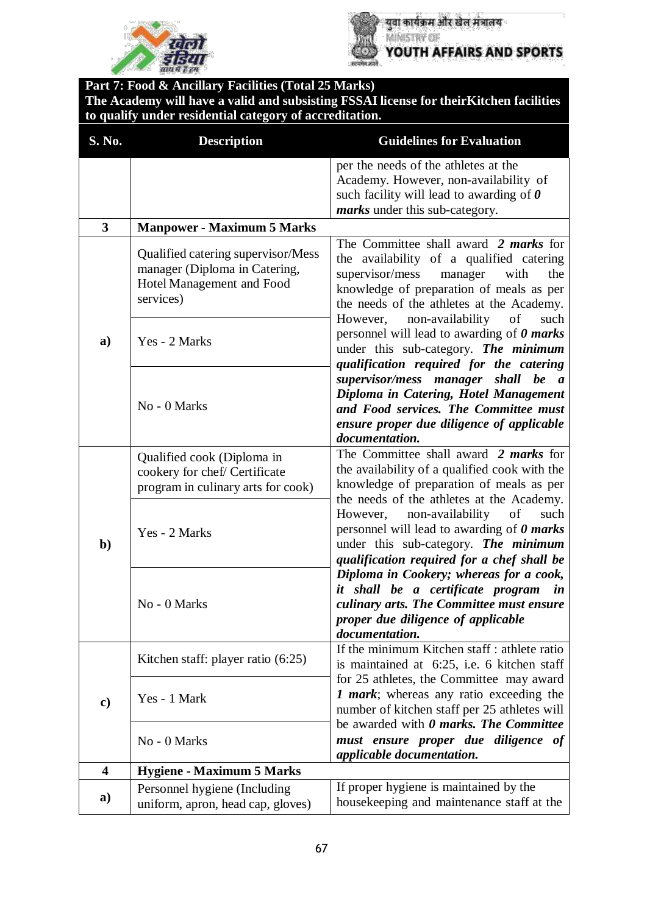



| S. No.                  | <b>Description</b>                                                                                            | <b>Guidelines for Evaluation</b>                                                                                                                                                                                                                                                                                                                                                                                                                                                                                                                                                                            |
|-------------------------|---------------------------------------------------------------------------------------------------------------|-------------------------------------------------------------------------------------------------------------------------------------------------------------------------------------------------------------------------------------------------------------------------------------------------------------------------------------------------------------------------------------------------------------------------------------------------------------------------------------------------------------------------------------------------------------------------------------------------------------|
|                         |                                                                                                               | per the needs of the athletes at the<br>Academy. However, non-availability of<br>such facility will lead to awarding of $\theta$<br>marks under this sub-category.                                                                                                                                                                                                                                                                                                                                                                                                                                          |
| $\overline{\mathbf{3}}$ | <b>Manpower - Maximum 5 Marks</b>                                                                             |                                                                                                                                                                                                                                                                                                                                                                                                                                                                                                                                                                                                             |
| a)                      | Qualified catering supervisor/Mess<br>manager (Diploma in Catering,<br>Hotel Management and Food<br>services) | The Committee shall award 2 <i>marks</i> for<br>the availability of a qualified catering<br>supervisor/mess<br>the<br>manager<br>with<br>knowledge of preparation of meals as per<br>the needs of the athletes at the Academy.<br>non-availability<br>However,<br>of<br>such<br>personnel will lead to awarding of $\theta$ marks<br>under this sub-category. The minimum<br>qualification required for the catering<br>supervisor/mess manager shall be a<br>Diploma in Catering, Hotel Management<br>and Food services. The Committee must<br>ensure proper due diligence of applicable<br>documentation. |
|                         | Yes - 2 Marks                                                                                                 |                                                                                                                                                                                                                                                                                                                                                                                                                                                                                                                                                                                                             |
|                         | No - 0 Marks                                                                                                  |                                                                                                                                                                                                                                                                                                                                                                                                                                                                                                                                                                                                             |
| $\mathbf{b}$            | Qualified cook (Diploma in<br>cookery for chef/ Certificate<br>program in culinary arts for cook)             | The Committee shall award 2 <i>marks</i> for<br>the availability of a qualified cook with the<br>knowledge of preparation of meals as per<br>the needs of the athletes at the Academy.                                                                                                                                                                                                                                                                                                                                                                                                                      |
|                         | Yes - 2 Marks                                                                                                 | non-availability<br>However,<br>of<br>such<br>personnel will lead to awarding of $\theta$ marks<br>under this sub-category. The minimum<br>qualification required for a chef shall be                                                                                                                                                                                                                                                                                                                                                                                                                       |
|                         | No - 0 Marks                                                                                                  | Diploma in Cookery; whereas for a cook,<br>it shall be a certificate program<br>in<br>culinary arts. The Committee must ensure<br>proper due diligence of applicable<br>documentation.                                                                                                                                                                                                                                                                                                                                                                                                                      |
| $\mathbf{c})$           | Kitchen staff: player ratio (6:25)                                                                            | If the minimum Kitchen staff : athlete ratio<br>is maintained at 6:25, i.e. 6 kitchen staff                                                                                                                                                                                                                                                                                                                                                                                                                                                                                                                 |
|                         | Yes - 1 Mark                                                                                                  | for 25 athletes, the Committee may award<br>1 mark; whereas any ratio exceeding the<br>number of kitchen staff per 25 athletes will<br>be awarded with 0 marks. The Committee                                                                                                                                                                                                                                                                                                                                                                                                                               |
|                         | No - 0 Marks                                                                                                  | must ensure proper due diligence of<br>applicable documentation.                                                                                                                                                                                                                                                                                                                                                                                                                                                                                                                                            |
| 4                       | <b>Hygiene - Maximum 5 Marks</b>                                                                              |                                                                                                                                                                                                                                                                                                                                                                                                                                                                                                                                                                                                             |
| a)                      | Personnel hygiene (Including<br>uniform, apron, head cap, gloves)                                             | If proper hygiene is maintained by the<br>housekeeping and maintenance staff at the                                                                                                                                                                                                                                                                                                                                                                                                                                                                                                                         |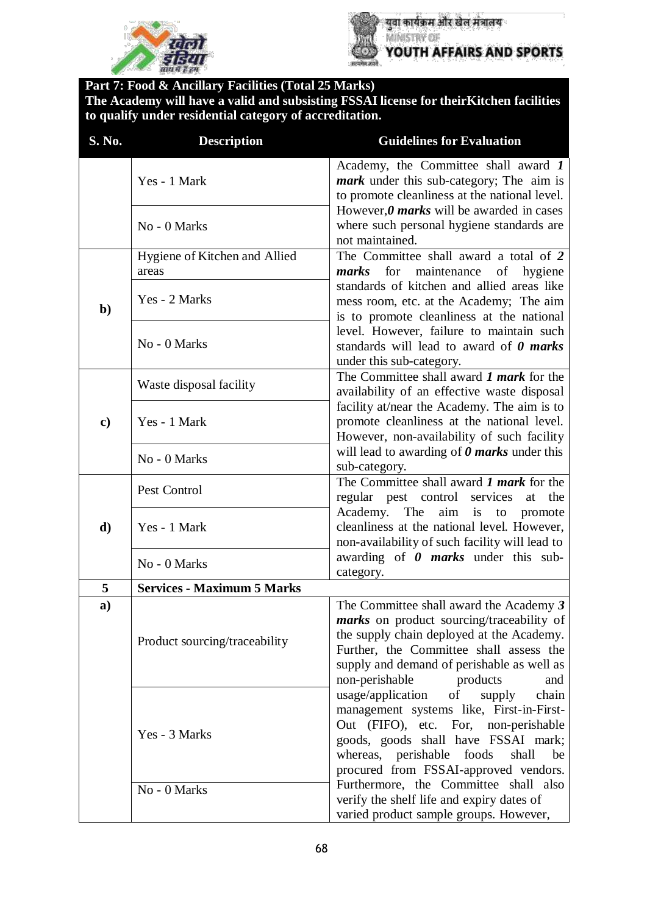



| S. No.       | <b>Description</b>                     | <b>Guidelines for Evaluation</b>                                                                                                                                                                                                                                |
|--------------|----------------------------------------|-----------------------------------------------------------------------------------------------------------------------------------------------------------------------------------------------------------------------------------------------------------------|
|              | Yes - 1 Mark                           | Academy, the Committee shall award 1<br><i>mark</i> under this sub-category; The aim is<br>to promote cleanliness at the national level.                                                                                                                        |
|              | No - 0 Marks                           | However, $\theta$ marks will be awarded in cases<br>where such personal hygiene standards are<br>not maintained.                                                                                                                                                |
| $\mathbf{b}$ | Hygiene of Kitchen and Allied<br>areas | The Committee shall award a total of 2<br>for maintenance<br>marks                                                                                                                                                                                              |
|              | Yes - 2 Marks                          | of<br>hygiene<br>standards of kitchen and allied areas like<br>mess room, etc. at the Academy; The aim<br>is to promote cleanliness at the national                                                                                                             |
|              | No - 0 Marks                           | level. However, failure to maintain such<br>standards will lead to award of $\theta$ marks<br>under this sub-category.                                                                                                                                          |
| c)           | Waste disposal facility                | The Committee shall award 1 mark for the<br>availability of an effective waste disposal                                                                                                                                                                         |
|              | Yes - 1 Mark                           | facility at/near the Academy. The aim is to<br>promote cleanliness at the national level.<br>However, non-availability of such facility                                                                                                                         |
|              | No - 0 Marks                           | will lead to awarding of $\theta$ marks under this<br>sub-category.                                                                                                                                                                                             |
|              | Pest Control                           | The Committee shall award 1 mark for the<br>regular pest control services at<br>the                                                                                                                                                                             |
| d)           | Yes - 1 Mark                           | Academy.<br>aim is to<br>The<br>promote<br>cleanliness at the national level. However,<br>non-availability of such facility will lead to                                                                                                                        |
|              | No - 0 Marks                           | awarding of $\theta$ marks under this sub-<br>category.                                                                                                                                                                                                         |
| 5            | <b>Services - Maximum 5 Marks</b>      |                                                                                                                                                                                                                                                                 |
| a)           | Product sourcing/traceability          | The Committee shall award the Academy 3<br>marks on product sourcing/traceability of<br>the supply chain deployed at the Academy.<br>Further, the Committee shall assess the<br>supply and demand of perishable as well as<br>non-perishable<br>products<br>and |
|              | Yes - 3 Marks                          | usage/application<br>of<br>supply<br>chain<br>management systems like, First-in-First-<br>Out (FIFO), etc. For, non-perishable<br>goods, goods shall have FSSAI mark;<br>whereas, perishable foods<br>shall<br>be<br>procured from FSSAI-approved vendors.      |
|              | No - 0 Marks                           | Furthermore, the Committee shall also<br>verify the shelf life and expiry dates of<br>varied product sample groups. However,                                                                                                                                    |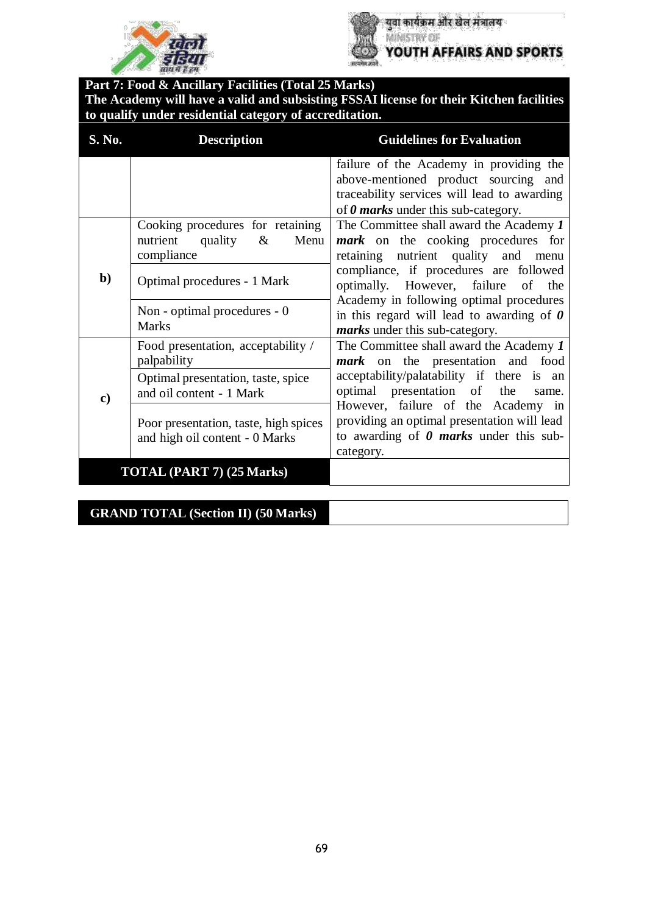



युवा कार्यक्रम और खेल मंत्रालय MINISTRY OF YOUTH AFFAIRS AND SPORTS

**Part 7: Food & Ancillary Facilities (Total 25 Marks) The Academy will have a valid and subsisting FSSAI license for their Kitchen facilities to qualify under residential category of accreditation.**

| S. No.        | <b>Description</b>                                                                    | <b>Guidelines for Evaluation</b>                                                                                                                                             |
|---------------|---------------------------------------------------------------------------------------|------------------------------------------------------------------------------------------------------------------------------------------------------------------------------|
|               |                                                                                       | failure of the Academy in providing the<br>above-mentioned product sourcing and<br>traceability services will lead to awarding<br>of $\theta$ marks under this sub-category. |
| $\mathbf{b}$  | Cooking procedures for retaining<br>nutrient<br>quality<br>Menu<br>$\&$<br>compliance | The Committee shall award the Academy 1<br><i>mark</i> on the cooking procedures for<br>nutrient quality and<br>retaining<br>menu                                            |
|               | Optimal procedures - 1 Mark                                                           | compliance, if procedures are followed<br>optimally. However, failure<br>of the<br>Academy in following optimal procedures                                                   |
|               | Non - optimal procedures - 0<br><b>Marks</b>                                          | in this regard will lead to awarding of $\theta$<br><i>marks</i> under this sub-category.                                                                                    |
| $\mathbf{c})$ | Food presentation, acceptability /<br>palpability                                     | The Committee shall award the Academy 1<br><i>mark</i> on the presentation and food                                                                                          |
|               | Optimal presentation, taste, spice<br>and oil content - 1 Mark                        | acceptability/palatability if there is an<br>optimal presentation of the<br>same.                                                                                            |
|               | Poor presentation, taste, high spices<br>and high oil content - 0 Marks               | However, failure of the Academy in<br>providing an optimal presentation will lead<br>to awarding of $\theta$ marks under this sub-<br>category.                              |
|               | TOTAL (PART 7) (25 Marks)                                                             |                                                                                                                                                                              |

#### **GRAND TOTAL (Section II) (50 Marks)**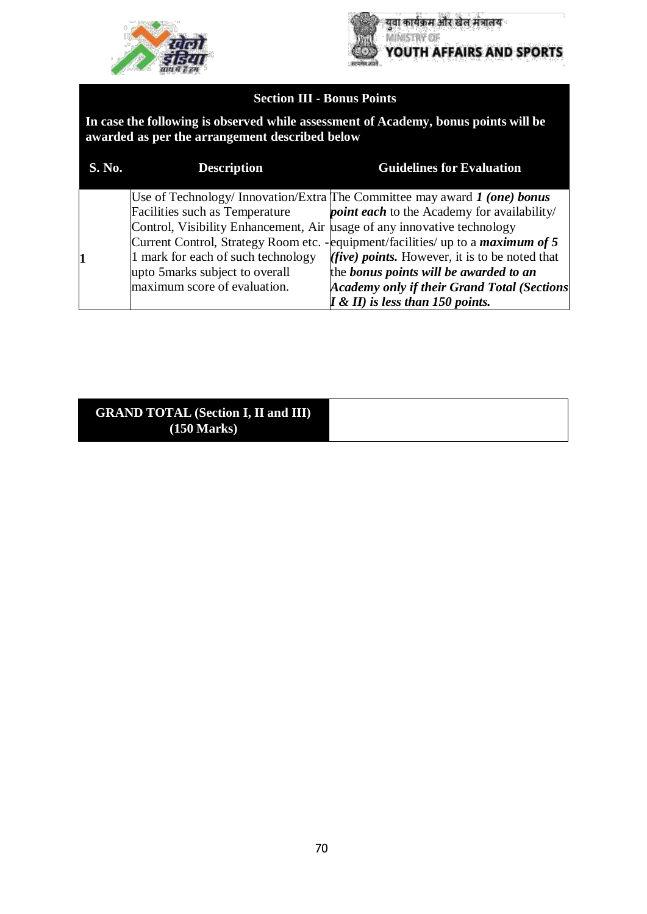



# **Section III - Bonus Points**

**In case the following is observed while assessment of Academy, bonus points will be awarded as per the arrangement described below**

| S. No. | <b>Description</b>                                                      | <b>Guidelines for Evaluation</b>                                                        |
|--------|-------------------------------------------------------------------------|-----------------------------------------------------------------------------------------|
|        |                                                                         | Use of Technology/ Innovation/Extra The Committee may award $\bm{l}$ (one) bonus        |
|        | Facilities such as Temperature                                          | <i>point each</i> to the Academy for availability/                                      |
|        | Control, Visibility Enhancement, Air usage of any innovative technology |                                                                                         |
|        |                                                                         | Current Control, Strategy Room etc. - equipment/facilities/ up to a <i>maximum of 5</i> |
|        | 1 mark for each of such technology                                      | ( <i>five</i> ) <i>points</i> . However, it is to be noted that                         |
|        | upto 5marks subject to overall                                          | the bonus points will be awarded to an                                                  |
|        | maximum score of evaluation.                                            | <b>Academy only if their Grand Total (Sections</b>                                      |
|        |                                                                         | $I \& II$ ) is less than 150 points.                                                    |

#### **GRAND TOTAL (Section I, II and III) (150 Marks)**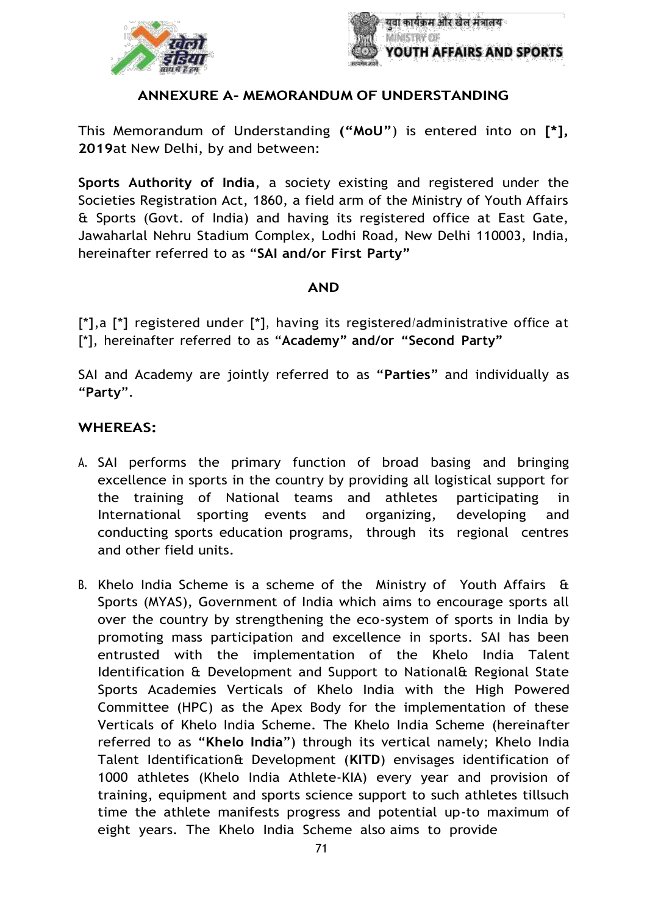



#### **ANNEXURE A- MEMORANDUM OF UNDERSTANDING**

This Memorandum of Understanding **("MoU"**) is entered into on **[\*], 2019**at New Delhi, by and between:

**Sports Authority of India**, a society existing and registered under the Societies Registration Act, 1860, a field arm of the Ministry of Youth Affairs & Sports (Govt. of India) and having its registered office at East Gate, Jawaharlal Nehru Stadium Complex, Lodhi Road, New Delhi 110003, India, hereinafter referred to as "**SAI and/or First Party"**

#### **AND**

[\*],a [\*] registered under [\*], having its registered/administrative office at [\*], hereinafter referred to as "**Academy" and/or "Second Party"**

SAI and Academy are jointly referred to as "**Parties**" and individually as "**Party**".

#### **WHEREAS:**

- A. SAI performs the primary function of broad basing and bringing excellence in sports in the country by providing all logistical support for the training of National teams and athletes participating in International sporting events and organizing, developing and conducting sports education programs, through its regional centres and other field units.
- B. Khelo India Scheme is a scheme of the Ministry of Youth Affairs  $\hat{a}$ Sports (MYAS), Government of India which aims to encourage sports all over the country by strengthening the eco-system of sports in India by promoting mass participation and excellence in sports. SAI has been entrusted with the implementation of the Khelo India Talent Identification & Development and Support to National& Regional State Sports Academies Verticals of Khelo India with the High Powered Committee (HPC) as the Apex Body for the implementation of these Verticals of Khelo India Scheme. The Khelo India Scheme (hereinafter referred to as "**Khelo India**") through its vertical namely; Khelo India Talent Identification& Development (**KITD**) envisages identification of 1000 athletes (Khelo India Athlete-KIA) every year and provision of training, equipment and sports science support to such athletes tillsuch time the athlete manifests progress and potential up-to maximum of eight years. The Khelo India Scheme also aims to provide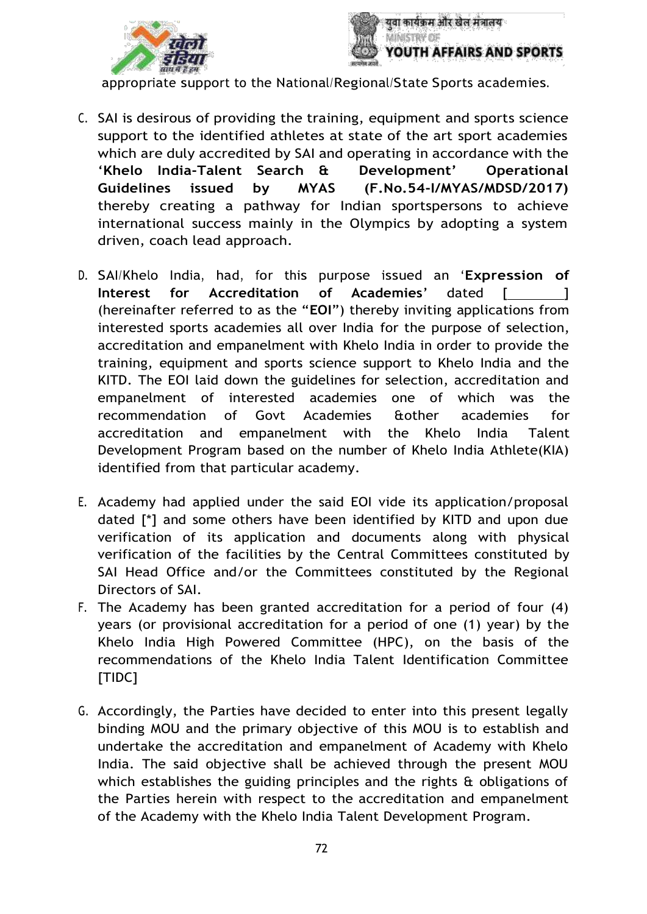



appropriate support to the National/Regional/State Sports academies.

- C. SAI is desirous of providing the training, equipment and sports science support to the identified athletes at state of the art sport academies which are duly accredited by SAI and operating in accordance with the '**Khelo India-Talent Search & Development' Operational Guidelines issued by MYAS (F.No.54-I/MYAS/MDSD/2017)** thereby creating a pathway for Indian sportspersons to achieve international success mainly in the Olympics by adopting a system driven, coach lead approach.
- D. SAI/Khelo India, had, for this purpose issued an '**Expression of Interest for Accreditation of Academies' dated [**  $\qquad$  ] (hereinafter referred to as the "**EOI**") thereby inviting applications from interested sports academies all over India for the purpose of selection, accreditation and empanelment with Khelo India in order to provide the training, equipment and sports science support to Khelo India and the KITD. The EOI laid down the guidelines for selection, accreditation and empanelment of interested academies one of which was the recommendation of Govt Academies &other academies for accreditation and empanelment with the Khelo India Talent Development Program based on the number of Khelo India Athlete(KIA) identified from that particular academy.
- E. Academy had applied under the said EOI vide its application/proposal dated [\*] and some others have been identified by KITD and upon due verification of its application and documents along with physical verification of the facilities by the Central Committees constituted by SAI Head Office and/or the Committees constituted by the Regional Directors of SAI.
- F. The Academy has been granted accreditation for a period of four (4) years (or provisional accreditation for a period of one (1) year) by the Khelo India High Powered Committee (HPC), on the basis of the recommendations of the Khelo India Talent Identification Committee [TIDC]
- G. Accordingly, the Parties have decided to enter into this present legally binding MOU and the primary objective of this MOU is to establish and undertake the accreditation and empanelment of Academy with Khelo India. The said objective shall be achieved through the present MOU which establishes the guiding principles and the rights & obligations of the Parties herein with respect to the accreditation and empanelment of the Academy with the Khelo India Talent Development Program.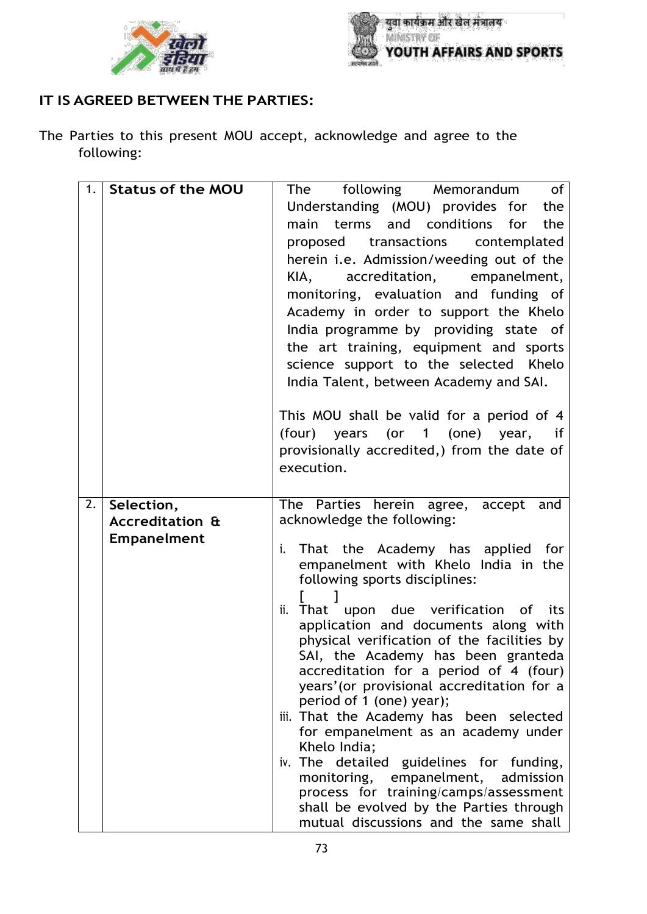



## **IT IS AGREED BETWEEN THE PARTIES:**

The Parties to this present MOU accept, acknowledge and agree to the following:

| 1. | <b>Status of the MOU</b>   | following Memorandum<br><b>of</b><br>The    |
|----|----------------------------|---------------------------------------------|
|    |                            | Understanding (MOU) provides for the        |
|    |                            | main terms and conditions for<br>the        |
|    |                            | proposed transactions contemplated          |
|    |                            | herein i.e. Admission/weeding out of the    |
|    |                            | accreditation, empanelment,<br>KIA,         |
|    |                            |                                             |
|    |                            | monitoring, evaluation and funding of       |
|    |                            | Academy in order to support the Khelo       |
|    |                            | India programme by providing state of       |
|    |                            | the art training, equipment and sports      |
|    |                            | science support to the selected Khelo       |
|    |                            | India Talent, between Academy and SAI.      |
|    |                            |                                             |
|    |                            | This MOU shall be valid for a period of 4   |
|    |                            | (four) years (or 1 (one) year, if           |
|    |                            | provisionally accredited,) from the date of |
|    |                            | execution.                                  |
|    |                            |                                             |
|    |                            |                                             |
| 2. | Selection,                 | The Parties herein agree, accept and        |
|    | <b>Accreditation &amp;</b> | acknowledge the following:                  |
|    | <b>Empanelment</b>         | That the Academy has applied for<br>i.      |
|    |                            | empanelment with Khelo India in the         |
|    |                            | following sports disciplines:               |
|    |                            |                                             |
|    |                            | That upon due verification of its<br>ii.    |
|    |                            | application and documents along with        |
|    |                            | physical verification of the facilities by  |
|    |                            | SAI, the Academy has been granteda          |
|    |                            | accreditation for a period of 4 (four)      |
|    |                            | years' (or provisional accreditation for a  |
|    |                            | period of 1 (one) year);                    |
|    |                            | iii. That the Academy has been selected     |
|    |                            | for empanelment as an academy under         |
|    |                            | Khelo India;                                |
|    |                            | iv. The detailed guidelines for funding,    |
|    |                            | monitoring, empanelment, admission          |
|    |                            | process for training/camps/assessment       |
|    |                            | shall be evolved by the Parties through     |
|    |                            | mutual discussions and the same shall       |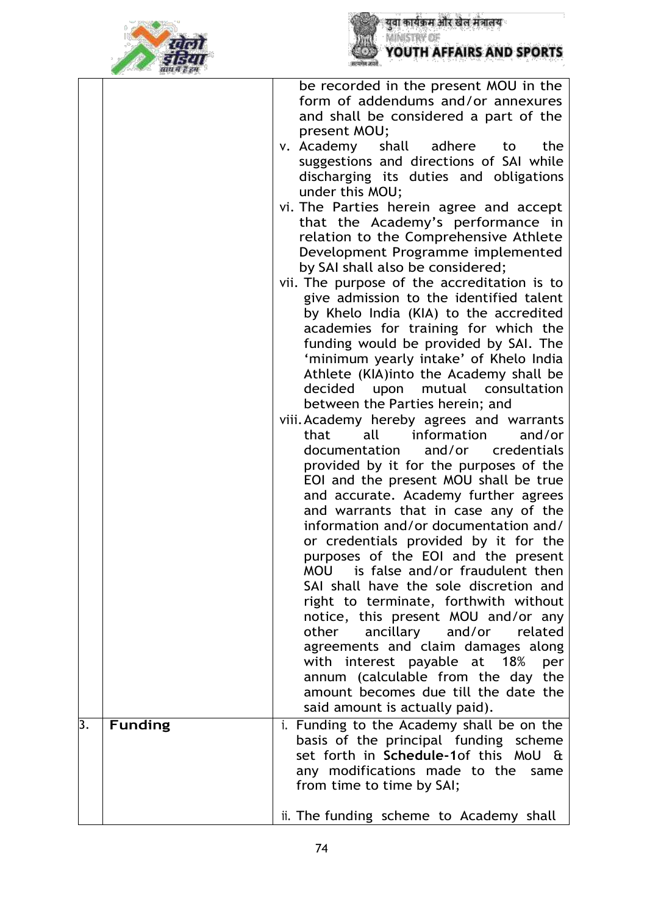



|                  |                | be recorded in the present MOU in the<br>form of addendums and/or annexures<br>and shall be considered a part of the<br>present MOU;<br>shall adhere<br>v. Academy<br>the<br>to<br>suggestions and directions of SAI while<br>discharging its duties and obligations<br>under this MOU;<br>vi. The Parties herein agree and accept<br>that the Academy's performance in<br>relation to the Comprehensive Athlete<br>Development Programme implemented<br>by SAI shall also be considered;<br>vii. The purpose of the accreditation is to<br>give admission to the identified talent<br>by Khelo India (KIA) to the accredited<br>academies for training for which the<br>funding would be provided by SAI. The<br>'minimum yearly intake' of Khelo India<br>Athlete (KIA)into the Academy shall be<br>decided<br>upon<br>mutual consultation<br>between the Parties herein; and<br>viii. Academy hereby agrees and warrants<br>information<br>and/or<br>that<br>all<br>and/or credentials<br>documentation<br>provided by it for the purposes of the<br>EOI and the present MOU shall be true<br>and accurate. Academy further agrees<br>and warrants that in case any of the<br>information and/or documentation and/<br>or credentials provided by it for the<br>purposes of the EOI and the present<br>is false and/or fraudulent then<br><b>MOU</b><br>SAI shall have the sole discretion and<br>right to terminate, forthwith without<br>notice, this present MOU and/or any<br>ancillary<br>other<br>and/or<br>related<br>agreements and claim damages along<br>with interest payable at 18%<br>per |
|------------------|----------------|-----------------------------------------------------------------------------------------------------------------------------------------------------------------------------------------------------------------------------------------------------------------------------------------------------------------------------------------------------------------------------------------------------------------------------------------------------------------------------------------------------------------------------------------------------------------------------------------------------------------------------------------------------------------------------------------------------------------------------------------------------------------------------------------------------------------------------------------------------------------------------------------------------------------------------------------------------------------------------------------------------------------------------------------------------------------------------------------------------------------------------------------------------------------------------------------------------------------------------------------------------------------------------------------------------------------------------------------------------------------------------------------------------------------------------------------------------------------------------------------------------------------------------------------------------------------------------------------------------------|
|                  |                | annum (calculable from the day the<br>amount becomes due till the date the<br>said amount is actually paid).                                                                                                                                                                                                                                                                                                                                                                                                                                                                                                                                                                                                                                                                                                                                                                                                                                                                                                                                                                                                                                                                                                                                                                                                                                                                                                                                                                                                                                                                                              |
| $\overline{3}$ . | <b>Funding</b> | i. Funding to the Academy shall be on the<br>basis of the principal funding scheme<br>set forth in Schedule-1of this MoU &<br>any modifications made to the<br>same<br>from time to time by SAI;<br>ii. The funding scheme to Academy shall                                                                                                                                                                                                                                                                                                                                                                                                                                                                                                                                                                                                                                                                                                                                                                                                                                                                                                                                                                                                                                                                                                                                                                                                                                                                                                                                                               |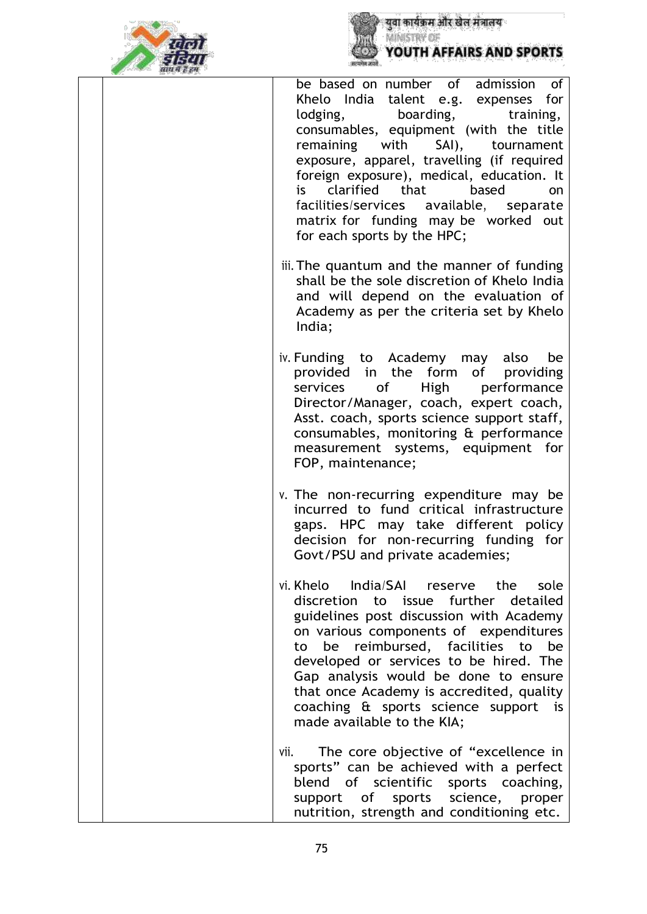



be based on number of admission of Khelo India talent e.g. expenses for lodging, boarding, training, consumables, equipment (with the title remaining with SAI), tournament exposure, apparel, travelling (if required foreign exposure), medical, education. It is clarified that based on facilities/services available, separate matrix for funding may be worked out for each sports by the HPC; iii. The quantum and the manner of funding shall be the sole discretion of Khelo India and will depend on the evaluation of Academy as per the criteria set by Khelo India; iv. Funding to Academy may also be provided in the form of providing services of High performance Director/Manager, coach, expert coach, Asst. coach, sports science support staff, consumables, monitoring & performance measurement systems, equipment for FOP, maintenance; v. The non-recurring expenditure may be incurred to fund critical infrastructure gaps. HPC may take different policy decision for non-recurring funding for Govt/PSU and private academies; vi. Khelo India/SAI reserve the sole discretion to issue further detailed guidelines post discussion with Academy on various components of expenditures to be reimbursed, facilities to be developed or services to be hired. The Gap analysis would be done to ensure that once Academy is accredited, quality coaching & sports science support is made available to the KIA;

vii. The core objective of "excellence in sports" can be achieved with a perfect blend of scientific sports coaching, support of sports science, proper nutrition, strength and conditioning etc.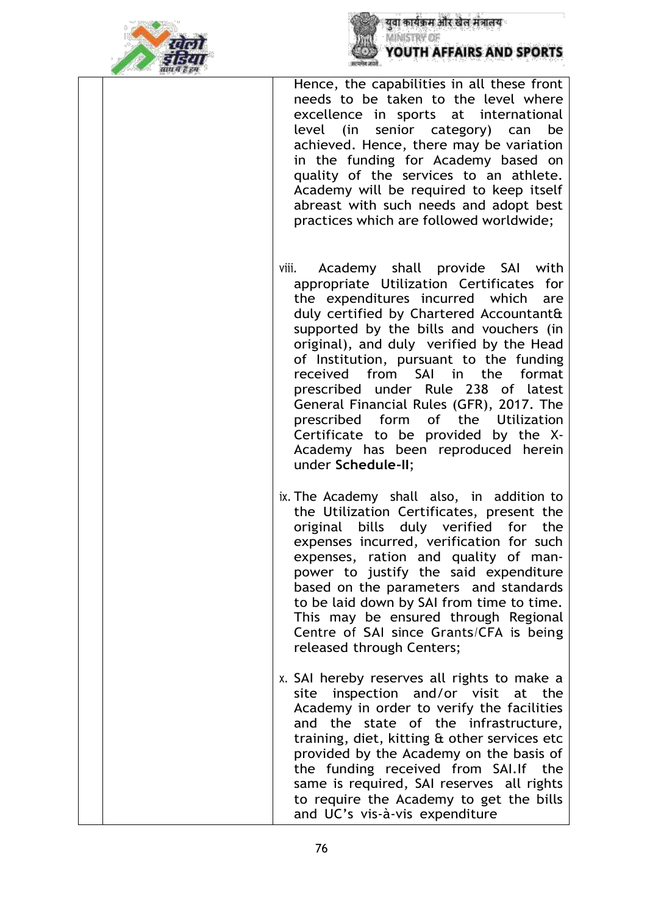



Hence, the capabilities in all these front needs to be taken to the level where excellence in sports at international level (in senior category) can be achieved. Hence, there may be variation in the funding for Academy based on quality of the services to an athlete. Academy will be required to keep itself abreast with such needs and adopt best practices which are followed worldwide;

- viii. Academy shall provide SAI with appropriate Utilization Certificates for the expenditures incurred which are duly certified by Chartered Accountant& supported by the bills and vouchers (in original), and duly verified by the Head of Institution, pursuant to the funding received from SAI in the format prescribed under Rule 238 of latest General Financial Rules (GFR), 2017. The prescribed form of the Utilization Certificate to be provided by the X-Academy has been reproduced herein under **Schedule-II**;
- ix. The Academy shall also, in addition to the Utilization Certificates, present the original bills duly verified for the expenses incurred, verification for such expenses, ration and quality of manpower to justify the said expenditure based on the parameters and standards to be laid down by SAI from time to time. This may be ensured through Regional Centre of SAI since Grants/CFA is being released through Centers;
- x. SAI hereby reserves all rights to make a site inspection and/or visit at the Academy in order to verify the facilities and the state of the infrastructure, training, diet, kitting & other services etc provided by the Academy on the basis of the funding received from SAI.If the same is required, SAI reserves all rights to require the Academy to get the bills and UC's vis-à-vis expenditure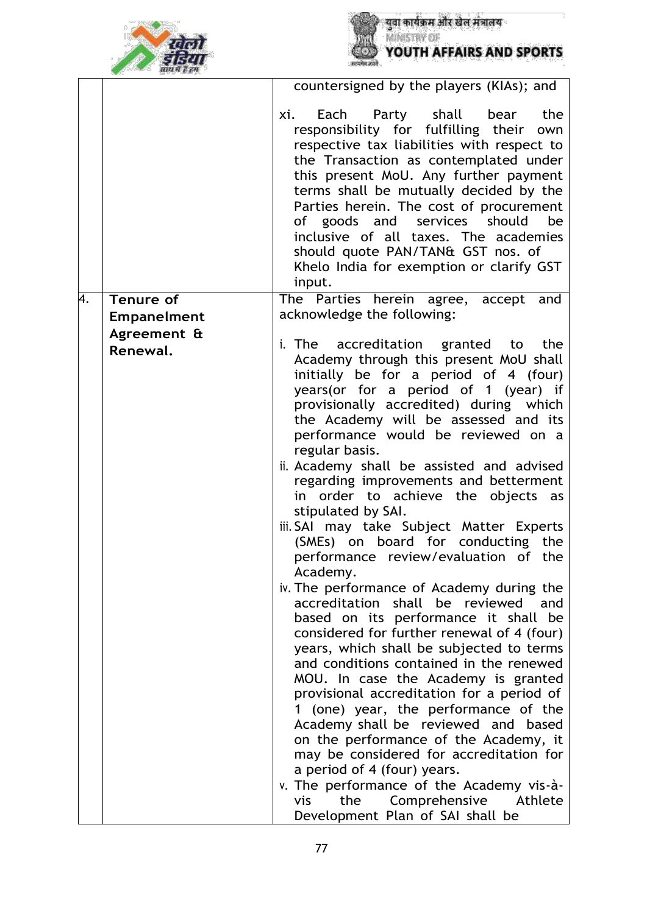



|    |                                        | countersigned by the players (KIAs); and                                                                                                                                                                                                                                                                                                                                                                                                                                                                                                                                                                                                                                                                                                                                                                                                                                                                                                                                                                                                                                                                                                                                                                                                                                        |
|----|----------------------------------------|---------------------------------------------------------------------------------------------------------------------------------------------------------------------------------------------------------------------------------------------------------------------------------------------------------------------------------------------------------------------------------------------------------------------------------------------------------------------------------------------------------------------------------------------------------------------------------------------------------------------------------------------------------------------------------------------------------------------------------------------------------------------------------------------------------------------------------------------------------------------------------------------------------------------------------------------------------------------------------------------------------------------------------------------------------------------------------------------------------------------------------------------------------------------------------------------------------------------------------------------------------------------------------|
|    |                                        | shall<br>Each<br>Party<br>bear<br>the<br>xi.<br>responsibility for fulfilling their own<br>respective tax liabilities with respect to<br>the Transaction as contemplated under<br>this present MoU. Any further payment<br>terms shall be mutually decided by the<br>Parties herein. The cost of procurement<br>of goods and services should<br>be<br>inclusive of all taxes. The academies<br>should quote PAN/TAN& GST nos. of<br>Khelo India for exemption or clarify GST<br>input.                                                                                                                                                                                                                                                                                                                                                                                                                                                                                                                                                                                                                                                                                                                                                                                          |
| 4. | <b>Tenure of</b><br><b>Empanelment</b> | The Parties herein agree, accept and<br>acknowledge the following:                                                                                                                                                                                                                                                                                                                                                                                                                                                                                                                                                                                                                                                                                                                                                                                                                                                                                                                                                                                                                                                                                                                                                                                                              |
|    | Agreement &<br>Renewal.                | i. The accreditation granted to the<br>Academy through this present MoU shall<br>initially be for a period of 4 (four)<br>years (or for a period of 1 (year) if<br>provisionally accredited) during which<br>the Academy will be assessed and its<br>performance would be reviewed on a<br>regular basis.<br>ii. Academy shall be assisted and advised<br>regarding improvements and betterment<br>in order to achieve the objects as<br>stipulated by SAI.<br>iii. SAI may take Subject Matter Experts<br>(SMEs) on board for conducting the<br>performance review/evaluation of the<br>Academy.<br>iv. The performance of Academy during the<br>accreditation shall be reviewed<br>and<br>based on its performance it shall be<br>considered for further renewal of 4 (four)<br>years, which shall be subjected to terms<br>and conditions contained in the renewed<br>MOU. In case the Academy is granted<br>provisional accreditation for a period of<br>1 (one) year, the performance of the<br>Academy shall be reviewed and based<br>on the performance of the Academy, it<br>may be considered for accreditation for<br>a period of 4 (four) years.<br>v. The performance of the Academy vis-à-<br>the Comprehensive Athlete<br>vis<br>Development Plan of SAI shall be |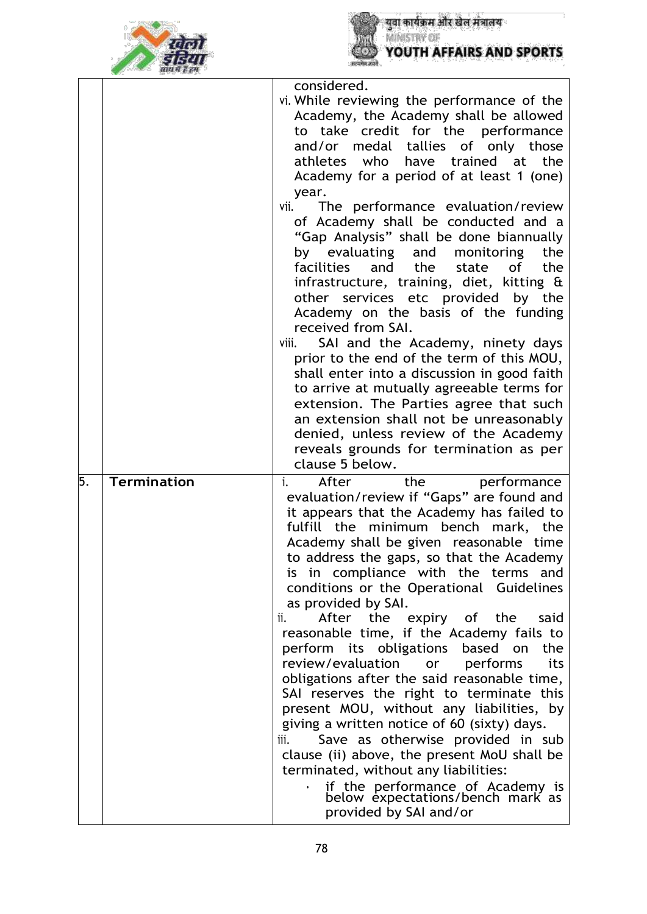



|    |                    | considered.                                                                                                                                                                                                                                                                                                                                                                                                                                                                                                                                                                                                                                                                                                                                                                                                                                                                                                                                                  |
|----|--------------------|--------------------------------------------------------------------------------------------------------------------------------------------------------------------------------------------------------------------------------------------------------------------------------------------------------------------------------------------------------------------------------------------------------------------------------------------------------------------------------------------------------------------------------------------------------------------------------------------------------------------------------------------------------------------------------------------------------------------------------------------------------------------------------------------------------------------------------------------------------------------------------------------------------------------------------------------------------------|
|    |                    | vi. While reviewing the performance of the<br>Academy, the Academy shall be allowed<br>to take credit for the performance<br>and/or medal tallies of only those<br>athletes who have trained at<br>the<br>Academy for a period of at least 1 (one)<br>year.<br>vii.<br>The performance evaluation/review<br>of Academy shall be conducted and a<br>"Gap Analysis" shall be done biannually<br>by evaluating and monitoring<br>the<br>facilities<br>and<br>the<br>the<br>state<br>of<br>infrastructure, training, diet, kitting &<br>other services etc provided by the<br>Academy on the basis of the funding<br>received from SAI.<br>SAI and the Academy, ninety days<br>viii.<br>prior to the end of the term of this MOU,<br>shall enter into a discussion in good faith<br>to arrive at mutually agreeable terms for<br>extension. The Parties agree that such                                                                                          |
|    |                    | an extension shall not be unreasonably<br>denied, unless review of the Academy                                                                                                                                                                                                                                                                                                                                                                                                                                                                                                                                                                                                                                                                                                                                                                                                                                                                               |
|    |                    | reveals grounds for termination as per<br>clause 5 below.                                                                                                                                                                                                                                                                                                                                                                                                                                                                                                                                                                                                                                                                                                                                                                                                                                                                                                    |
| 5. | <b>Termination</b> | After<br>the<br>i.<br>performance<br>evaluation/review if "Gaps" are found and<br>it appears that the Academy has failed to<br>fulfill the minimum bench mark, the<br>Academy shall be given reasonable time<br>to address the gaps, so that the Academy<br>is in compliance with the terms and<br>conditions or the Operational Guidelines<br>as provided by SAI.<br>After<br>the<br>ii.<br>expiry of the<br>said<br>reasonable time, if the Academy fails to<br>perform its obligations based<br>the<br>on<br>review/evaluation<br>performs<br>its<br>or<br>obligations after the said reasonable time,<br>SAI reserves the right to terminate this<br>present MOU, without any liabilities, by<br>giving a written notice of 60 (sixty) days.<br>Save as otherwise provided in sub<br>iii.<br>clause (ii) above, the present MoU shall be<br>terminated, without any liabilities:<br>if the performance of Academy is<br>below expectations/bench mark as |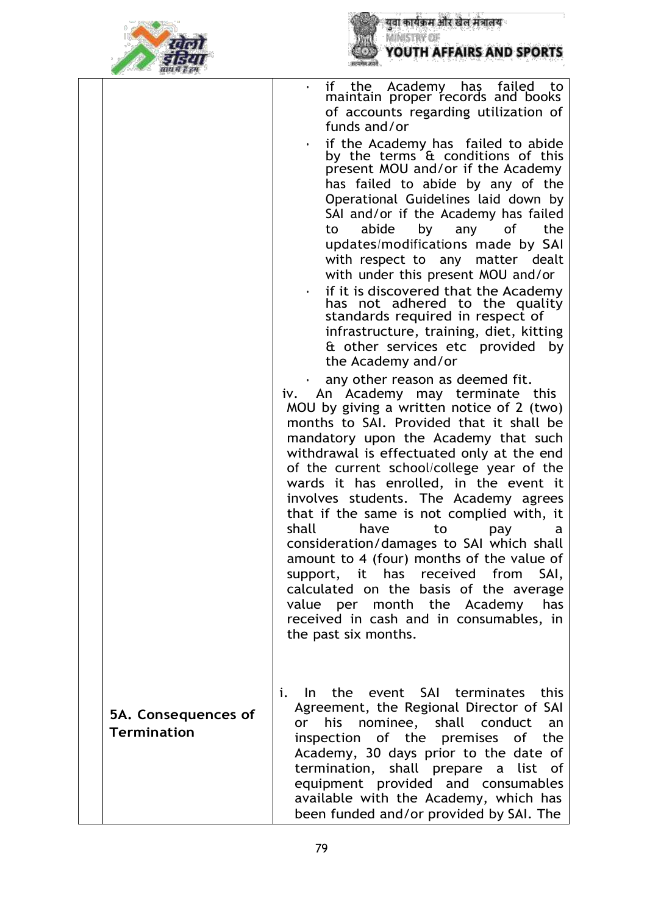



|                                           | if the Academy has failed to<br>maintain proper records and books<br>if<br>of accounts regarding utilization of<br>funds and/or<br>if the Academy has failed to abide<br>by the terms & conditions of this<br>present MOU and/or if the Academy<br>has failed to abide by any of the<br>Operational Guidelines laid down by<br>SAI and/or if the Academy has failed<br>the<br>abide<br>of<br>by<br>any<br>to<br>updates/modifications made by SAI<br>with respect to any matter dealt<br>with under this present MOU and/or<br>if it is discovered that the Academy<br>has not adhered to the quality<br>standards required in respect of<br>infrastructure, training, diet, kitting<br>& other services etc provided<br>by<br>the Academy and/or<br>any other reason as deemed fit.<br>An Academy may terminate this<br>iv.<br>MOU by giving a written notice of 2 (two)<br>months to SAI. Provided that it shall be<br>mandatory upon the Academy that such<br>withdrawal is effectuated only at the end<br>of the current school/college year of the<br>wards it has enrolled, in the event it<br>involves students. The Academy agrees<br>that if the same is not complied with, it<br>shall<br>have<br>to<br>pay<br>a<br>consideration/damages to SAI which shall<br>amount to 4 (four) months of the value of<br>support, it has received from<br>SAI, |
|-------------------------------------------|--------------------------------------------------------------------------------------------------------------------------------------------------------------------------------------------------------------------------------------------------------------------------------------------------------------------------------------------------------------------------------------------------------------------------------------------------------------------------------------------------------------------------------------------------------------------------------------------------------------------------------------------------------------------------------------------------------------------------------------------------------------------------------------------------------------------------------------------------------------------------------------------------------------------------------------------------------------------------------------------------------------------------------------------------------------------------------------------------------------------------------------------------------------------------------------------------------------------------------------------------------------------------------------------------------------------------------------------------------------|
|                                           | calculated on the basis of the average<br>value per month the Academy has<br>received in cash and in consumables, in<br>the past six months.                                                                                                                                                                                                                                                                                                                                                                                                                                                                                                                                                                                                                                                                                                                                                                                                                                                                                                                                                                                                                                                                                                                                                                                                                 |
| 5A. Consequences of<br><b>Termination</b> | In the event SAI terminates this<br>i.<br>Agreement, the Regional Director of SAI<br>his nominee, shall conduct<br>or<br>an<br>inspection of the premises of the<br>Academy, 30 days prior to the date of<br>termination, shall prepare a list of<br>equipment provided and consumables<br>available with the Academy, which has<br>been funded and/or provided by SAI. The                                                                                                                                                                                                                                                                                                                                                                                                                                                                                                                                                                                                                                                                                                                                                                                                                                                                                                                                                                                  |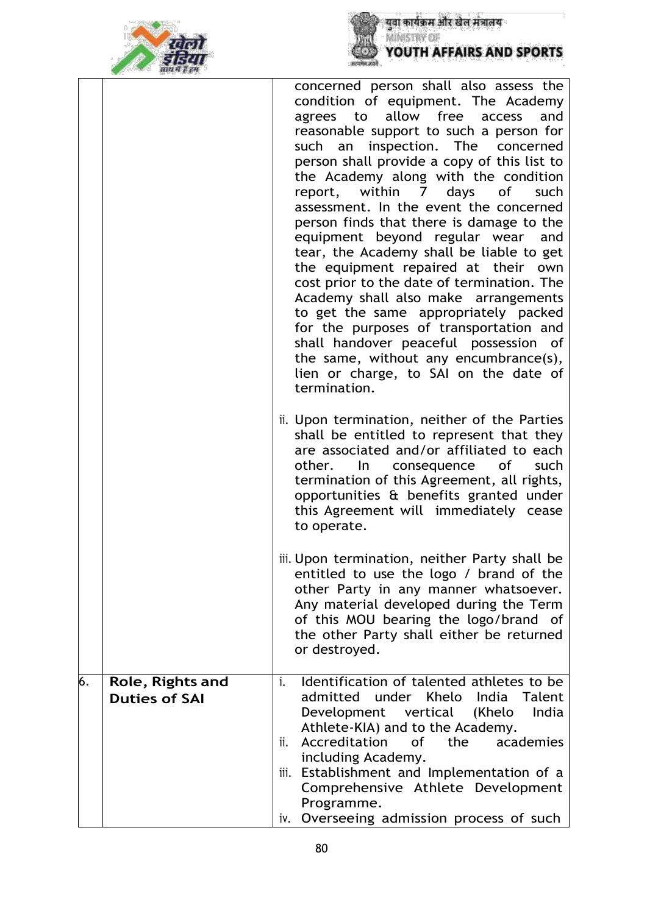



|    |                                          | concerned person shall also assess the<br>condition of equipment. The Academy<br>allow free<br>and<br>access<br>agrees to<br>reasonable support to such a person for<br>such an inspection. The concerned<br>person shall provide a copy of this list to<br>the Academy along with the condition<br>report, within 7 days of<br>such<br>assessment. In the event the concerned<br>person finds that there is damage to the<br>equipment beyond regular wear and<br>tear, the Academy shall be liable to get<br>the equipment repaired at their own<br>cost prior to the date of termination. The<br>Academy shall also make arrangements<br>to get the same appropriately packed<br>for the purposes of transportation and<br>shall handover peaceful possession of<br>the same, without any encumbrance(s),<br>lien or charge, to SAI on the date of<br>termination.<br>ii. Upon termination, neither of the Parties<br>shall be entitled to represent that they<br>are associated and/or affiliated to each<br>of<br>other.<br>In.<br>consequence<br>such<br>termination of this Agreement, all rights,<br>opportunities & benefits granted under<br>this Agreement will immediately cease |
|----|------------------------------------------|----------------------------------------------------------------------------------------------------------------------------------------------------------------------------------------------------------------------------------------------------------------------------------------------------------------------------------------------------------------------------------------------------------------------------------------------------------------------------------------------------------------------------------------------------------------------------------------------------------------------------------------------------------------------------------------------------------------------------------------------------------------------------------------------------------------------------------------------------------------------------------------------------------------------------------------------------------------------------------------------------------------------------------------------------------------------------------------------------------------------------------------------------------------------------------------------|
|    |                                          | to operate.<br>iii. Upon termination, neither Party shall be<br>entitled to use the logo / brand of the<br>other Party in any manner whatsoever.<br>Any material developed during the Term<br>of this MOU bearing the logo/brand of<br>the other Party shall either be returned<br>or destroyed.                                                                                                                                                                                                                                                                                                                                                                                                                                                                                                                                                                                                                                                                                                                                                                                                                                                                                             |
| 6. | Role, Rights and<br><b>Duties of SAI</b> | Identification of talented athletes to be<br>i.<br>under Khelo India<br>admitted<br>Talent<br>India<br>Development vertical (Khelo<br>Athlete-KIA) and to the Academy.<br>Accreditation<br>the<br>academies<br>of<br>ii.<br>including Academy.<br>Establishment and Implementation of a<br>iii.<br>Comprehensive Athlete Development<br>Programme.<br>Overseeing admission process of such<br>iv.                                                                                                                                                                                                                                                                                                                                                                                                                                                                                                                                                                                                                                                                                                                                                                                            |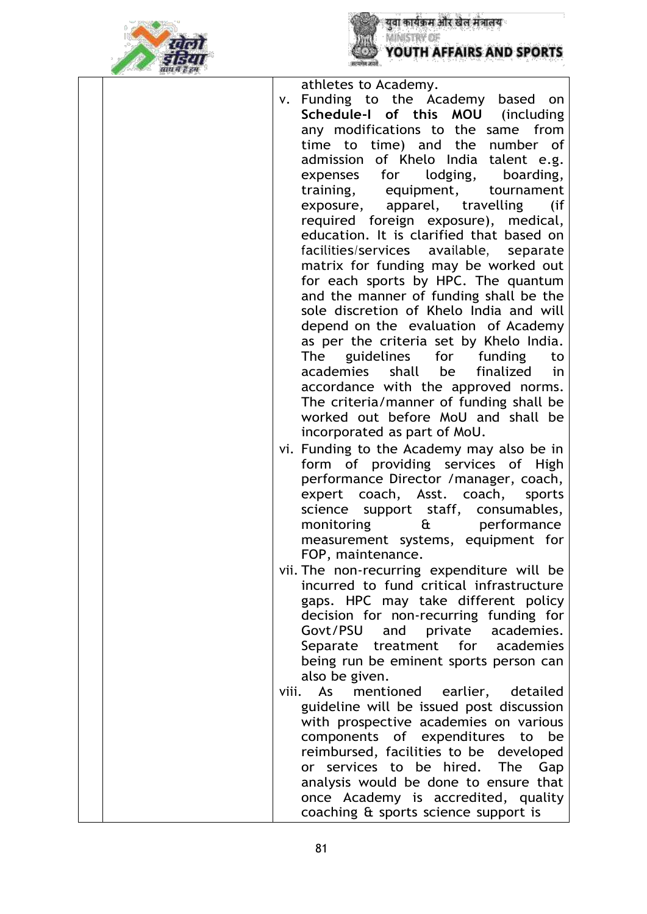



|  |       | athletes to Academy.                       |
|--|-------|--------------------------------------------|
|  | V.    | Funding to the Academy based on            |
|  |       | Schedule-I of this MOU (including          |
|  |       | any modifications to the same from         |
|  |       |                                            |
|  |       | time to time) and the number of            |
|  |       | admission of Khelo India talent e.g.       |
|  |       | expenses for lodging, boarding,            |
|  |       | training, equipment, tournament            |
|  |       | exposure, apparel, travelling (if          |
|  |       | required foreign exposure), medical,       |
|  |       | education. It is clarified that based on   |
|  |       | facilities/services available, separate    |
|  |       | matrix for funding may be worked out       |
|  |       | for each sports by HPC. The quantum        |
|  |       | and the manner of funding shall be the     |
|  |       | sole discretion of Khelo India and will    |
|  |       |                                            |
|  |       | depend on the evaluation of Academy        |
|  |       | as per the criteria set by Khelo India.    |
|  |       | The guidelines for funding to              |
|  |       | academies<br>shall be finalized<br>in i    |
|  |       | accordance with the approved norms.        |
|  |       | The criteria/manner of funding shall be    |
|  |       | worked out before MoU and shall be         |
|  |       | incorporated as part of MoU.               |
|  |       | vi. Funding to the Academy may also be in  |
|  |       | form of providing services of High         |
|  |       | performance Director /manager, coach,      |
|  |       | expert coach, Asst. coach, sports          |
|  |       | science support staff, consumables,        |
|  |       | monitoring<br>& performance                |
|  |       |                                            |
|  |       | measurement systems, equipment for         |
|  |       | FOP, maintenance.                          |
|  |       | vii. The non-recurring expenditure will be |
|  |       | incurred to fund critical infrastructure   |
|  |       | gaps. HPC may take different policy        |
|  |       | decision for non-recurring funding for     |
|  |       | Govt/PSU and private academies.            |
|  |       | Separate treatment for academies           |
|  |       | being run be eminent sports person can     |
|  |       | also be given.                             |
|  | viii. | As<br>mentioned earlier, detailed          |
|  |       | guideline will be issued post discussion   |
|  |       | with prospective academies on various      |
|  |       | components of expenditures to be           |
|  |       | reimbursed, facilities to be developed     |
|  |       | or services to be hired. The<br>Gap        |
|  |       | analysis would be done to ensure that      |
|  |       |                                            |
|  |       | once Academy is accredited, quality        |
|  |       | coaching & sports science support is       |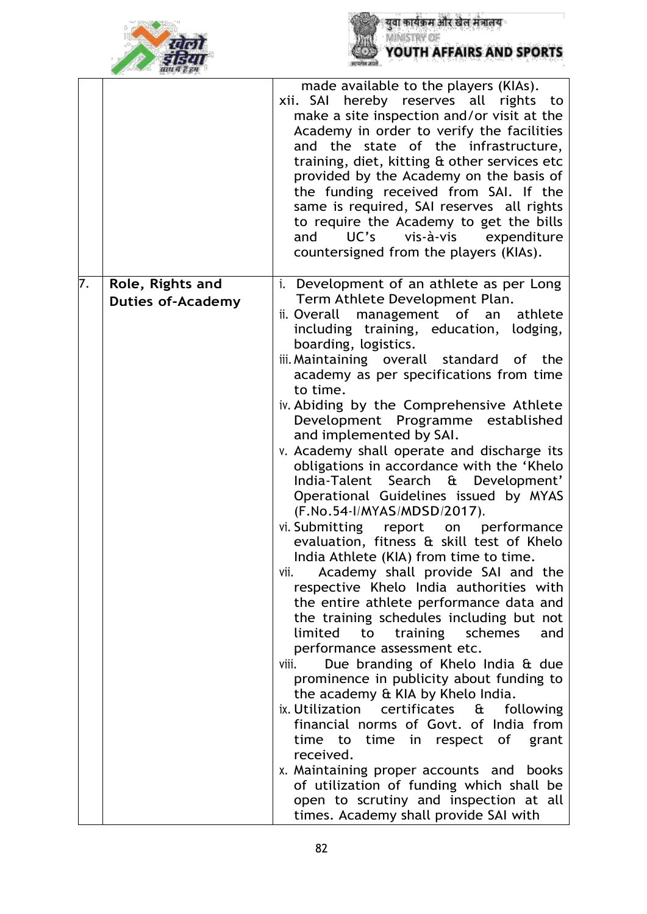



|    |                                              | made available to the players (KIAs).<br>xii. SAI hereby reserves all rights to<br>make a site inspection and/or visit at the<br>Academy in order to verify the facilities<br>and the state of the infrastructure,<br>training, diet, kitting & other services etc<br>provided by the Academy on the basis of<br>the funding received from SAI. If the<br>same is required, SAI reserves all rights<br>to require the Academy to get the bills<br>UC's<br>vis-à-vis expenditure<br>and<br>countersigned from the players (KIAs).                                                                                                                                                                                                                                                                                                                                                                                                                                                                                                                                                                                                                                                                                                                                                                                                                                                                                                                                                            |
|----|----------------------------------------------|---------------------------------------------------------------------------------------------------------------------------------------------------------------------------------------------------------------------------------------------------------------------------------------------------------------------------------------------------------------------------------------------------------------------------------------------------------------------------------------------------------------------------------------------------------------------------------------------------------------------------------------------------------------------------------------------------------------------------------------------------------------------------------------------------------------------------------------------------------------------------------------------------------------------------------------------------------------------------------------------------------------------------------------------------------------------------------------------------------------------------------------------------------------------------------------------------------------------------------------------------------------------------------------------------------------------------------------------------------------------------------------------------------------------------------------------------------------------------------------------|
| 7. | Role, Rights and<br><b>Duties of-Academy</b> | Development of an athlete as per Long<br>i.<br>Term Athlete Development Plan.<br>management of<br>ii. Overall<br>athlete<br>an<br>including training, education, lodging,<br>boarding, logistics.<br>iii. Maintaining overall standard<br>of the<br>academy as per specifications from time<br>to time.<br>iv. Abiding by the Comprehensive Athlete<br>Development Programme established<br>and implemented by SAI.<br>v. Academy shall operate and discharge its<br>obligations in accordance with the 'Khelo<br>Search & Development'<br>India-Talent<br>Operational Guidelines issued by MYAS<br>(F.No.54-I/MYAS/MDSD/2017).<br>vi. Submitting report on<br>performance<br>evaluation, fitness & skill test of Khelo<br>India Athlete (KIA) from time to time.<br>Academy shall provide SAI and the<br>vii.<br>respective Khelo India authorities with<br>the entire athlete performance data and<br>the training schedules including but not<br>limited<br>to<br>training<br>schemes<br>and<br>performance assessment etc.<br>Due branding of Khelo India & due<br>viii.<br>prominence in publicity about funding to<br>the academy & KIA by Khelo India.<br>ix. Utilization<br>certificates<br>£<br>following<br>financial norms of Govt. of India from<br>time to time in respect of<br>grant<br>received.<br>x. Maintaining proper accounts and books<br>of utilization of funding which shall be<br>open to scrutiny and inspection at all<br>times. Academy shall provide SAI with |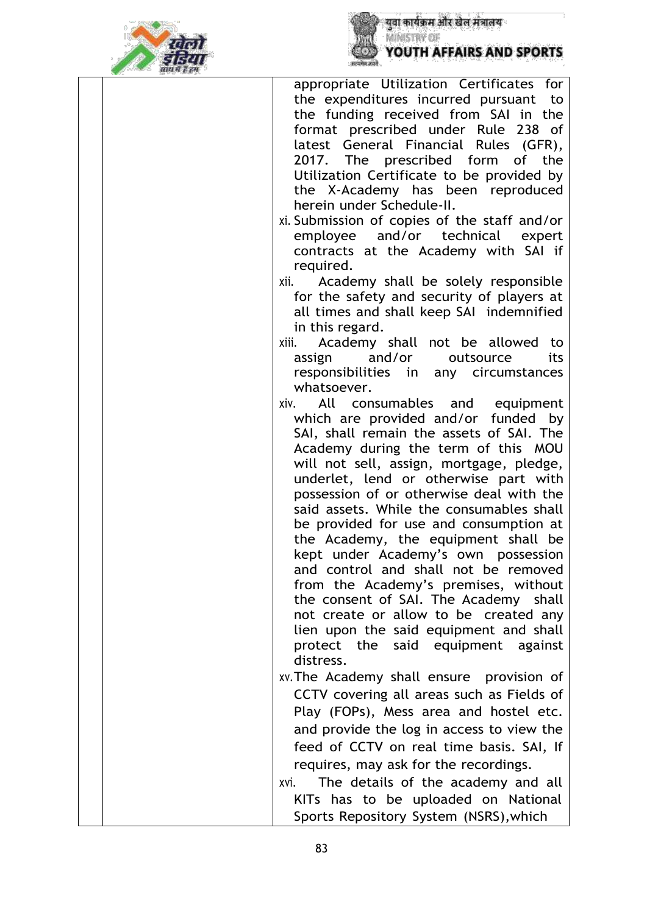



| साथ में हैं हम |                                                                                                                                                                                                                                                                                                                                                                                                                                                                                                                                                                                                                                                       |
|----------------|-------------------------------------------------------------------------------------------------------------------------------------------------------------------------------------------------------------------------------------------------------------------------------------------------------------------------------------------------------------------------------------------------------------------------------------------------------------------------------------------------------------------------------------------------------------------------------------------------------------------------------------------------------|
|                | appropriate Utilization Certificates for<br>the expenditures incurred pursuant<br>to<br>the funding received from SAI in the<br>format prescribed under Rule 238 of<br>latest General Financial Rules (GFR),<br>2017. The prescribed form of the<br>Utilization Certificate to be provided by<br>the X-Academy has been reproduced<br>herein under Schedule-II.<br>xi. Submission of copies of the staff and/or<br>and/or technical expert<br>employee<br>contracts at the Academy with SAI if<br>required.                                                                                                                                           |
|                | Academy shall be solely responsible<br>xii.<br>for the safety and security of players at<br>all times and shall keep SAI indemnified<br>in this regard.<br>Academy shall not be allowed to<br>xiii.<br>assign and/or<br>outsource<br>its                                                                                                                                                                                                                                                                                                                                                                                                              |
|                | responsibilities in any circumstances<br>whatsoever.<br>All consumables and equipment<br>xiv.<br>which are provided and/or funded by<br>SAI, shall remain the assets of SAI. The<br>Academy during the term of this MOU<br>will not sell, assign, mortgage, pledge,<br>underlet, lend or otherwise part with<br>possession of or otherwise deal with the<br>said assets. While the consumables shall<br>be provided for use and consumption at<br>the Academy, the equipment shall be<br>kept under Academy's own possession<br>and control and shall not be removed<br>from the Academy's premises, without<br>the consent of SAI. The Academy shall |
|                | not create or allow to be created any<br>lien upon the said equipment and shall<br>protect the said equipment against<br>distress.<br>xv. The Academy shall ensure provision of<br>CCTV covering all areas such as Fields of<br>Play (FOPs), Mess area and hostel etc.                                                                                                                                                                                                                                                                                                                                                                                |
|                | and provide the log in access to view the<br>feed of CCTV on real time basis. SAI, If<br>requires, may ask for the recordings.<br>The details of the academy and all<br>xvi.<br>KITs has to be uploaded on National<br>Sports Repository System (NSRS), which                                                                                                                                                                                                                                                                                                                                                                                         |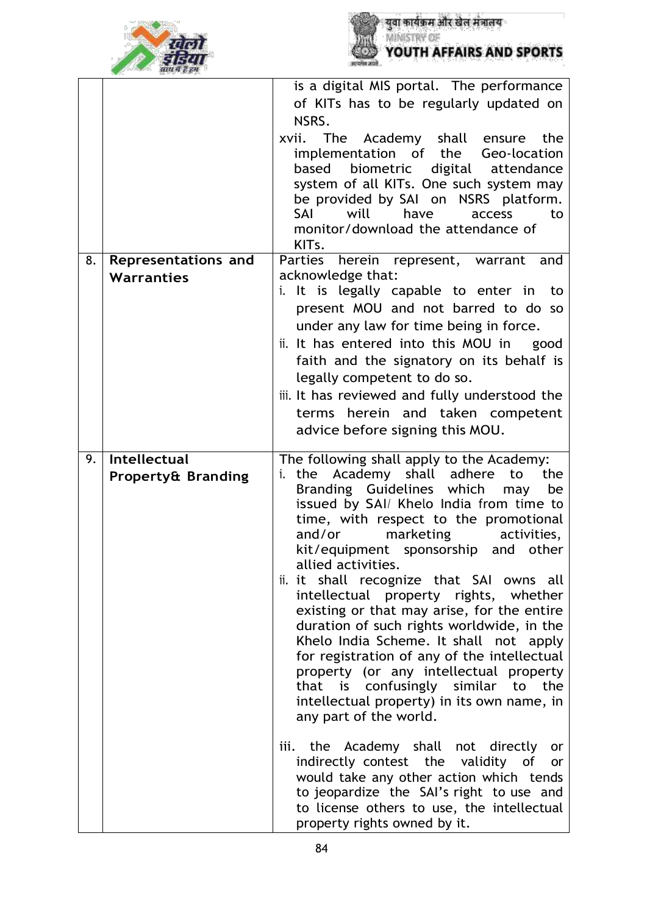



|    |                               | is a digital MIS portal. The performance                                               |
|----|-------------------------------|----------------------------------------------------------------------------------------|
|    |                               | of KITs has to be regularly updated on                                                 |
|    |                               | NSRS.                                                                                  |
|    |                               | xvii. The Academy shall ensure<br>the                                                  |
|    |                               | implementation of the Geo-location                                                     |
|    |                               | digital<br>based<br>biometric<br>attendance                                            |
|    |                               | system of all KITs. One such system may                                                |
|    |                               | be provided by SAI on NSRS platform.<br>will<br>have<br>SAI<br>access<br>to            |
|    |                               | monitor/download the attendance of                                                     |
|    |                               | KIT <sub>s</sub> .                                                                     |
| 8. | <b>Representations and</b>    | Parties herein represent, warrant<br>and                                               |
|    | <b>Warranties</b>             | acknowledge that:                                                                      |
|    |                               | i. It is legally capable to enter in to                                                |
|    |                               | present MOU and not barred to do so                                                    |
|    |                               | under any law for time being in force.                                                 |
|    |                               | ii. It has entered into this MOU in<br>good                                            |
|    |                               | faith and the signatory on its behalf is                                               |
|    |                               | legally competent to do so.                                                            |
|    |                               | iii. It has reviewed and fully understood the                                          |
|    |                               | terms herein and taken competent                                                       |
|    |                               | advice before signing this MOU.                                                        |
|    |                               |                                                                                        |
|    |                               |                                                                                        |
| 9. | Intellectual                  | The following shall apply to the Academy:                                              |
|    | <b>Property&amp; Branding</b> | Academy shall<br>adhere<br>to<br>the<br>i. the<br>be<br>may                            |
|    |                               | Branding Guidelines which<br>issued by SAI/ Khelo India from time to                   |
|    |                               | time, with respect to the promotional                                                  |
|    |                               | and/or<br>marketing<br>activities,                                                     |
|    |                               | kit/equipment sponsorship and other                                                    |
|    |                               | allied activities.                                                                     |
|    |                               | ii. it shall recognize that SAI owns all                                               |
|    |                               | intellectual property rights, whether<br>existing or that may arise, for the entire    |
|    |                               | duration of such rights worldwide, in the                                              |
|    |                               | Khelo India Scheme. It shall not apply                                                 |
|    |                               | for registration of any of the intellectual                                            |
|    |                               | property (or any intellectual property                                                 |
|    |                               | that is confusingly similar to the                                                     |
|    |                               | intellectual property) in its own name, in<br>any part of the world.                   |
|    |                               |                                                                                        |
|    |                               | iii. the Academy shall not directly or                                                 |
|    |                               | indirectly contest the validity of or                                                  |
|    |                               | would take any other action which tends                                                |
|    |                               | to jeopardize the SAI's right to use and<br>to license others to use, the intellectual |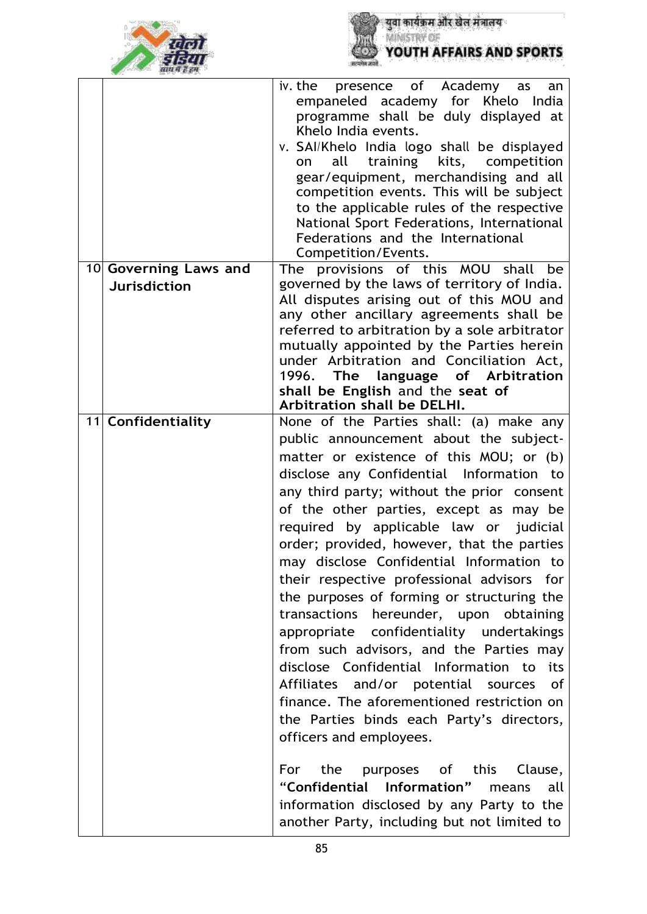

|                                              | presence of Academy as<br>iv. the<br>an<br>empaneled academy for Khelo India<br>programme shall be duly displayed at<br>Khelo India events.<br>v. SAI/Khelo India logo shall be displayed<br>all<br>training kits, competition<br>on<br>gear/equipment, merchandising and all<br>competition events. This will be subject<br>to the applicable rules of the respective<br>National Sport Federations, International<br>Federations and the International<br>Competition/Events. |
|----------------------------------------------|---------------------------------------------------------------------------------------------------------------------------------------------------------------------------------------------------------------------------------------------------------------------------------------------------------------------------------------------------------------------------------------------------------------------------------------------------------------------------------|
| 10 Governing Laws and<br><b>Jurisdiction</b> | The provisions of this MOU shall<br>be<br>governed by the laws of territory of India.                                                                                                                                                                                                                                                                                                                                                                                           |
|                                              | All disputes arising out of this MOU and<br>any other ancillary agreements shall be                                                                                                                                                                                                                                                                                                                                                                                             |
|                                              | referred to arbitration by a sole arbitrator<br>mutually appointed by the Parties herein                                                                                                                                                                                                                                                                                                                                                                                        |
|                                              | under Arbitration and Conciliation Act,                                                                                                                                                                                                                                                                                                                                                                                                                                         |
|                                              | 1996. The language of Arbitration<br>shall be English and the seat of                                                                                                                                                                                                                                                                                                                                                                                                           |
| 11 Confidentiality                           | Arbitration shall be DELHI.<br>None of the Parties shall: (a) make any                                                                                                                                                                                                                                                                                                                                                                                                          |
|                                              | public announcement about the subject-                                                                                                                                                                                                                                                                                                                                                                                                                                          |
|                                              | matter or existence of this MOU; or (b)                                                                                                                                                                                                                                                                                                                                                                                                                                         |
|                                              | disclose any Confidential Information to                                                                                                                                                                                                                                                                                                                                                                                                                                        |
|                                              | any third party; without the prior consent<br>of the other parties, except as may be                                                                                                                                                                                                                                                                                                                                                                                            |
|                                              | required by applicable law or judicial                                                                                                                                                                                                                                                                                                                                                                                                                                          |
|                                              | order; provided, however, that the parties                                                                                                                                                                                                                                                                                                                                                                                                                                      |
|                                              | may disclose Confidential Information to                                                                                                                                                                                                                                                                                                                                                                                                                                        |
|                                              | their respective professional advisors for<br>the purposes of forming or structuring the                                                                                                                                                                                                                                                                                                                                                                                        |
|                                              | transactions hereunder, upon obtaining                                                                                                                                                                                                                                                                                                                                                                                                                                          |
|                                              | appropriate confidentiality undertakings                                                                                                                                                                                                                                                                                                                                                                                                                                        |
|                                              | from such advisors, and the Parties may                                                                                                                                                                                                                                                                                                                                                                                                                                         |
|                                              | disclose Confidential Information to<br>its<br>Affiliates and/or potential sources<br>_of                                                                                                                                                                                                                                                                                                                                                                                       |
|                                              | finance. The aforementioned restriction on                                                                                                                                                                                                                                                                                                                                                                                                                                      |
|                                              | the Parties binds each Party's directors,                                                                                                                                                                                                                                                                                                                                                                                                                                       |
|                                              | officers and employees.                                                                                                                                                                                                                                                                                                                                                                                                                                                         |
|                                              | For the purposes of this Clause,                                                                                                                                                                                                                                                                                                                                                                                                                                                |
|                                              | "Confidential Information" means<br>all                                                                                                                                                                                                                                                                                                                                                                                                                                         |
|                                              | information disclosed by any Party to the<br>another Party, including but not limited to                                                                                                                                                                                                                                                                                                                                                                                        |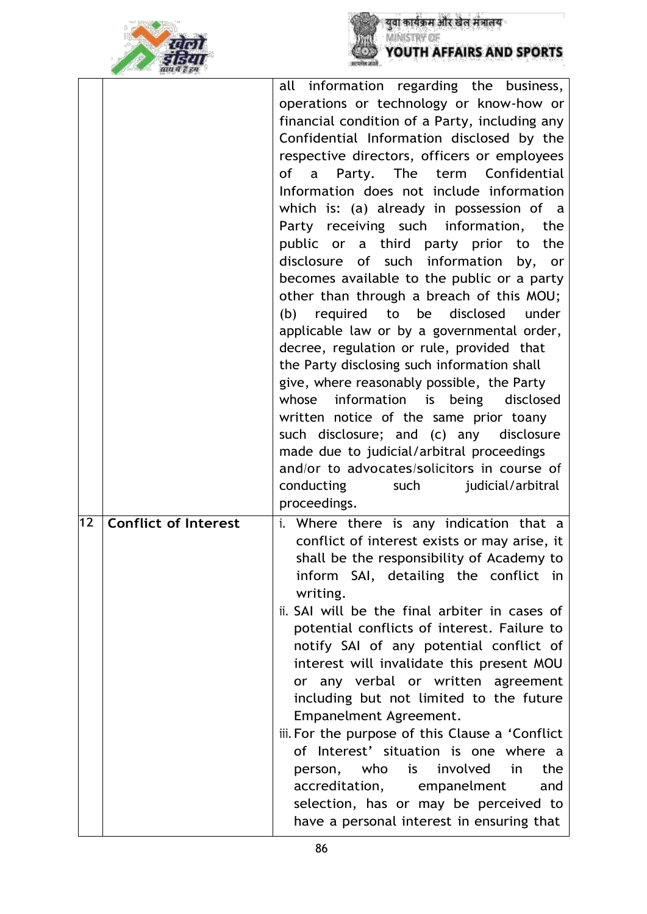



|    |                             | all information regarding the business,                                                  |
|----|-----------------------------|------------------------------------------------------------------------------------------|
|    |                             | operations or technology or know-how or                                                  |
|    |                             | financial condition of a Party, including any                                            |
|    |                             | Confidential Information disclosed by the                                                |
|    |                             | respective directors, officers or employees                                              |
|    |                             | of<br>Party. The term Confidential<br>$\mathsf{a}$                                       |
|    |                             | Information does not include information                                                 |
|    |                             |                                                                                          |
|    |                             | which is: (a) already in possession of a                                                 |
|    |                             | Party receiving such information,<br>the                                                 |
|    |                             | public or a third party prior to<br>the                                                  |
|    |                             | disclosure of such information by,<br>or                                                 |
|    |                             | becomes available to the public or a party                                               |
|    |                             | other than through a breach of this MOU;                                                 |
|    |                             | (b) required to be disclosed<br>under                                                    |
|    |                             | applicable law or by a governmental order,                                               |
|    |                             | decree, regulation or rule, provided that                                                |
|    |                             | the Party disclosing such information shall                                              |
|    |                             | give, where reasonably possible, the Party                                               |
|    |                             | information is being<br>whose<br>disclosed                                               |
|    |                             | written notice of the same prior toany                                                   |
|    |                             | such disclosure; and (c) any<br>disclosure                                               |
|    |                             |                                                                                          |
|    |                             | made due to judicial/arbitral proceedings<br>and/or to advocates/solicitors in course of |
|    |                             |                                                                                          |
|    |                             | conducting<br>judicial/arbitral<br>such                                                  |
|    |                             | proceedings.                                                                             |
| 12 | <b>Conflict of Interest</b> | Where there is any indication that a<br>i.                                               |
|    |                             | conflict of interest exists or may arise, it                                             |
|    |                             | shall be the responsibility of Academy to                                                |
|    |                             | inform SAI, detailing the conflict in                                                    |
|    |                             | writing.                                                                                 |
|    |                             | ii. SAI will be the final arbiter in cases of                                            |
|    |                             | potential conflicts of interest. Failure to                                              |
|    |                             | notify SAI of any potential conflict of                                                  |
|    |                             | interest will invalidate this present MOU                                                |
|    |                             | or any verbal or written agreement                                                       |
|    |                             | including but not limited to the future                                                  |
|    |                             | Empanelment Agreement.                                                                   |
|    |                             | iii. For the purpose of this Clause a 'Conflict                                          |
|    |                             | of Interest' situation is one where a                                                    |
|    |                             | person, who is involved<br>in i<br>the                                                   |
|    |                             | accreditation, empanelment<br>and                                                        |
|    |                             |                                                                                          |
|    |                             |                                                                                          |
|    |                             | selection, has or may be perceived to<br>have a personal interest in ensuring that       |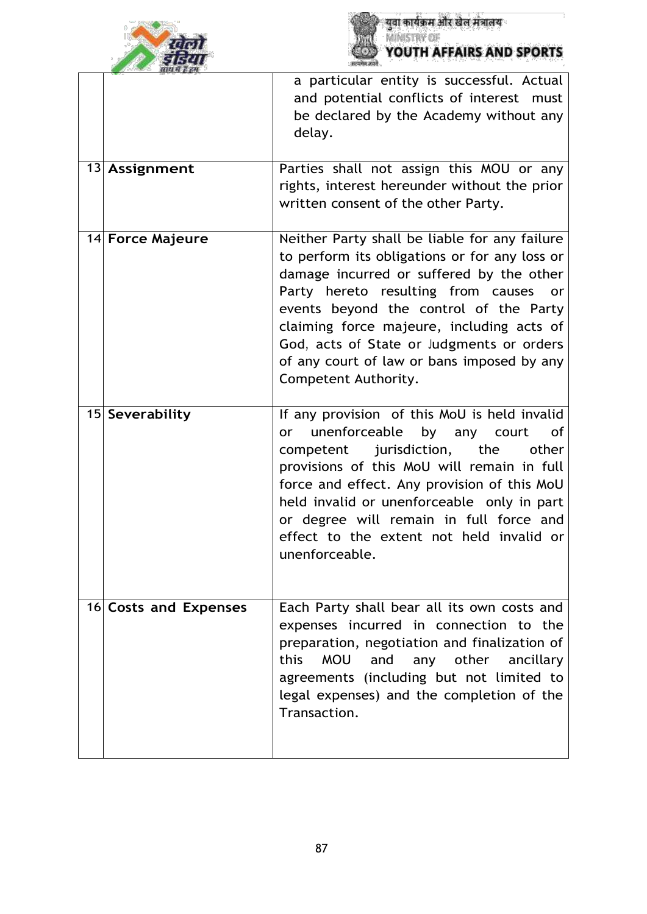



| <b>MILL AL R. RA</b>  | a particular entity is successful. Actual                                                                                                                                                                                                                                                                                                                                                        |
|-----------------------|--------------------------------------------------------------------------------------------------------------------------------------------------------------------------------------------------------------------------------------------------------------------------------------------------------------------------------------------------------------------------------------------------|
|                       | and potential conflicts of interest must<br>be declared by the Academy without any<br>delay.                                                                                                                                                                                                                                                                                                     |
| 13 Assignment         | Parties shall not assign this MOU or any<br>rights, interest hereunder without the prior<br>written consent of the other Party.                                                                                                                                                                                                                                                                  |
| 14 Force Majeure      | Neither Party shall be liable for any failure<br>to perform its obligations or for any loss or<br>damage incurred or suffered by the other<br>Party hereto resulting from causes<br>or<br>events beyond the control of the Party<br>claiming force majeure, including acts of<br>God, acts of State or Judgments or orders<br>of any court of law or bans imposed by any<br>Competent Authority. |
| 15 Severability       | If any provision of this MoU is held invalid<br>unenforceable<br>by any court<br>of<br>or<br>jurisdiction, the<br>competent<br>other<br>provisions of this MoU will remain in full<br>force and effect. Any provision of this MoU<br>held invalid or unenforceable only in part<br>or degree will remain in full force and<br>effect to the extent not held invalid or<br>unenforceable          |
| 16 Costs and Expenses | Each Party shall bear all its own costs and<br>expenses incurred in connection to the<br>preparation, negotiation and finalization of<br><b>MOU</b><br>any other<br>this<br>and<br>ancillary<br>agreements (including but not limited to<br>legal expenses) and the completion of the<br>Transaction.                                                                                            |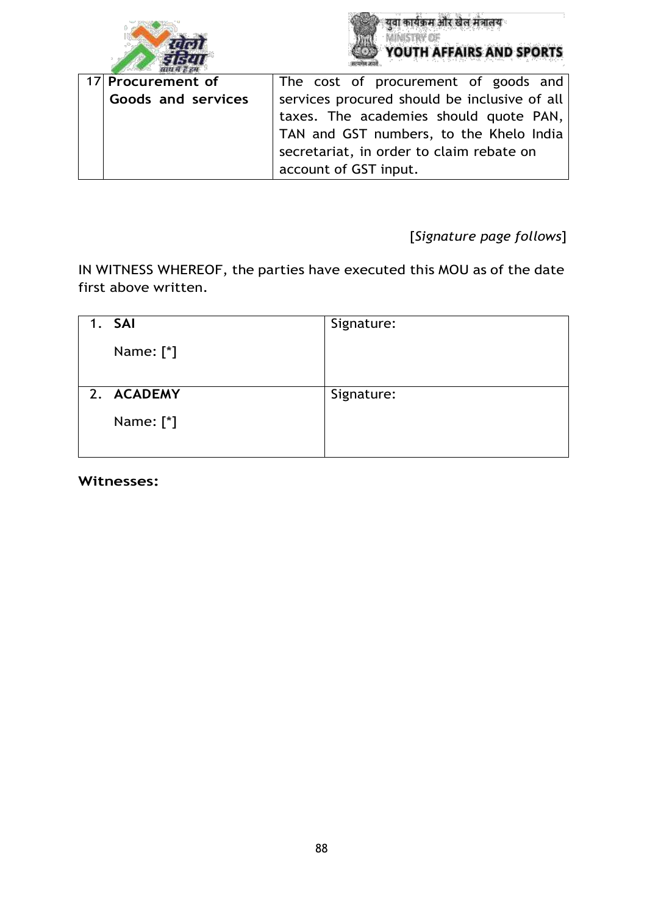



| 17 Procurement of  | The cost of procurement of goods and         |  |  |
|--------------------|----------------------------------------------|--|--|
| Goods and services | services procured should be inclusive of all |  |  |
|                    | taxes. The academies should quote PAN,       |  |  |
|                    | TAN and GST numbers, to the Khelo India      |  |  |
|                    | secretariat, in order to claim rebate on     |  |  |
|                    | account of GST input.                        |  |  |

[*Signature page follows*]

IN WITNESS WHEREOF, the parties have executed this MOU as of the date first above written.

| 1. SAI                   | Signature: |
|--------------------------|------------|
| Name: [*]                |            |
| 2. ACADEMY               | Signature: |
| Name: $[$ <sup>*</sup> ] |            |

**Witnesses:**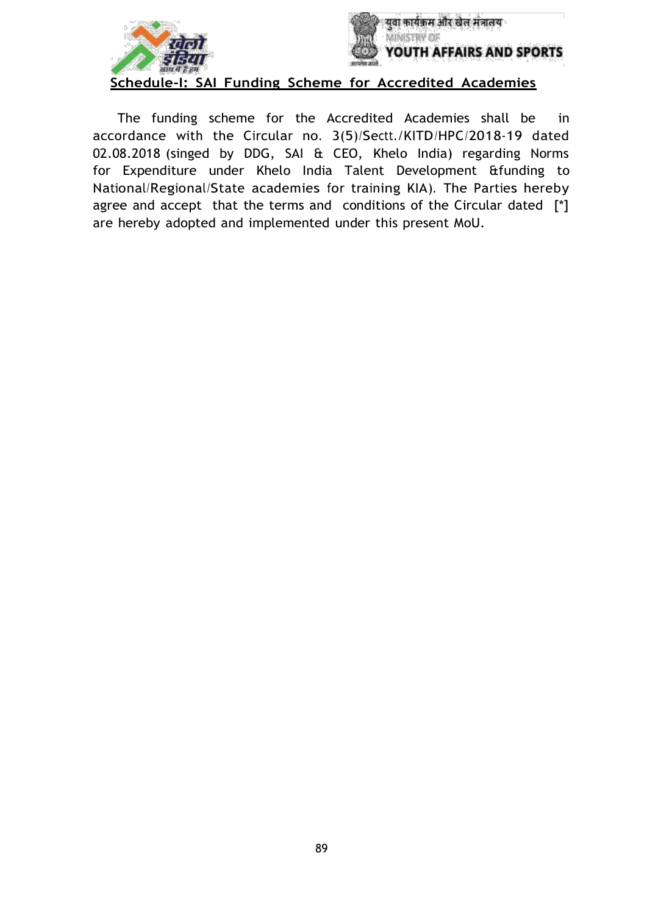



**Schedule-I: SAI Funding Scheme for Accredited Academies**

The funding scheme for the Accredited Academies shall be in accordance with the Circular no. 3(5)/Sectt./KITD/HPC/2018-19 dated 02.08.2018 (singed by DDG, SAI & CEO, Khelo India) regarding Norms for Expenditure under Khelo India Talent Development &funding to National/Regional/State academies for training KIA). The Parties hereby agree and accept that the terms and conditions of the Circular dated [\*] are hereby adopted and implemented under this present MoU.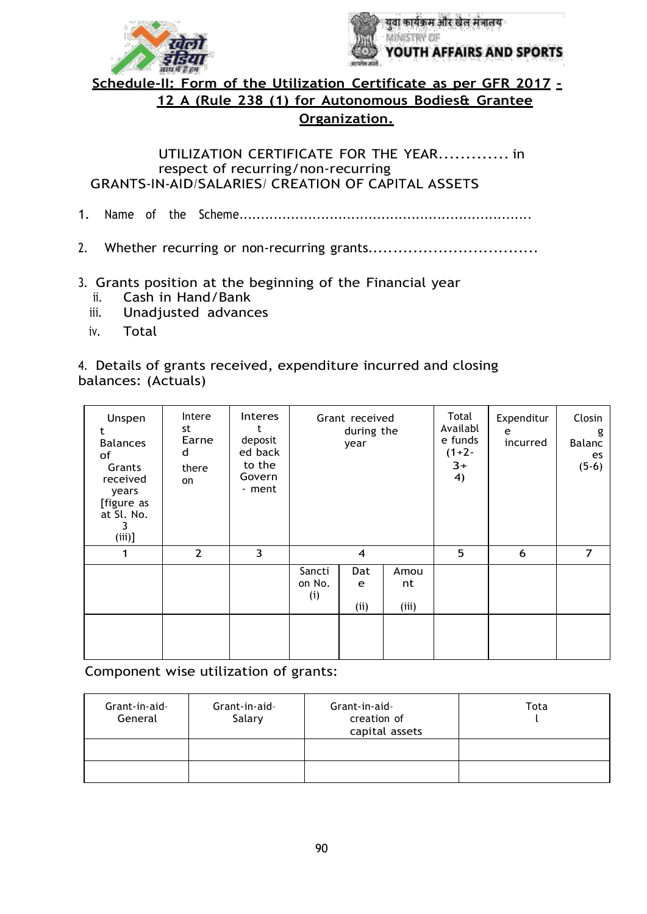



**Schedule-II: Form of the Utilization Certificate as per GFR 2017 - 12 A (Rule 238 (1) for Autonomous Bodies& Grantee Organization.**

UTILIZATION CERTIFICATE FOR THE YEAR............. in respect of recurring/non-recurring GRANTS-IN-AID/SALARIES/ CREATION OF CAPITAL ASSETS

1. Name of the Scheme....................................................................

- 2. Whether recurring or non-recurring grants..................................
- 3. Grants position at the beginning of the Financial year
	- ii. Cash in Hand/Bank
	- iii. Unadjusted advances
	- iv. Total

4. Details of grants received, expenditure incurred and closing balances: (Actuals)

| Unspen<br>t<br><b>Balances</b><br>of<br>Grants<br>received<br>years<br>[figure as<br>at Sl. No.<br>3<br>$(iii)$ ] | Intere<br>st<br>Earne<br>d<br>there<br>on | <b>Interes</b><br>deposit<br>ed back<br>to the<br>Govern<br>- ment | Grant received<br>during the<br>year |                 | Total<br>Availabl<br>e funds<br>$(1+2-$<br>$3+$<br>4) | Expenditur<br>e<br>incurred | Closin<br>g<br>Balanc<br>es<br>$(5-6)$ |                |
|-------------------------------------------------------------------------------------------------------------------|-------------------------------------------|--------------------------------------------------------------------|--------------------------------------|-----------------|-------------------------------------------------------|-----------------------------|----------------------------------------|----------------|
| 1                                                                                                                 | $\overline{2}$                            | 3                                                                  |                                      | $\overline{4}$  |                                                       | 5                           | 6                                      | $\overline{7}$ |
|                                                                                                                   |                                           |                                                                    | Sancti<br>on No.<br>(i)              | Dat<br>e<br>(i) | Amou<br>nt<br>(iii)                                   |                             |                                        |                |
|                                                                                                                   |                                           |                                                                    |                                      |                 |                                                       |                             |                                        |                |

Component wise utilization of grants:

| Grant-in-aid-<br>General | Grant-in-aid-<br>Salary | Grant-in-aid-<br>creation of<br>capital assets | Tota |
|--------------------------|-------------------------|------------------------------------------------|------|
|                          |                         |                                                |      |
|                          |                         |                                                |      |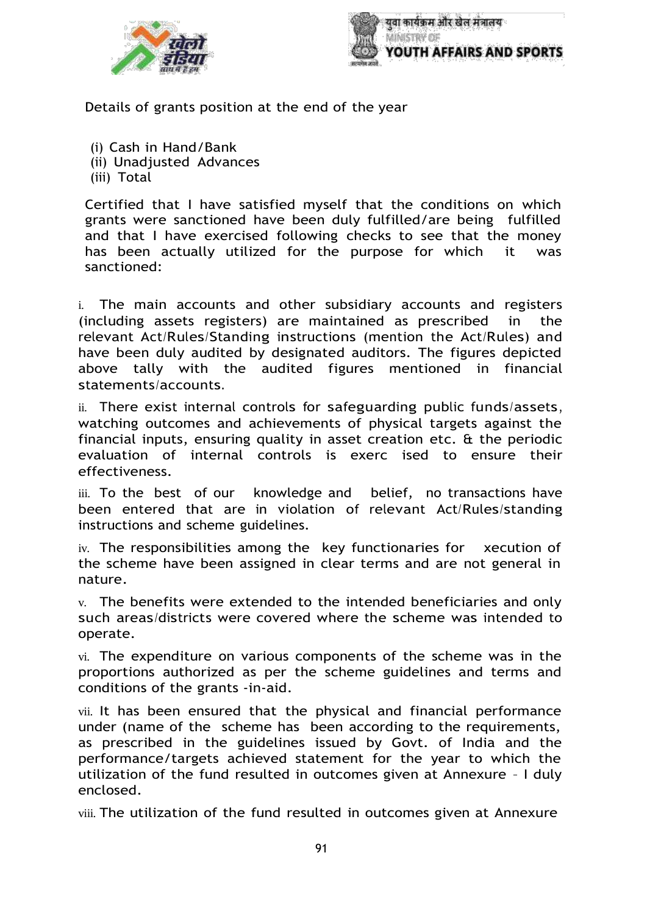



Details of grants position at the end of the year

- (i) Cash in Hand/Bank
- (ii) Unadjusted Advances
- (iii) Total

Certified that I have satisfied myself that the conditions on which grants were sanctioned have been duly fulfilled/are being fulfilled and that I have exercised following checks to see that the money has been actually utilized for the purpose for which it was sanctioned:

i. The main accounts and other subsidiary accounts and registers (including assets registers) are maintained as prescribed in the relevant Act/Rules/Standing instructions (mention the Act/Rules) and have been duly audited by designated auditors. The figures depicted above tally with the audited figures mentioned in financial statements/accounts.

ii. There exist internal controls for safeguarding public funds/assets, watching outcomes and achievements of physical targets against the financial inputs, ensuring quality in asset creation etc. & the periodic evaluation of internal controls is exerc ised to ensure their effectiveness.

iii. To the best of our knowledge and belief, no transactions have been entered that are in violation of relevant Act/Rules/standing instructions and scheme guidelines.

iv. The responsibilities among the key functionaries for xecution of the scheme have been assigned in clear terms and are not general in nature.

v. The benefits were extended to the intended beneficiaries and only such areas/districts were covered where the scheme was intended to operate.

vi. The expenditure on various components of the scheme was in the proportions authorized as per the scheme guidelines and terms and conditions of the grants -in-aid.

vii. It has been ensured that the physical and financial performance under (name of the scheme has been according to the requirements, as prescribed in the guidelines issued by Govt. of India and the performance/targets achieved statement for the year to which the utilization of the fund resulted in outcomes given at Annexure – I duly enclosed.

viii. The utilization of the fund resulted in outcomes given at Annexure